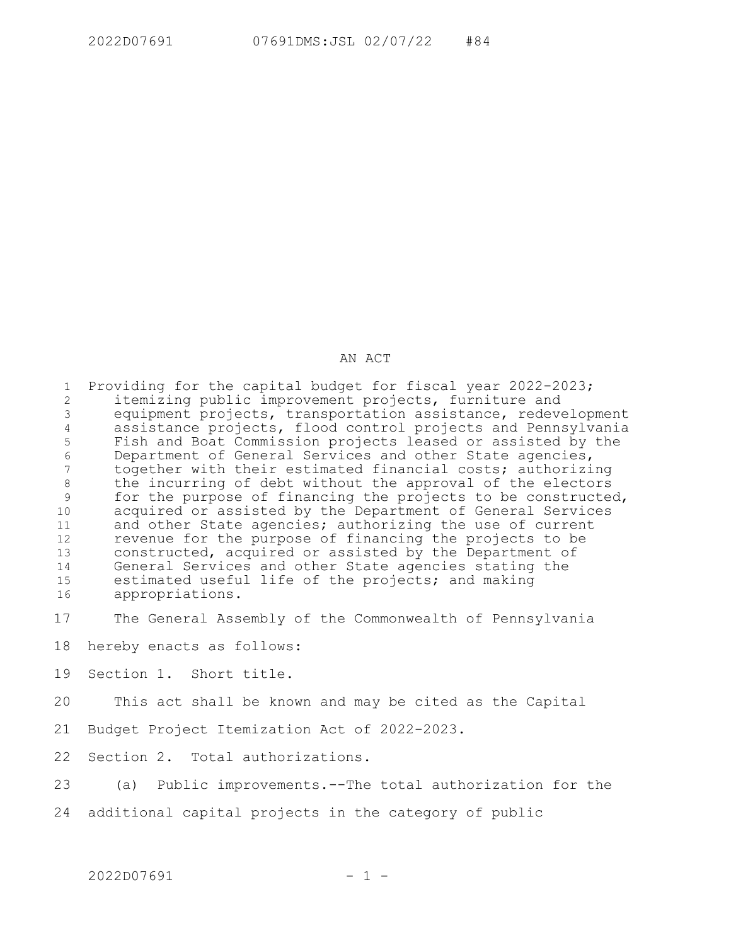## AN ACT

Providing for the capital budget for fiscal year 2022-2023; itemizing public improvement projects, furniture and equipment projects, transportation assistance, redevelopment assistance projects, flood control projects and Pennsylvania Fish and Boat Commission projects leased or assisted by the Department of General Services and other State agencies, together with their estimated financial costs; authorizing the incurring of debt without the approval of the electors for the purpose of financing the projects to be constructed, acquired or assisted by the Department of General Services and other State agencies; authorizing the use of current revenue for the purpose of financing the projects to be constructed, acquired or assisted by the Department of General Services and other State agencies stating the estimated useful life of the projects; and making appropriations. 1 2 3 4 5 6 7 8 9 10 11 12 13 14 15 16

The General Assembly of the Commonwealth of Pennsylvania 17

hereby enacts as follows: 18

Section 1. Short title. 19

This act shall be known and may be cited as the Capital 20

Budget Project Itemization Act of 2022-2023. 21

Section 2. Total authorizations. 22

(a) Public improvements.--The total authorization for the 23

additional capital projects in the category of public 24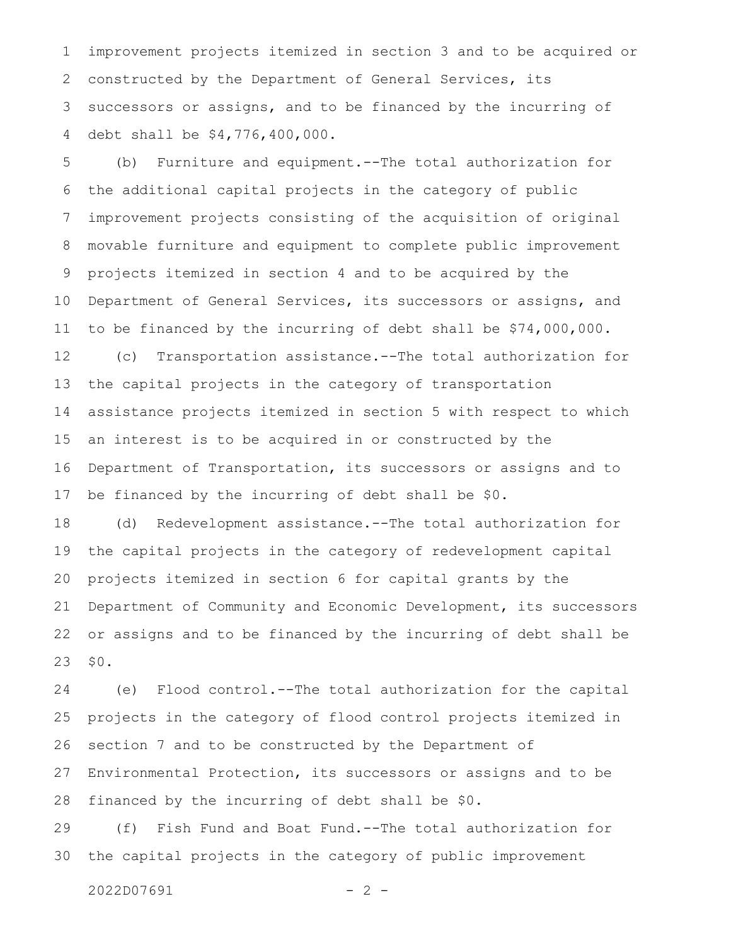improvement projects itemized in section 3 and to be acquired or constructed by the Department of General Services, its successors or assigns, and to be financed by the incurring of debt shall be \$4,776,400,000. 1 2 3 4

(b) Furniture and equipment.--The total authorization for the additional capital projects in the category of public improvement projects consisting of the acquisition of original movable furniture and equipment to complete public improvement projects itemized in section 4 and to be acquired by the Department of General Services, its successors or assigns, and to be financed by the incurring of debt shall be \$74,000,000. 5 6 7 8 9 10 11

(c) Transportation assistance.--The total authorization for the capital projects in the category of transportation assistance projects itemized in section 5 with respect to which an interest is to be acquired in or constructed by the Department of Transportation, its successors or assigns and to be financed by the incurring of debt shall be \$0. 12 13 14 15 16 17

(d) Redevelopment assistance.--The total authorization for the capital projects in the category of redevelopment capital projects itemized in section 6 for capital grants by the Department of Community and Economic Development, its successors or assigns and to be financed by the incurring of debt shall be \$0. 18 19 20 21 22 23

(e) Flood control.--The total authorization for the capital projects in the category of flood control projects itemized in section 7 and to be constructed by the Department of Environmental Protection, its successors or assigns and to be financed by the incurring of debt shall be \$0. 24 25 26 27 28

(f) Fish Fund and Boat Fund.--The total authorization for the capital projects in the category of public improvement 29 30

 $2022D07691$  - 2 -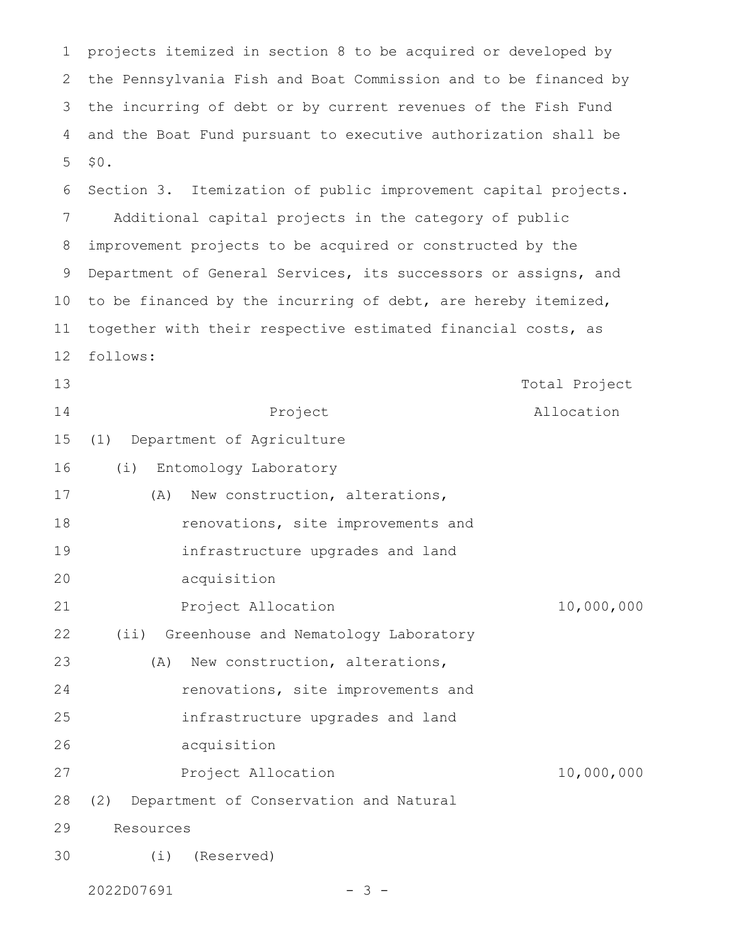projects itemized in section 8 to be acquired or developed by the Pennsylvania Fish and Boat Commission and to be financed by the incurring of debt or by current revenues of the Fish Fund and the Boat Fund pursuant to executive authorization shall be \$0. 1 2 3 4 5

Section 3. Itemization of public improvement capital projects. Additional capital projects in the category of public improvement projects to be acquired or constructed by the Department of General Services, its successors or assigns, and to be financed by the incurring of debt, are hereby itemized, together with their respective estimated financial costs, as follows: 6 7 8 9 10 11 12

Project Total Project Allocation (1) Department of Agriculture (i) Entomology Laboratory (A) New construction, alterations, renovations, site improvements and infrastructure upgrades and land acquisition Project Allocation 10,000,000 (ii) Greenhouse and Nematology Laboratory (A) New construction, alterations, renovations, site improvements and infrastructure upgrades and land acquisition Project Allocation 10,000,000 (2) Department of Conservation and Natural Resources 13 14 15 16 17 18 19 20 21 22 23 24 25 26 27 28 29

(i) (Reserved) 30

 $2022D07691$  - 3 -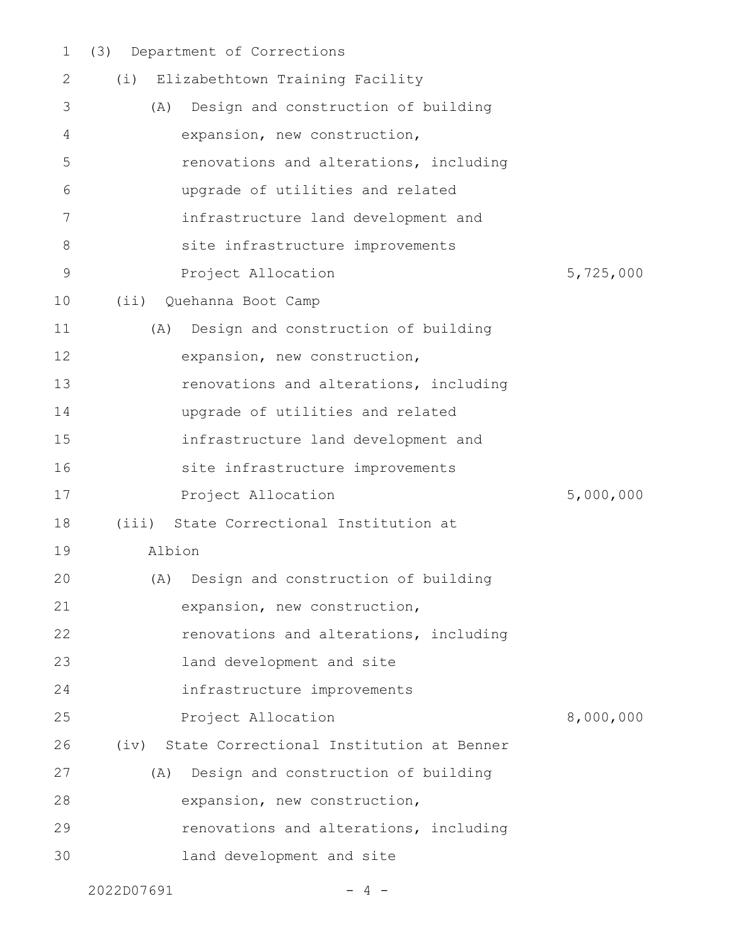(3) Department of Corrections 1

| 2           | (i) Elizabethtown Training Facility           |           |
|-------------|-----------------------------------------------|-----------|
| 3           | Design and construction of building<br>(A)    |           |
| 4           | expansion, new construction,                  |           |
| 5           | renovations and alterations, including        |           |
| 6           | upgrade of utilities and related              |           |
| 7           | infrastructure land development and           |           |
| 8           | site infrastructure improvements              |           |
| $\mathsf 9$ | Project Allocation                            | 5,725,000 |
| 10          | (ii) Quehanna Boot Camp                       |           |
| 11          | Design and construction of building<br>(A)    |           |
| 12          | expansion, new construction,                  |           |
| 13          | renovations and alterations, including        |           |
| 14          | upgrade of utilities and related              |           |
| 15          | infrastructure land development and           |           |
| 16          | site infrastructure improvements              |           |
| 17          | Project Allocation                            | 5,000,000 |
| 18          | (iii)<br>State Correctional Institution at    |           |
| 19          | Albion                                        |           |
| 20          | Design and construction of building<br>(A)    |           |
| 21          | expansion, new construction,                  |           |
| 22          | renovations and alterations, including        |           |
| 23          | land development and site                     |           |
| 24          | infrastructure improvements                   |           |
| 25          | Project Allocation                            | 8,000,000 |
| 26          | (iv) State Correctional Institution at Benner |           |
| 27          | Design and construction of building<br>(A)    |           |
| 28          | expansion, new construction,                  |           |
| 29          | renovations and alterations, including        |           |
| 30          | land development and site                     |           |
|             |                                               |           |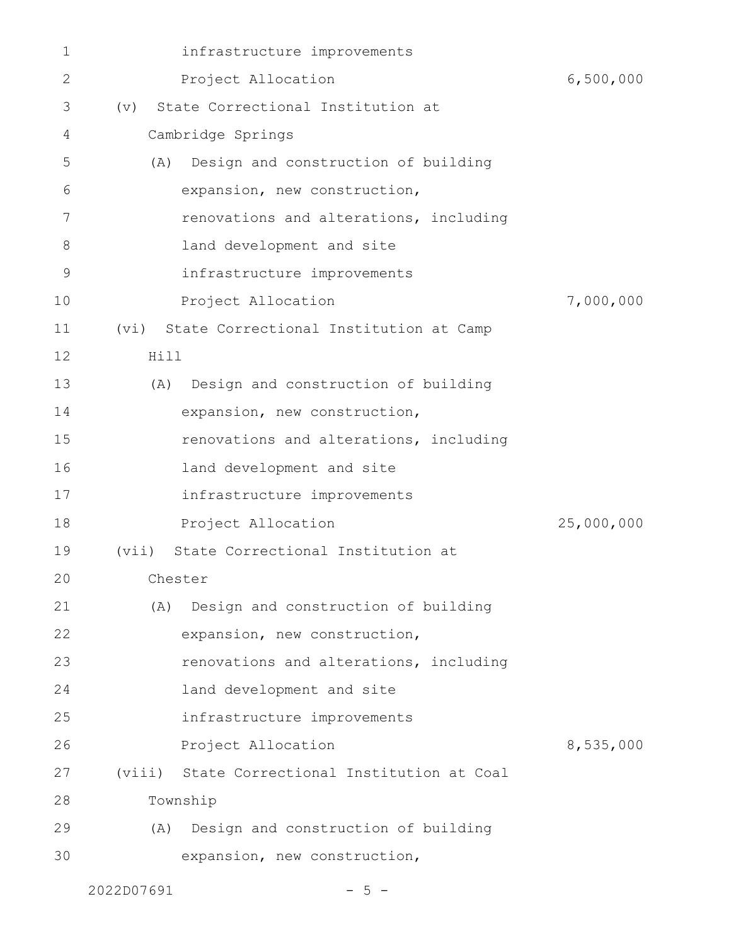| $\mathbf 1$  | infrastructure improvements                   |            |
|--------------|-----------------------------------------------|------------|
| $\mathbf{2}$ | Project Allocation                            | 6,500,000  |
| 3            | State Correctional Institution at<br>(v)      |            |
| 4            | Cambridge Springs                             |            |
| 5            | (A) Design and construction of building       |            |
| 6            | expansion, new construction,                  |            |
| 7            | renovations and alterations, including        |            |
| 8            | land development and site                     |            |
| 9            | infrastructure improvements                   |            |
| 10           | Project Allocation                            | 7,000,000  |
| 11           | (vi) State Correctional Institution at Camp   |            |
| 12           | Hill                                          |            |
| 13           | Design and construction of building<br>(A)    |            |
| 14           | expansion, new construction,                  |            |
| 15           | renovations and alterations, including        |            |
| 16           | land development and site                     |            |
| 17           | infrastructure improvements                   |            |
| 18           | Project Allocation                            | 25,000,000 |
| 19           | (vii) State Correctional Institution at       |            |
| 20           | Chester                                       |            |
| 21           | Design and construction of building<br>(A)    |            |
| 22           | expansion, new construction,                  |            |
| 23           | renovations and alterations, including        |            |
| 24           | land development and site                     |            |
| 25           | infrastructure improvements                   |            |
| 26           | Project Allocation                            | 8,535,000  |
| 27           | (viii) State Correctional Institution at Coal |            |
| 28           | Township                                      |            |
| 29           | (A) Design and construction of building       |            |
| 30           | expansion, new construction,                  |            |
|              |                                               |            |

 $2022D07691$  - 5 -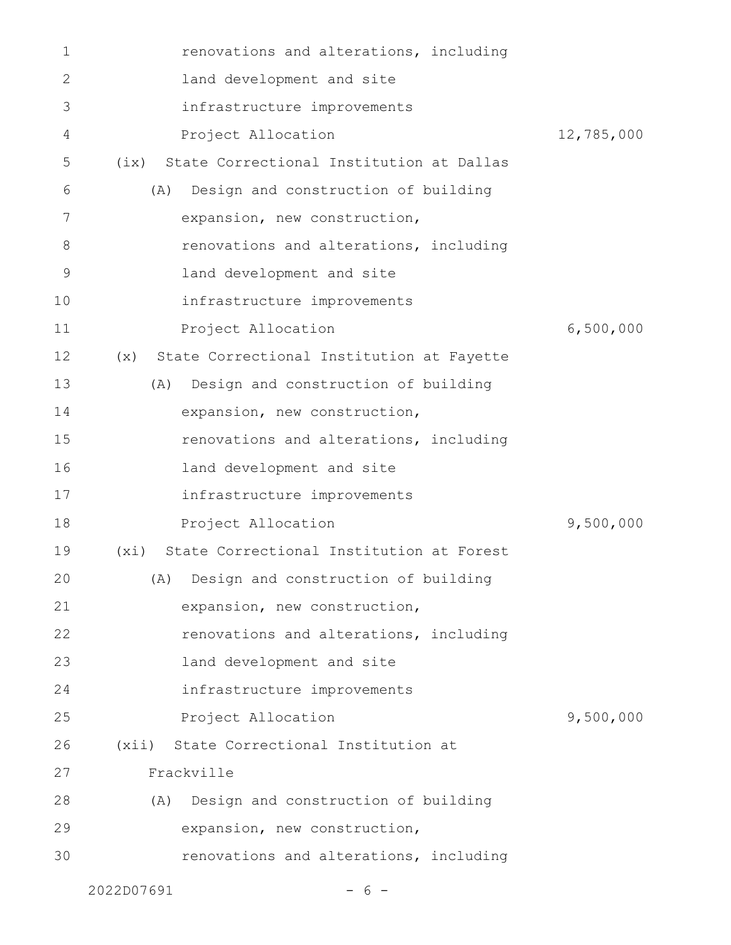| $\mathbf 1$ | renovations and alterations, including           |            |
|-------------|--------------------------------------------------|------------|
| 2           | land development and site                        |            |
| 3           | infrastructure improvements                      |            |
| 4           | Project Allocation                               | 12,785,000 |
| 5           | (ix) State Correctional Institution at Dallas    |            |
| 6           | Design and construction of building<br>(A)       |            |
| 7           | expansion, new construction,                     |            |
| 8           | renovations and alterations, including           |            |
| 9           | land development and site                        |            |
| 10          | infrastructure improvements                      |            |
| 11          | Project Allocation                               | 6,500,000  |
| 12          | State Correctional Institution at Fayette<br>(x) |            |
| 13          | (A) Design and construction of building          |            |
| 14          | expansion, new construction,                     |            |
| 15          | renovations and alterations, including           |            |
| 16          | land development and site                        |            |
| 17          | infrastructure improvements                      |            |
| 18          | Project Allocation                               | 9,500,000  |
| 19          | State Correctional Institution at Forest<br>(xi) |            |
| 20          | (A) Design and construction of building          |            |
| 21          | expansion, new construction,                     |            |
| 22          | renovations and alterations, including           |            |
| 23          | land development and site                        |            |
| 24          | infrastructure improvements                      |            |
| 25          | Project Allocation                               | 9,500,000  |
| 26          | (xii) State Correctional Institution at          |            |
| 27          | Frackville                                       |            |
| 28          | (A) Design and construction of building          |            |
| 29          | expansion, new construction,                     |            |
| 30          | renovations and alterations, including           |            |
|             | 2022D07691<br>-6-                                |            |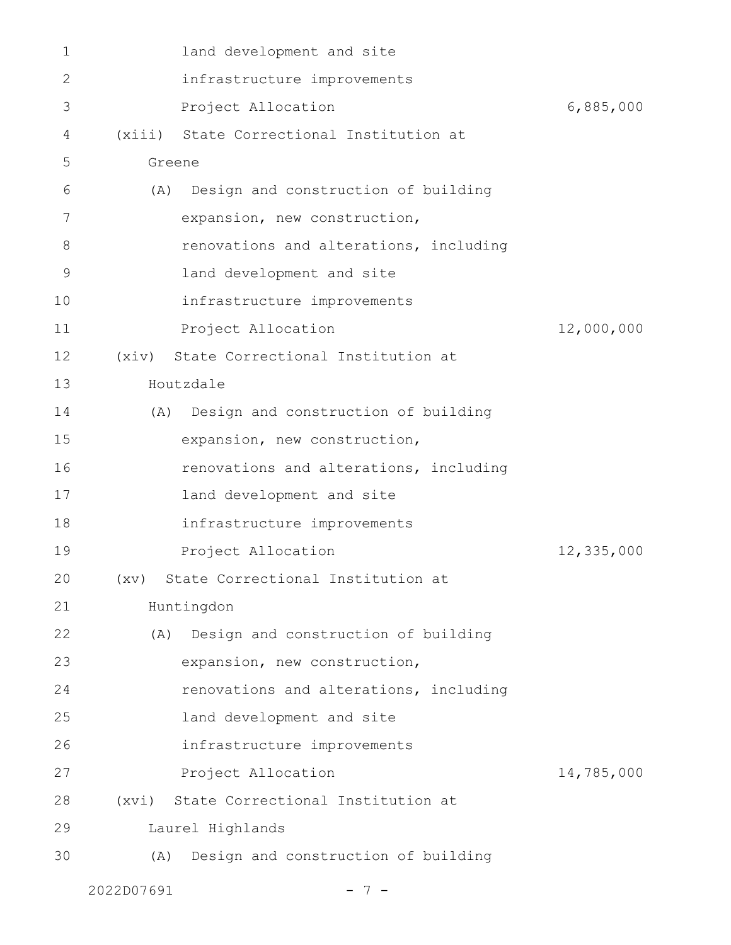| $\mathbf{1}$ | land development and site                  |            |
|--------------|--------------------------------------------|------------|
| $\mathbf{2}$ | infrastructure improvements                |            |
| 3            | Project Allocation                         | 6,885,000  |
| 4            | (xiii) State Correctional Institution at   |            |
| 5            | Greene                                     |            |
| 6            | (A) Design and construction of building    |            |
| 7            | expansion, new construction,               |            |
| 8            | renovations and alterations, including     |            |
| 9            | land development and site                  |            |
| 10           | infrastructure improvements                |            |
| 11           | Project Allocation                         | 12,000,000 |
| 12           | (xiv) State Correctional Institution at    |            |
| 13           | Houtzdale                                  |            |
| 14           | (A) Design and construction of building    |            |
| 15           | expansion, new construction,               |            |
| 16           | renovations and alterations, including     |            |
| 17           | land development and site                  |            |
| 18           | infrastructure improvements                |            |
| 19           | Project Allocation                         | 12,335,000 |
| 20           | (xv) State Correctional Institution at     |            |
| 21           | Huntingdon                                 |            |
| 22           | (A) Design and construction of building    |            |
| 23           | expansion, new construction,               |            |
| 24           | renovations and alterations, including     |            |
| 25           | land development and site                  |            |
| 26           | infrastructure improvements                |            |
| 27           | Project Allocation                         | 14,785,000 |
| 28           | State Correctional Institution at<br>(xvi) |            |
| 29           | Laurel Highlands                           |            |
| 30           | Design and construction of building<br>(A) |            |
|              |                                            |            |

2022D07691 - 7 -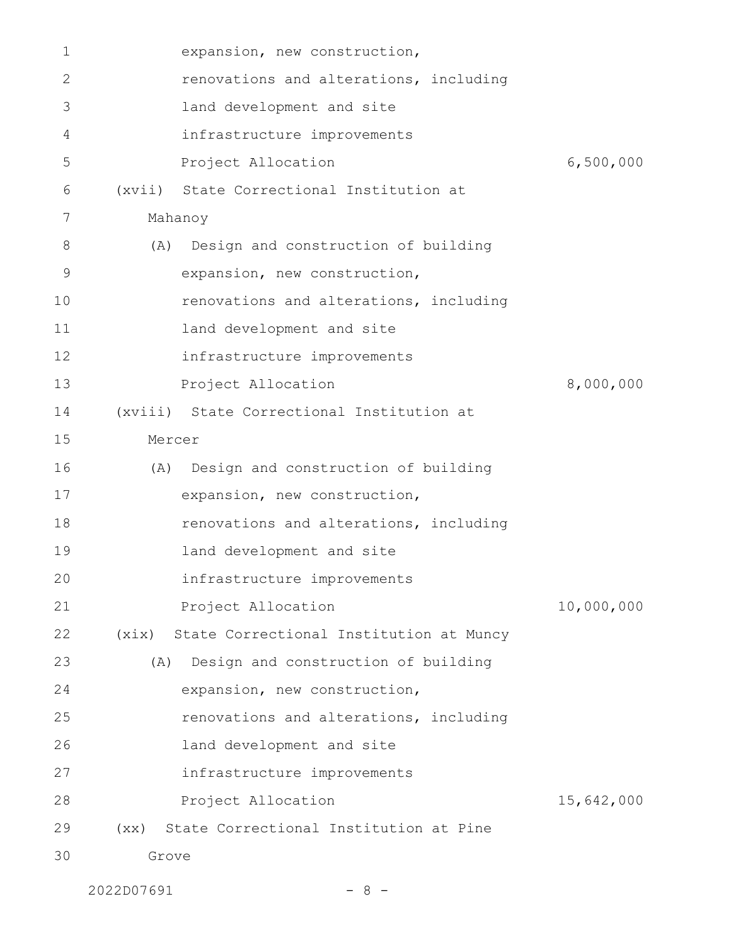| 1  |         | expansion, new construction,                  |            |
|----|---------|-----------------------------------------------|------------|
| 2  |         | renovations and alterations, including        |            |
| 3  |         | land development and site                     |            |
| 4  |         | infrastructure improvements                   |            |
| 5  |         | Project Allocation                            | 6,500,000  |
| 6  |         | (xvii) State Correctional Institution at      |            |
| 7  | Mahanoy |                                               |            |
| 8  | (A)     | Design and construction of building           |            |
| 9  |         | expansion, new construction,                  |            |
| 10 |         | renovations and alterations, including        |            |
| 11 |         | land development and site                     |            |
| 12 |         | infrastructure improvements                   |            |
| 13 |         | Project Allocation                            | 8,000,000  |
| 14 |         | (xviii) State Correctional Institution at     |            |
| 15 | Mercer  |                                               |            |
| 16 | (A)     | Design and construction of building           |            |
| 17 |         | expansion, new construction,                  |            |
| 18 |         | renovations and alterations, including        |            |
| 19 |         | land development and site                     |            |
| 20 |         | infrastructure improvements                   |            |
| 21 |         | Project Allocation                            | 10,000,000 |
| 22 |         | (xix) State Correctional Institution at Muncy |            |
| 23 | (A)     | Design and construction of building           |            |
| 24 |         | expansion, new construction,                  |            |
| 25 |         | renovations and alterations, including        |            |
| 26 |         | land development and site                     |            |
| 27 |         | infrastructure improvements                   |            |
| 28 |         | Project Allocation                            | 15,642,000 |
| 29 | (xx)    | State Correctional Institution at Pine        |            |
| 30 | Grove   |                                               |            |

2022D07691 - 8 -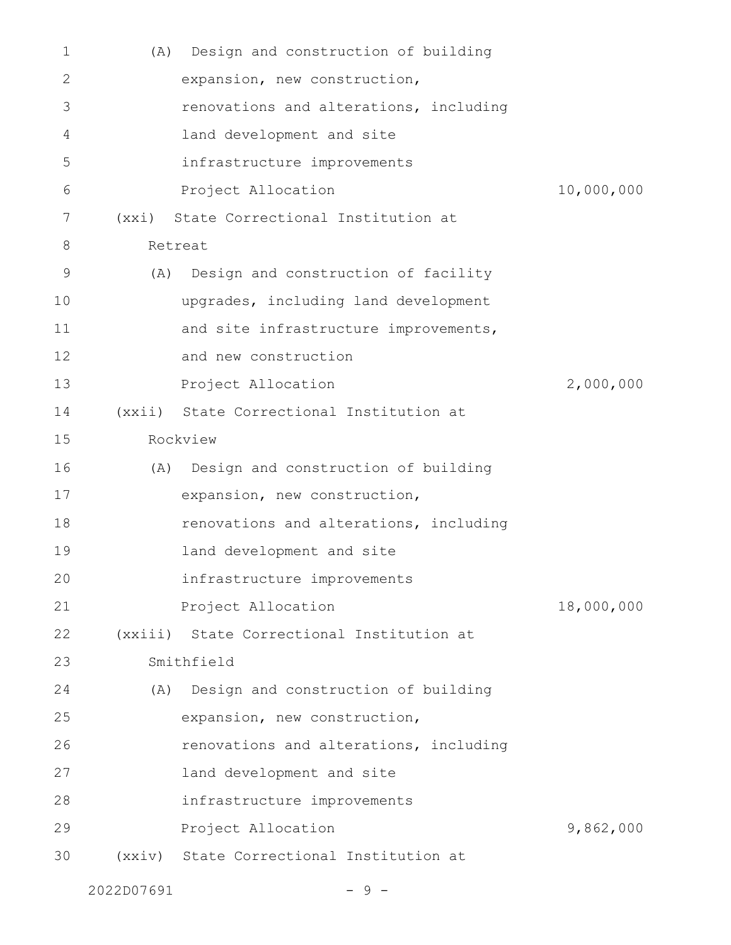| $\mathbf{1}$ | (A)   | Design and construction of building       |            |
|--------------|-------|-------------------------------------------|------------|
| 2            |       | expansion, new construction,              |            |
| 3            |       | renovations and alterations, including    |            |
| 4            |       | land development and site                 |            |
| 5            |       | infrastructure improvements               |            |
| 6            |       | Project Allocation                        | 10,000,000 |
| 7            | (xxi) | State Correctional Institution at         |            |
| 8            |       | Retreat                                   |            |
| 9            | (A)   | Design and construction of facility       |            |
| 10           |       | upgrades, including land development      |            |
| 11           |       | and site infrastructure improvements,     |            |
| 12           |       | and new construction                      |            |
| 13           |       | Project Allocation                        | 2,000,000  |
| 14           |       | (xxii) State Correctional Institution at  |            |
| 15           |       | Rockview                                  |            |
| 16           | (A)   | Design and construction of building       |            |
| 17           |       | expansion, new construction,              |            |
| 18           |       | renovations and alterations, including    |            |
| 19           |       | land development and site                 |            |
| 20           |       | infrastructure improvements               |            |
| 21           |       | Project Allocation                        | 18,000,000 |
| 22           |       | (xxiii) State Correctional Institution at |            |
| 23           |       | Smithfield                                |            |
| 24           |       | (A) Design and construction of building   |            |
| 25           |       | expansion, new construction,              |            |
| 26           |       | renovations and alterations, including    |            |
| 27           |       | land development and site                 |            |
| 28           |       | infrastructure improvements               |            |
| 29           |       | Project Allocation                        | 9,862,000  |
| 30           |       | (xxiv) State Correctional Institution at  |            |
|              |       |                                           |            |

 $2022D07691$  - 9 -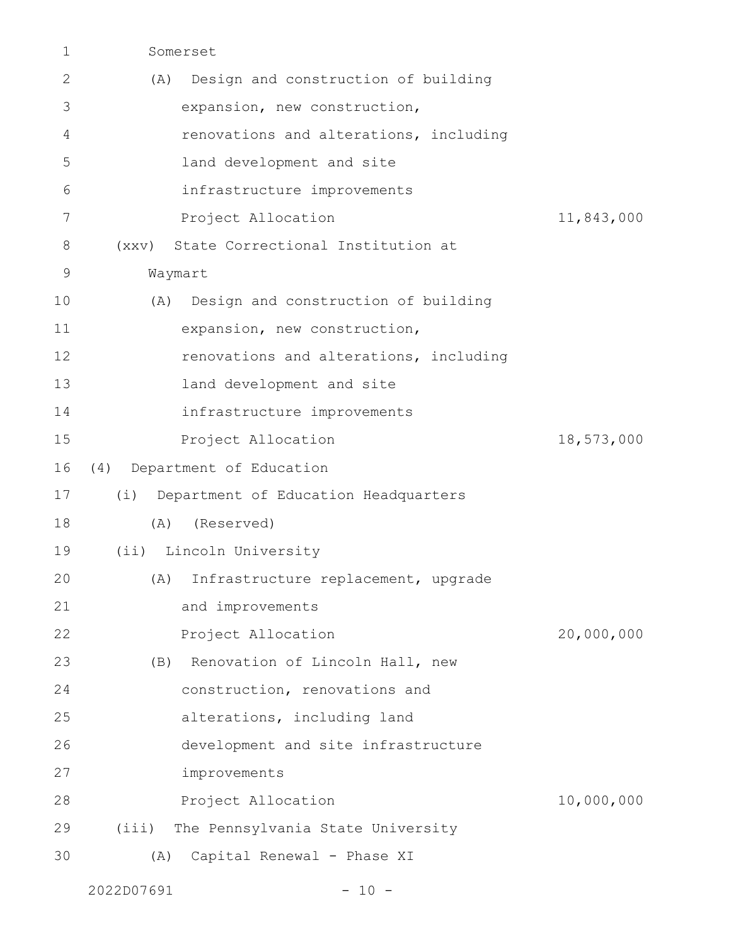| $\mathbf 1$ | Somerset                                    |            |
|-------------|---------------------------------------------|------------|
| 2           | Design and construction of building<br>(A)  |            |
| 3           | expansion, new construction,                |            |
| 4           | renovations and alterations, including      |            |
| 5           | land development and site                   |            |
| 6           | infrastructure improvements                 |            |
| 7           | Project Allocation                          | 11,843,000 |
| 8           | State Correctional Institution at<br>(xxy)  |            |
| 9           | Waymart                                     |            |
| 10          | Design and construction of building<br>(A)  |            |
| 11          | expansion, new construction,                |            |
| 12          | renovations and alterations, including      |            |
| 13          | land development and site                   |            |
| 14          | infrastructure improvements                 |            |
| 15          | Project Allocation                          | 18,573,000 |
| 16          | (4)<br>Department of Education              |            |
| 17          | Department of Education Headquarters<br>(i) |            |
| 18          | (Reserved)<br>(A)                           |            |
| 19          | (ii) Lincoln University                     |            |
| 20          | (A) Infrastructure replacement, upgrade     |            |
| 21          | and improvements                            |            |
| 22          | Project Allocation                          | 20,000,000 |
| 23          | (B) Renovation of Lincoln Hall, new         |            |
| 24          | construction, renovations and               |            |
| 25          | alterations, including land                 |            |
| 26          | development and site infrastructure         |            |
| 27          | improvements                                |            |
| 28          | Project Allocation                          | 10,000,000 |
| 29          | (iii)<br>The Pennsylvania State University  |            |
| 30          | Capital Renewal - Phase XI<br>(A)           |            |
|             |                                             |            |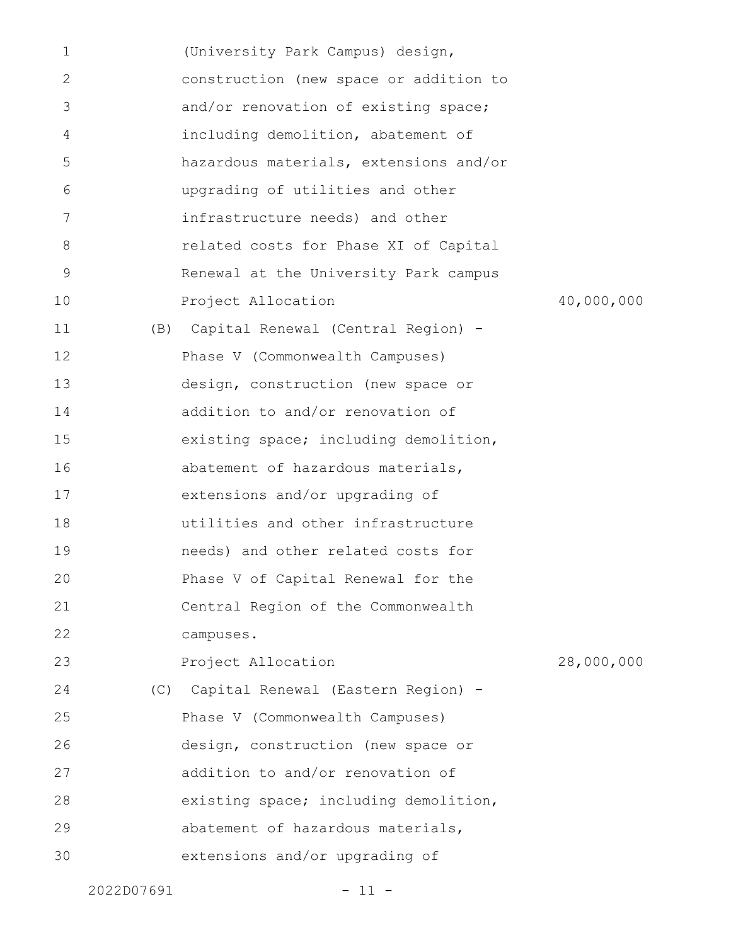| $\mathbf 1$ | (University Park Campus) design,       |            |
|-------------|----------------------------------------|------------|
| 2           | construction (new space or addition to |            |
| 3           | and/or renovation of existing space;   |            |
| 4           | including demolition, abatement of     |            |
| 5           | hazardous materials, extensions and/or |            |
| 6           | upgrading of utilities and other       |            |
| 7           | infrastructure needs) and other        |            |
| 8           | related costs for Phase XI of Capital  |            |
| 9           | Renewal at the University Park campus  |            |
| 10          | Project Allocation                     | 40,000,000 |
| 11          | (B) Capital Renewal (Central Region) - |            |
| 12          | Phase V (Commonwealth Campuses)        |            |
| 13          | design, construction (new space or     |            |
| 14          | addition to and/or renovation of       |            |
| 15          | existing space; including demolition,  |            |
| 16          | abatement of hazardous materials,      |            |
| 17          | extensions and/or upgrading of         |            |
| 18          | utilities and other infrastructure     |            |
| 19          | needs) and other related costs for     |            |
| 20          | Phase V of Capital Renewal for the     |            |
| 21          | Central Region of the Commonwealth     |            |
| 22          | campuses.                              |            |
| 23          | Project Allocation                     | 28,000,000 |
| 24          | (C) Capital Renewal (Eastern Region) - |            |
| 25          | Phase V (Commonwealth Campuses)        |            |
| 26          | design, construction (new space or     |            |
| 27          | addition to and/or renovation of       |            |
| 28          | existing space; including demolition,  |            |
| 29          | abatement of hazardous materials,      |            |
| 30          | extensions and/or upgrading of         |            |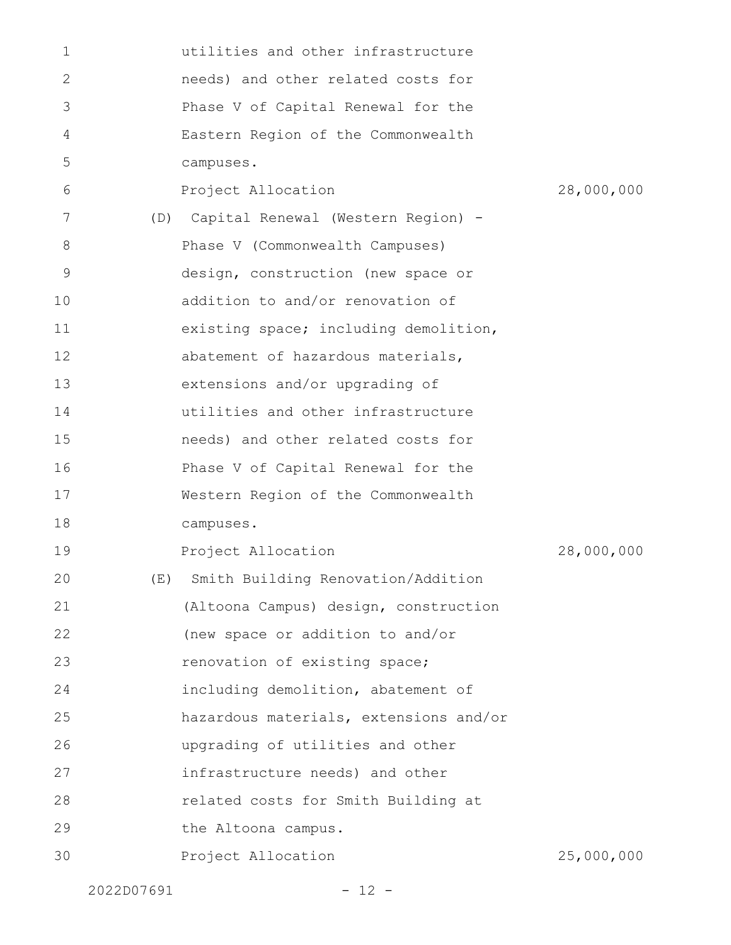| $\mathbf{1}$   |     | utilities and other infrastructure     |            |
|----------------|-----|----------------------------------------|------------|
| 2              |     | needs) and other related costs for     |            |
| 3              |     | Phase V of Capital Renewal for the     |            |
| $\overline{4}$ |     | Eastern Region of the Commonwealth     |            |
| 5              |     | campuses.                              |            |
| 6              |     | Project Allocation                     | 28,000,000 |
| 7              | (D) | Capital Renewal (Western Region) -     |            |
| 8              |     | Phase V (Commonwealth Campuses)        |            |
| 9              |     | design, construction (new space or     |            |
| 10             |     | addition to and/or renovation of       |            |
| 11             |     | existing space; including demolition,  |            |
| 12             |     | abatement of hazardous materials,      |            |
| 13             |     | extensions and/or upgrading of         |            |
| 14             |     | utilities and other infrastructure     |            |
| 15             |     | needs) and other related costs for     |            |
| 16             |     | Phase V of Capital Renewal for the     |            |
| 17             |     | Western Region of the Commonwealth     |            |
| 18             |     | campuses.                              |            |
| 19             |     | Project Allocation                     | 28,000,000 |
| 20             |     | (E) Smith Building Renovation/Addition |            |
| 21             |     | (Altoona Campus) design, construction  |            |
| 22             |     | (new space or addition to and/or       |            |
| 23             |     | renovation of existing space;          |            |
| 24             |     | including demolition, abatement of     |            |
| 25             |     | hazardous materials, extensions and/or |            |
| 26             |     | upgrading of utilities and other       |            |
| 27             |     | infrastructure needs) and other        |            |
| 28             |     | related costs for Smith Building at    |            |
| 29             |     | the Altoona campus.                    |            |
| 30             |     | Project Allocation                     | 25,000,000 |
|                |     |                                        |            |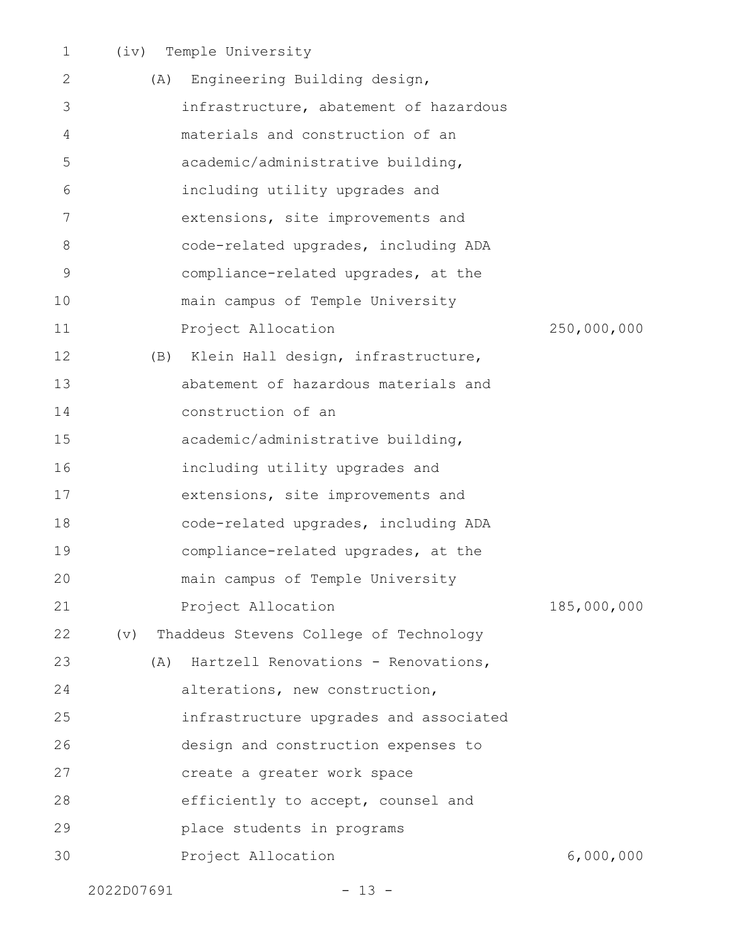|  | (iv) Temple University |
|--|------------------------|
|  |                        |

| 2           | (A)        | Engineering Building design,           |             |
|-------------|------------|----------------------------------------|-------------|
| 3           |            | infrastructure, abatement of hazardous |             |
| 4           |            | materials and construction of an       |             |
| 5           |            | academic/administrative building,      |             |
| 6           |            | including utility upgrades and         |             |
| 7           |            | extensions, site improvements and      |             |
| 8           |            | code-related upgrades, including ADA   |             |
| $\mathsf 9$ |            | compliance-related upgrades, at the    |             |
| 10          |            | main campus of Temple University       |             |
| 11          |            | Project Allocation                     | 250,000,000 |
| 12          | (B)        | Klein Hall design, infrastructure,     |             |
| 13          |            | abatement of hazardous materials and   |             |
| 14          |            | construction of an                     |             |
| 15          |            | academic/administrative building,      |             |
| 16          |            | including utility upgrades and         |             |
| 17          |            | extensions, site improvements and      |             |
| 18          |            | code-related upgrades, including ADA   |             |
| 19          |            | compliance-related upgrades, at the    |             |
| 20          |            | main campus of Temple University       |             |
| 21          |            | Project Allocation                     | 185,000,000 |
| 22          | (v)        | Thaddeus Stevens College of Technology |             |
| 23          | (A)        | Hartzell Renovations - Renovations,    |             |
| 24          |            | alterations, new construction,         |             |
| 25          |            | infrastructure upgrades and associated |             |
| 26          |            | design and construction expenses to    |             |
| 27          |            | create a greater work space            |             |
| 28          |            | efficiently to accept, counsel and     |             |
| 29          |            | place students in programs             |             |
| 30          |            | Project Allocation                     | 6,000,000   |
|             | 2022D07691 | $-13 -$                                |             |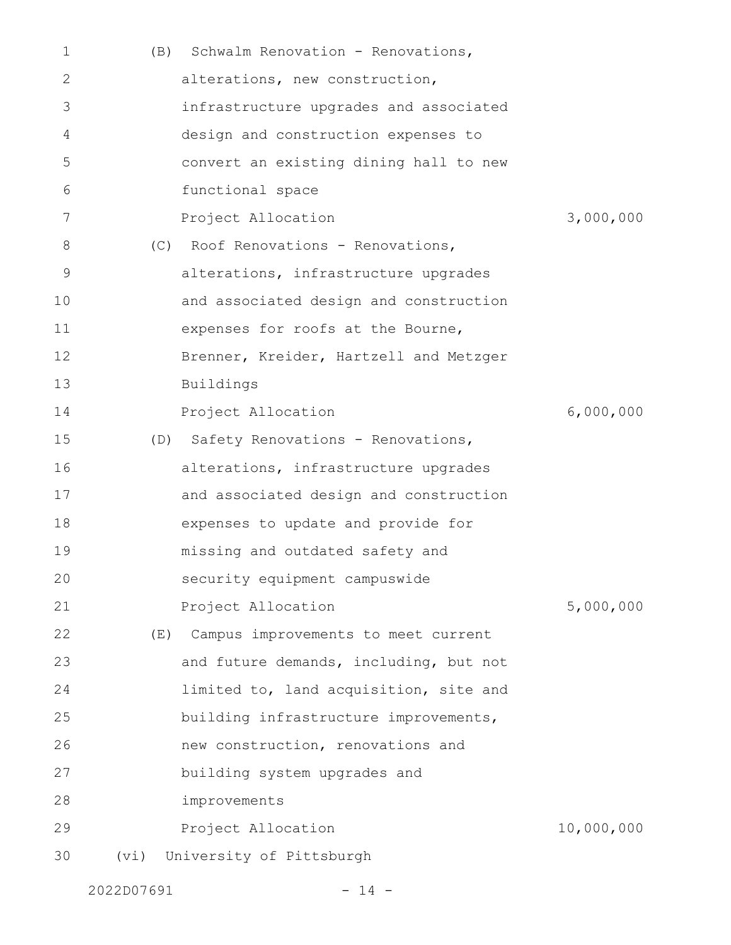| 1           | (B)  | Schwalm Renovation - Renovations,      |            |
|-------------|------|----------------------------------------|------------|
| 2           |      | alterations, new construction,         |            |
| 3           |      | infrastructure upgrades and associated |            |
| 4           |      | design and construction expenses to    |            |
| 5           |      | convert an existing dining hall to new |            |
| 6           |      | functional space                       |            |
| 7           |      | Project Allocation                     | 3,000,000  |
| 8           | (C)  | Roof Renovations - Renovations,        |            |
| $\mathsf 9$ |      | alterations, infrastructure upgrades   |            |
| 10          |      | and associated design and construction |            |
| 11          |      | expenses for roofs at the Bourne,      |            |
| 12          |      | Brenner, Kreider, Hartzell and Metzger |            |
| 13          |      | Buildings                              |            |
| 14          |      | Project Allocation                     | 6,000,000  |
| 15          |      | (D) Safety Renovations - Renovations,  |            |
| 16          |      | alterations, infrastructure upgrades   |            |
| 17          |      | and associated design and construction |            |
| 18          |      | expenses to update and provide for     |            |
| 19          |      | missing and outdated safety and        |            |
| 20          |      | security equipment campuswide          |            |
| 21          |      | Project Allocation                     | 5,000,000  |
| 22          | (E)  | Campus improvements to meet current    |            |
| 23          |      | and future demands, including, but not |            |
| 24          |      | limited to, land acquisition, site and |            |
| 25          |      | building infrastructure improvements,  |            |
| 26          |      | new construction, renovations and      |            |
| 27          |      | building system upgrades and           |            |
| 28          |      | improvements                           |            |
| 29          |      | Project Allocation                     | 10,000,000 |
| 30          | (vi) | University of Pittsburgh               |            |

2022D07691 - 14 -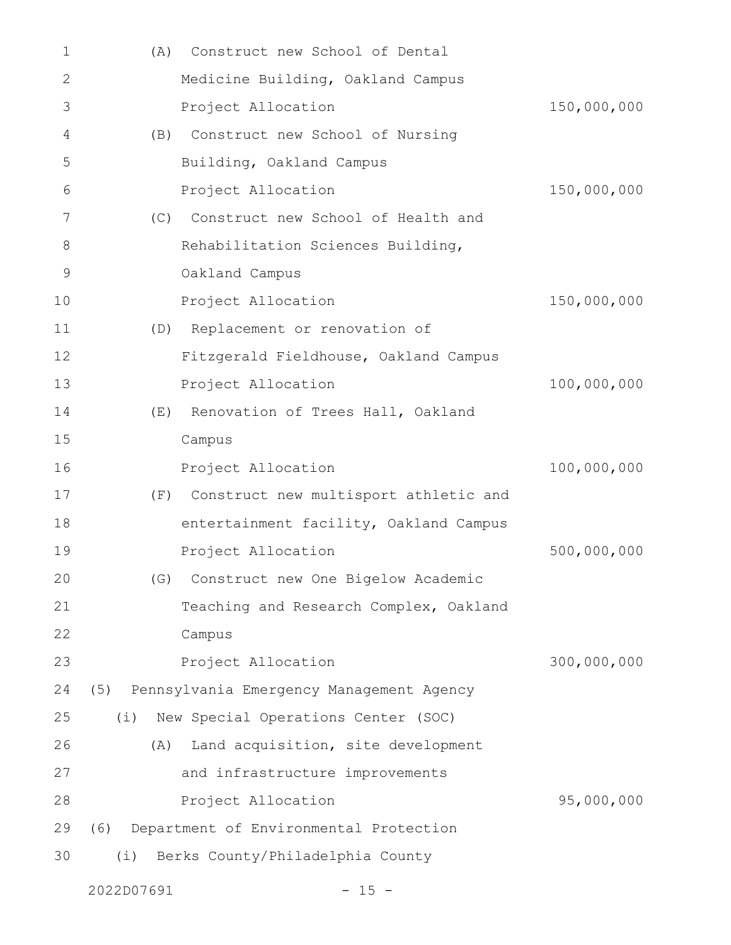| 1           | (A) | Construct new School of Dental            |             |
|-------------|-----|-------------------------------------------|-------------|
| 2           |     | Medicine Building, Oakland Campus         |             |
| 3           |     | Project Allocation                        | 150,000,000 |
| 4           |     | (B) Construct new School of Nursing       |             |
| 5           |     | Building, Oakland Campus                  |             |
| 6           |     | Project Allocation                        | 150,000,000 |
| 7           | (C) | Construct new School of Health and        |             |
| 8           |     | Rehabilitation Sciences Building,         |             |
| $\mathsf 9$ |     | Oakland Campus                            |             |
| 10          |     | Project Allocation                        | 150,000,000 |
| 11          | (D) | Replacement or renovation of              |             |
| 12          |     | Fitzgerald Fieldhouse, Oakland Campus     |             |
| 13          |     | Project Allocation                        | 100,000,000 |
| 14          | (E) | Renovation of Trees Hall, Oakland         |             |
| 15          |     | Campus                                    |             |
| 16          |     | Project Allocation                        | 100,000,000 |
| 17          |     | (F) Construct new multisport athletic and |             |
| 18          |     | entertainment facility, Oakland Campus    |             |
| 19          |     | Project Allocation                        | 500,000,000 |
| 20          | (G) | Construct new One Bigelow Academic        |             |
| 21          |     | Teaching and Research Complex, Oakland    |             |
| 22          |     | Campus                                    |             |
| 23          |     | Project Allocation                        | 300,000,000 |
| 24          | (5) | Pennsylvania Emergency Management Agency  |             |
| 25          | (i) | New Special Operations Center (SOC)       |             |
| 26          | (A) | Land acquisition, site development        |             |
| 27          |     | and infrastructure improvements           |             |
| 28          |     | Project Allocation                        | 95,000,000  |
| 29          | (6) | Department of Environmental Protection    |             |
| 30          | (i) | Berks County/Philadelphia County          |             |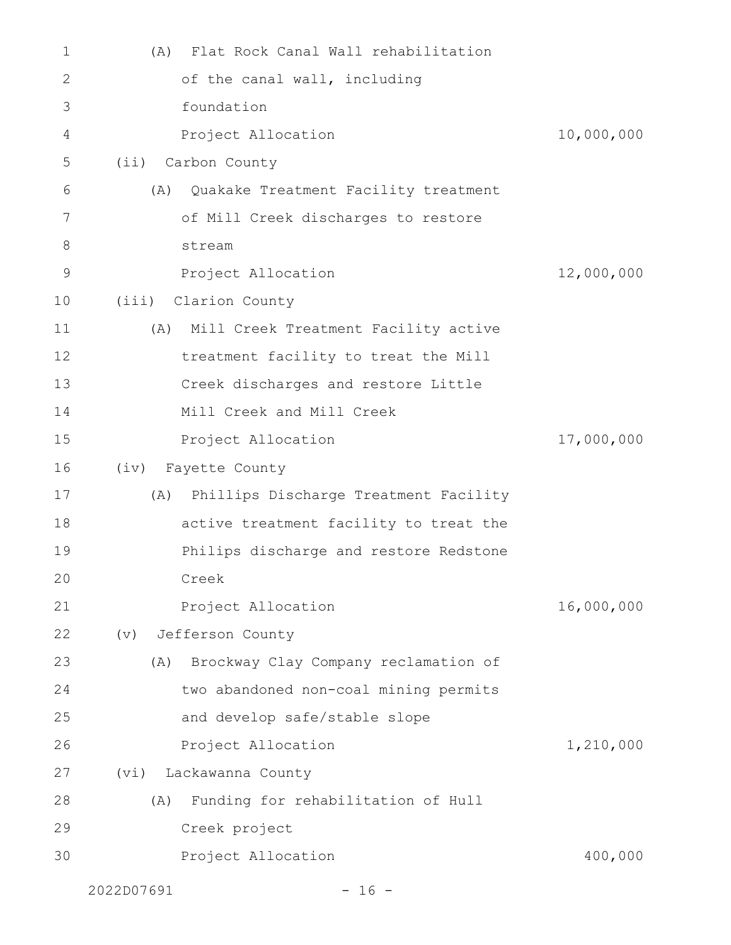| 1     | Flat Rock Canal Wall rehabilitation<br>(A)   |            |
|-------|----------------------------------------------|------------|
| 2     | of the canal wall, including                 |            |
| 3     | foundation                                   |            |
| 4     | Project Allocation                           | 10,000,000 |
| 5     | (ii) Carbon County                           |            |
| 6     | Quakake Treatment Facility treatment<br>(A)  |            |
| 7     | of Mill Creek discharges to restore          |            |
| $8\,$ | stream                                       |            |
| 9     | Project Allocation                           | 12,000,000 |
| 10    | (iii) Clarion County                         |            |
| 11    | (A) Mill Creek Treatment Facility active     |            |
| 12    | treatment facility to treat the Mill         |            |
| 13    | Creek discharges and restore Little          |            |
| 14    | Mill Creek and Mill Creek                    |            |
| 15    | Project Allocation                           | 17,000,000 |
| 16    | (iv) Fayette County                          |            |
| 17    | Phillips Discharge Treatment Facility<br>(A) |            |
| 18    | active treatment facility to treat the       |            |
| 19    | Philips discharge and restore Redstone       |            |
| 20    | Creek                                        |            |
| 21    | Project Allocation                           | 16,000,000 |
| 22    | Jefferson County<br>(v)                      |            |
| 23    | Brockway Clay Company reclamation of<br>(A)  |            |
| 24    | two abandoned non-coal mining permits        |            |
| 25    | and develop safe/stable slope                |            |
| 26    | Project Allocation                           | 1,210,000  |
| 27    | Lackawanna County<br>(vi)                    |            |
| 28    | Funding for rehabilitation of Hull<br>(A)    |            |
| 29    | Creek project                                |            |
| 30    | Project Allocation                           | 400,000    |
|       |                                              |            |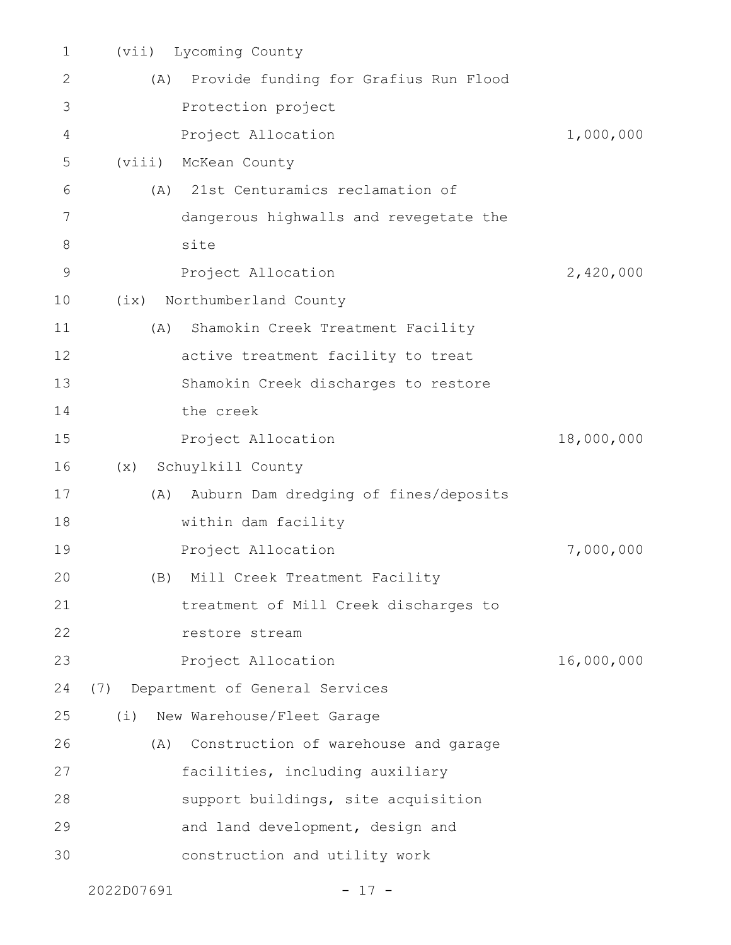| 1             | Lycoming County<br>(vii)              |                                        |            |
|---------------|---------------------------------------|----------------------------------------|------------|
| $\mathbf{2}$  | (A)                                   | Provide funding for Grafius Run Flood  |            |
| 3             | Protection project                    |                                        |            |
| 4             | Project Allocation                    |                                        | 1,000,000  |
| 5             | (viii)<br>McKean County               |                                        |            |
| 6             | (A)                                   | 21st Centuramics reclamation of        |            |
| 7             |                                       | dangerous highwalls and revegetate the |            |
| 8             | site                                  |                                        |            |
| $\mathcal{G}$ | Project Allocation                    |                                        | 2,420,000  |
| 10            | Northumberland County<br>(ix)         |                                        |            |
| 11            | (A)                                   | Shamokin Creek Treatment Facility      |            |
| 12            |                                       | active treatment facility to treat     |            |
| 13            |                                       | Shamokin Creek discharges to restore   |            |
| 14            | the creek                             |                                        |            |
| 15            | Project Allocation                    |                                        | 18,000,000 |
| 16            | Schuylkill County<br>(x)              |                                        |            |
| 17            | (A)                                   | Auburn Dam dredging of fines/deposits  |            |
| 18            | within dam facility                   |                                        |            |
| 19            | Project Allocation                    |                                        | 7,000,000  |
| 20            | (B) Mill Creek Treatment Facility     |                                        |            |
| 21            |                                       | treatment of Mill Creek discharges to  |            |
| 22            | restore stream                        |                                        |            |
| 23            | Project Allocation                    |                                        | 16,000,000 |
| 24            | Department of General Services<br>(7) |                                        |            |
| 25            | New Warehouse/Fleet Garage<br>(i)     |                                        |            |
| 26            | (A)                                   | Construction of warehouse and garage   |            |
| 27            |                                       | facilities, including auxiliary        |            |
| 28            |                                       | support buildings, site acquisition    |            |
| 29            |                                       | and land development, design and       |            |
| 30            |                                       | construction and utility work          |            |
|               | 2022D07691                            | $17 -$                                 |            |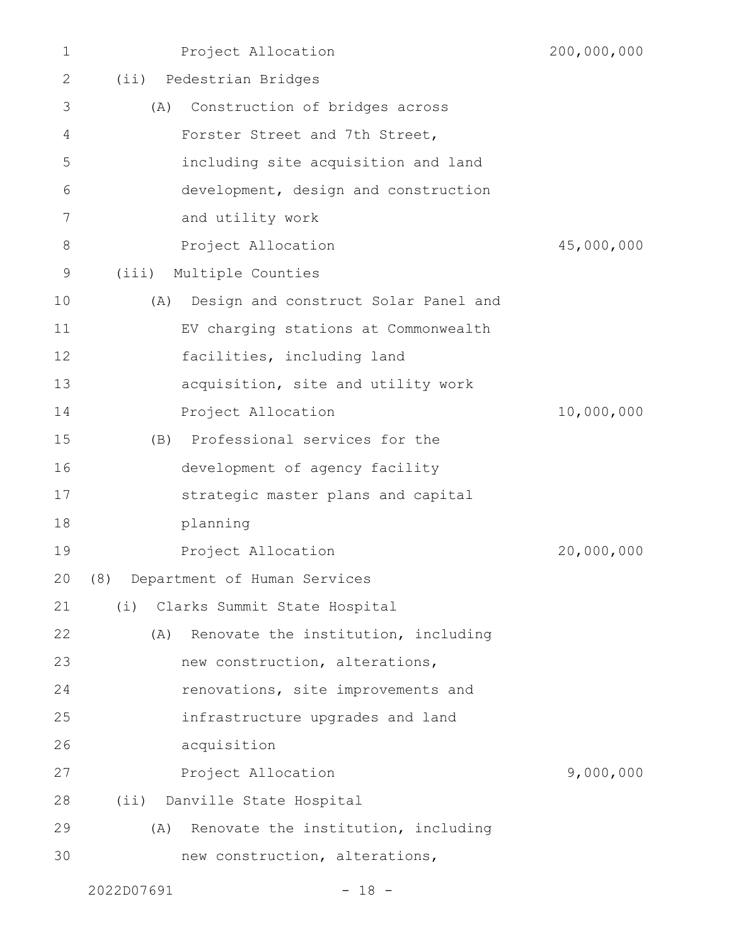| $\mathbf 1$ | Project Allocation                          | 200,000,000 |
|-------------|---------------------------------------------|-------------|
| 2           | (ii) Pedestrian Bridges                     |             |
| 3           | Construction of bridges across<br>(A)       |             |
| 4           | Forster Street and 7th Street,              |             |
| 5           | including site acquisition and land         |             |
| 6           | development, design and construction        |             |
| 7           | and utility work                            |             |
| 8           | Project Allocation                          | 45,000,000  |
| 9           | (iii)<br>Multiple Counties                  |             |
| 10          | Design and construct Solar Panel and<br>(A) |             |
| 11          | EV charging stations at Commonwealth        |             |
| 12          | facilities, including land                  |             |
| 13          | acquisition, site and utility work          |             |
| 14          | Project Allocation                          | 10,000,000  |
| 15          | (B) Professional services for the           |             |
| 16          | development of agency facility              |             |
| 17          | strategic master plans and capital          |             |
| 18          | planning                                    |             |
| 19          | Project Allocation                          | 20,000,000  |
| 20          | (8) Department of Human Services            |             |
| 21          | Clarks Summit State Hospital<br>(i)         |             |
| 22          | Renovate the institution, including<br>(A)  |             |
| 23          | new construction, alterations,              |             |
| 24          | renovations, site improvements and          |             |
| 25          | infrastructure upgrades and land            |             |
| 26          | acquisition                                 |             |
| 27          | Project Allocation                          | 9,000,000   |
| 28          | (ii) Danville State Hospital                |             |
| 29          | Renovate the institution, including<br>(A)  |             |
| 30          | new construction, alterations,              |             |
|             |                                             |             |

2022D07691 - 18 -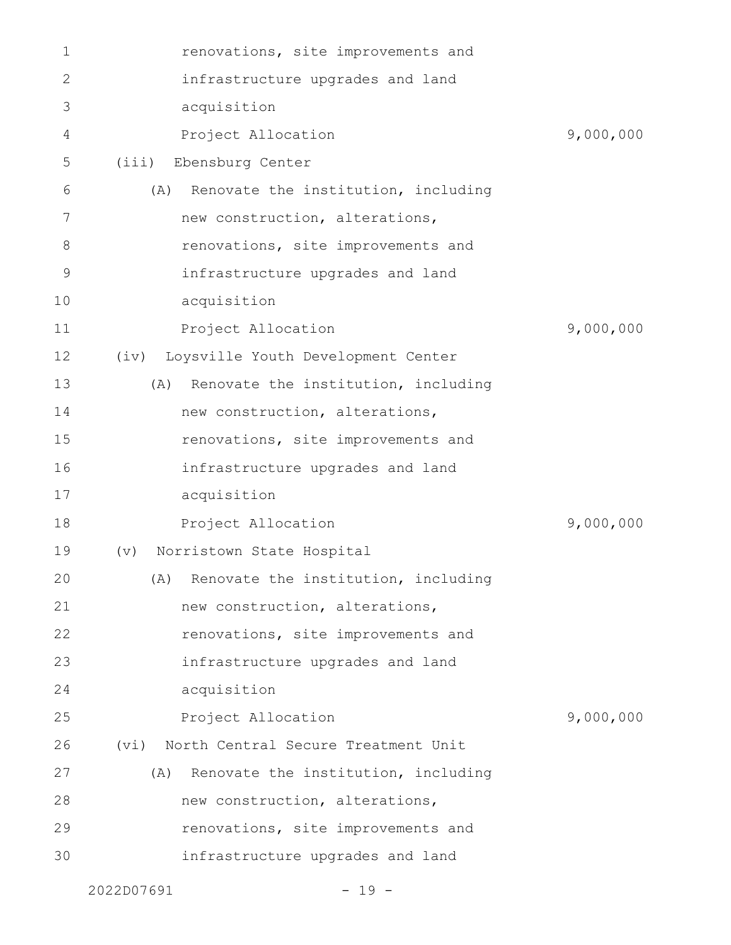|    | 2022D07691 | $-19 -$                                 |           |
|----|------------|-----------------------------------------|-----------|
| 30 |            | infrastructure upgrades and land        |           |
| 29 |            | renovations, site improvements and      |           |
| 28 |            | new construction, alterations,          |           |
| 27 | (A)        | Renovate the institution, including     |           |
| 26 | (vi)       | North Central Secure Treatment Unit     |           |
| 25 |            | Project Allocation                      | 9,000,000 |
| 24 |            | acquisition                             |           |
| 23 |            | infrastructure upgrades and land        |           |
| 22 |            | renovations, site improvements and      |           |
| 21 |            | new construction, alterations,          |           |
| 20 |            | (A) Renovate the institution, including |           |
| 19 | (v)        | Norristown State Hospital               |           |
| 18 |            | Project Allocation                      | 9,000,000 |
| 17 |            | acquisition                             |           |
| 16 |            | infrastructure upgrades and land        |           |
| 15 |            | renovations, site improvements and      |           |
| 14 |            | new construction, alterations,          |           |
| 13 | (A)        | Renovate the institution, including     |           |
| 12 | (iv)       | Loysville Youth Development Center      |           |
| 11 |            | Project Allocation                      | 9,000,000 |
| 10 |            | acquisition                             |           |
| 9  |            | infrastructure upgrades and land        |           |
| 8  |            | renovations, site improvements and      |           |
| 7  |            | new construction, alterations,          |           |
| 6  | (A)        | Renovate the institution, including     |           |
| 5  | (iii)      | Ebensburg Center                        |           |
| 4  |            | Project Allocation                      | 9,000,000 |
| 3  |            | acquisition                             |           |
| 2  |            | infrastructure upgrades and land        |           |
| 1  |            | renovations, site improvements and      |           |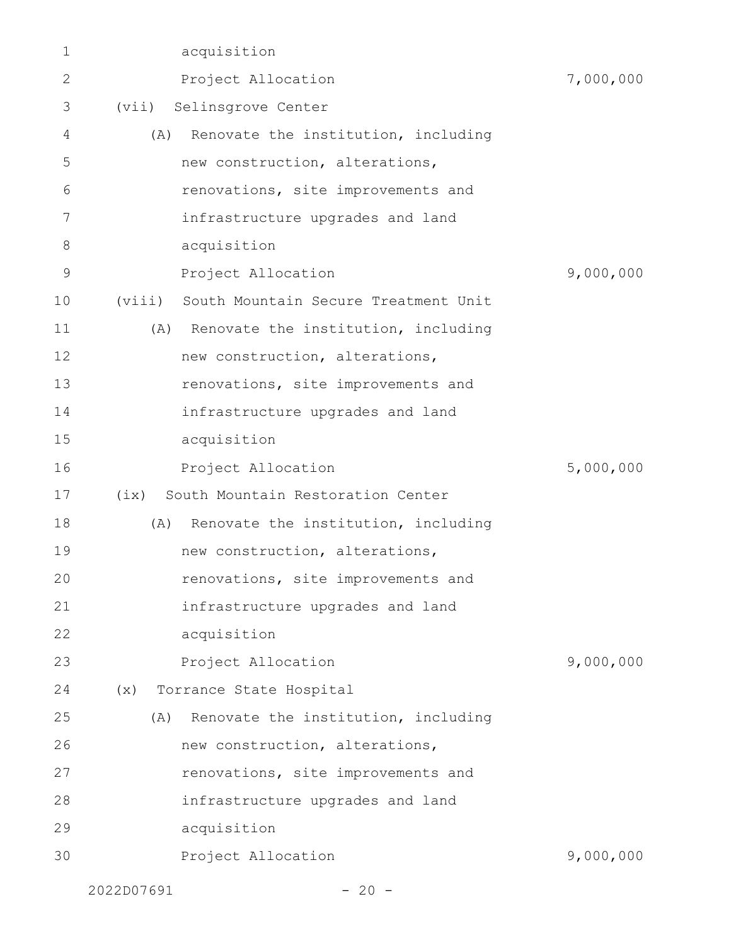| 1            |            | acquisition                             |           |
|--------------|------------|-----------------------------------------|-----------|
| $\mathbf{2}$ |            | Project Allocation                      | 7,000,000 |
| 3            | (vii)      | Selinsgrove Center                      |           |
| 4            | (A)        | Renovate the institution, including     |           |
| 5            |            | new construction, alterations,          |           |
| 6            |            | renovations, site improvements and      |           |
| 7            |            | infrastructure upgrades and land        |           |
| $8\,$        |            | acquisition                             |           |
| 9            |            | Project Allocation                      | 9,000,000 |
| 10           | (viii)     | South Mountain Secure Treatment Unit    |           |
| 11           |            | (A) Renovate the institution, including |           |
| 12           |            | new construction, alterations,          |           |
| 13           |            | renovations, site improvements and      |           |
| 14           |            | infrastructure upgrades and land        |           |
| 15           |            | acquisition                             |           |
| 16           |            | Project Allocation                      | 5,000,000 |
| 17           | (ix)       | South Mountain Restoration Center       |           |
| 18           | (A)        | Renovate the institution, including     |           |
| 19           |            | new construction, alterations,          |           |
| 20           |            | renovations, site improvements and      |           |
| 21           |            | infrastructure upgrades and land        |           |
| 22           |            | acquisition                             |           |
| 23           |            | Project Allocation                      | 9,000,000 |
| 24           | (x)        | Torrance State Hospital                 |           |
| 25           | (A)        | Renovate the institution, including     |           |
| 26           |            | new construction, alterations,          |           |
| 27           |            | renovations, site improvements and      |           |
| 28           |            | infrastructure upgrades and land        |           |
| 29           |            | acquisition                             |           |
| 30           |            | Project Allocation                      | 9,000,000 |
|              | 2022D07691 | $-20 -$                                 |           |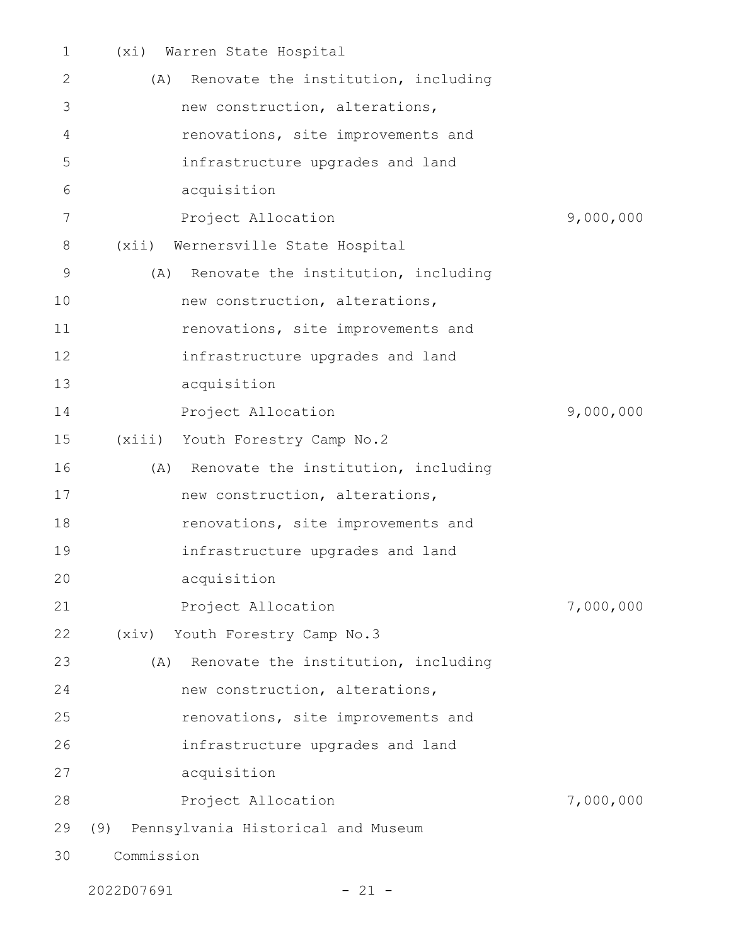| $\mathbf 1$ | Warren State Hospital<br>(xi)              |           |
|-------------|--------------------------------------------|-----------|
| 2           | Renovate the institution, including<br>(A) |           |
| 3           | new construction, alterations,             |           |
| 4           | renovations, site improvements and         |           |
| 5           | infrastructure upgrades and land           |           |
| 6           | acquisition                                |           |
| 7           | Project Allocation                         | 9,000,000 |
| 8           | (xii)<br>Wernersville State Hospital       |           |
| $\mathsf 9$ | Renovate the institution, including<br>(A) |           |
| 10          | new construction, alterations,             |           |
| 11          | renovations, site improvements and         |           |
| 12          | infrastructure upgrades and land           |           |
| 13          | acquisition                                |           |
| 14          | Project Allocation                         | 9,000,000 |
| 15          | (xiii)<br>Youth Forestry Camp No.2         |           |
| 16          | Renovate the institution, including<br>(A) |           |
| 17          | new construction, alterations,             |           |
| 18          | renovations, site improvements and         |           |
| 19          | infrastructure upgrades and land           |           |
| 20          | acquisition                                |           |
| 21          | Project Allocation                         | 7,000,000 |
| 22          | (xiv) Youth Forestry Camp No.3             |           |
| 23          | Renovate the institution, including<br>(A) |           |
| 24          | new construction, alterations,             |           |
| 25          | renovations, site improvements and         |           |
| 26          | infrastructure upgrades and land           |           |
| 27          | acquisition                                |           |
| 28          | Project Allocation                         | 7,000,000 |
| 29          | (9)<br>Pennsylvania Historical and Museum  |           |
| 30          | Commission                                 |           |

2022D07691 - 21 -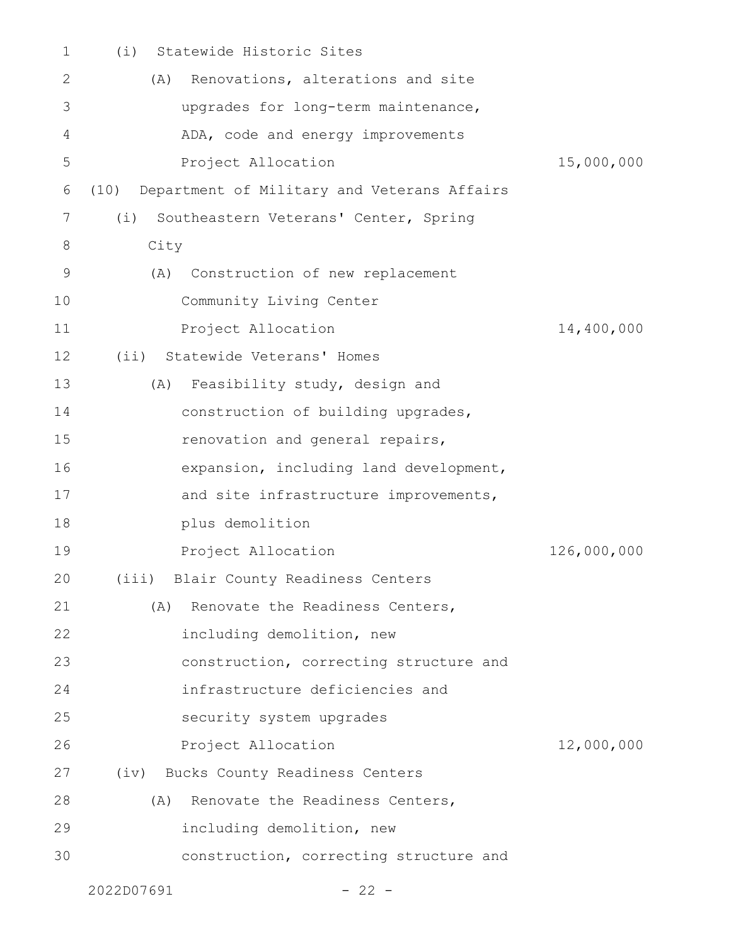| 1  | Statewide Historic Sites<br>(i)                     |             |
|----|-----------------------------------------------------|-------------|
| 2  | Renovations, alterations and site<br>(A)            |             |
| 3  | upgrades for long-term maintenance,                 |             |
| 4  | ADA, code and energy improvements                   |             |
| 5  | Project Allocation                                  | 15,000,000  |
| 6  | (10)<br>Department of Military and Veterans Affairs |             |
| 7  | Southeastern Veterans' Center, Spring<br>(i)        |             |
| 8  | City                                                |             |
| 9  | Construction of new replacement<br>(A)              |             |
| 10 | Community Living Center                             |             |
| 11 | Project Allocation                                  | 14,400,000  |
| 12 | (ii) Statewide Veterans' Homes                      |             |
| 13 | Feasibility study, design and<br>(A)                |             |
| 14 | construction of building upgrades,                  |             |
| 15 | renovation and general repairs,                     |             |
| 16 | expansion, including land development,              |             |
| 17 | and site infrastructure improvements,               |             |
| 18 | plus demolition                                     |             |
| 19 | Project Allocation                                  | 126,000,000 |
| 20 | (iii) Blair County Readiness Centers                |             |
| 21 | Renovate the Readiness Centers,<br>(A)              |             |
| 22 | including demolition, new                           |             |
| 23 | construction, correcting structure and              |             |
| 24 | infrastructure deficiencies and                     |             |
| 25 | security system upgrades                            |             |
| 26 | Project Allocation                                  | 12,000,000  |
| 27 | (iv) Bucks County Readiness Centers                 |             |
| 28 | Renovate the Readiness Centers,<br>(A)              |             |
| 29 | including demolition, new                           |             |
| 30 | construction, correcting structure and              |             |
|    |                                                     |             |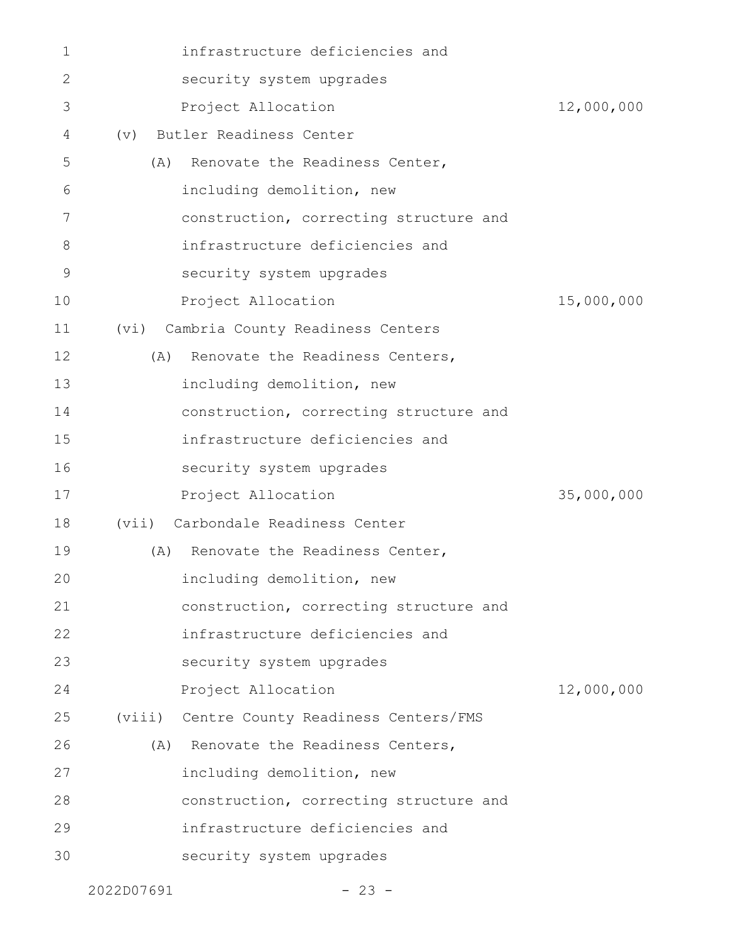| $\mathbf 1$ | infrastructure deficiencies and            |            |
|-------------|--------------------------------------------|------------|
| 2           | security system upgrades                   |            |
| 3           | Project Allocation                         | 12,000,000 |
| 4           | Butler Readiness Center<br>$(\nabla)$      |            |
| 5           | Renovate the Readiness Center,<br>(A)      |            |
| 6           | including demolition, new                  |            |
| 7           | construction, correcting structure and     |            |
| 8           | infrastructure deficiencies and            |            |
| 9           | security system upgrades                   |            |
| 10          | Project Allocation                         | 15,000,000 |
| 11          | Cambria County Readiness Centers<br>(vi)   |            |
| 12          | (A) Renovate the Readiness Centers,        |            |
| 13          | including demolition, new                  |            |
| 14          | construction, correcting structure and     |            |
| 15          | infrastructure deficiencies and            |            |
| 16          | security system upgrades                   |            |
| 17          | Project Allocation                         | 35,000,000 |
| 18          | (vii) Carbondale Readiness Center          |            |
| 19          | Renovate the Readiness Center,<br>(A)      |            |
| 20          | including demolition, new                  |            |
| 21          | construction, correcting structure and     |            |
| 22          | infrastructure deficiencies and            |            |
| 23          | security system upgrades                   |            |
| 24          | Project Allocation                         | 12,000,000 |
| 25          | (viii) Centre County Readiness Centers/FMS |            |
| 26          | (A) Renovate the Readiness Centers,        |            |
| 27          | including demolition, new                  |            |
| 28          | construction, correcting structure and     |            |
| 29          | infrastructure deficiencies and            |            |
| 30          | security system upgrades                   |            |
|             |                                            |            |

2022D07691 - 23 -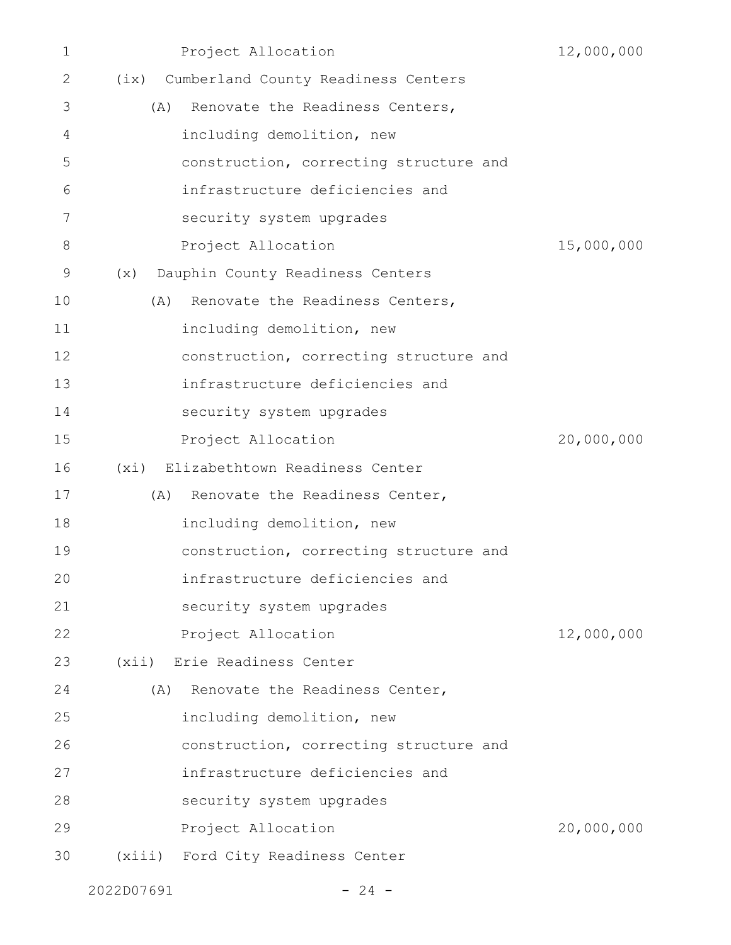| $\mathbf 1$ | Project Allocation                       | 12,000,000 |
|-------------|------------------------------------------|------------|
| 2           | (ix) Cumberland County Readiness Centers |            |
| 3           | (A) Renovate the Readiness Centers,      |            |
| 4           | including demolition, new                |            |
| 5           | construction, correcting structure and   |            |
| 6           | infrastructure deficiencies and          |            |
| 7           | security system upgrades                 |            |
| 8           | Project Allocation                       | 15,000,000 |
| 9           | Dauphin County Readiness Centers<br>(x)  |            |
| 10          | Renovate the Readiness Centers,<br>(A)   |            |
| 11          | including demolition, new                |            |
| 12          | construction, correcting structure and   |            |
| 13          | infrastructure deficiencies and          |            |
| 14          | security system upgrades                 |            |
| 15          | Project Allocation                       | 20,000,000 |
| 16          | (xi) Elizabethtown Readiness Center      |            |
| 17          | Renovate the Readiness Center,<br>(A)    |            |
| 18          | including demolition, new                |            |
| 19          | construction, correcting structure and   |            |
| 20          | infrastructure deficiencies and          |            |
| 21          | security system upgrades                 |            |
| 22          | Project Allocation                       | 12,000,000 |
| 23          | (xii) Erie Readiness Center              |            |
| 24          | Renovate the Readiness Center,<br>(A)    |            |
| 25          | including demolition, new                |            |
| 26          | construction, correcting structure and   |            |
| 27          | infrastructure deficiencies and          |            |
| 28          | security system upgrades                 |            |
| 29          | Project Allocation                       | 20,000,000 |
| 30          | (xiii) Ford City Readiness Center        |            |
|             |                                          |            |

 $2022D07691$  - 24 -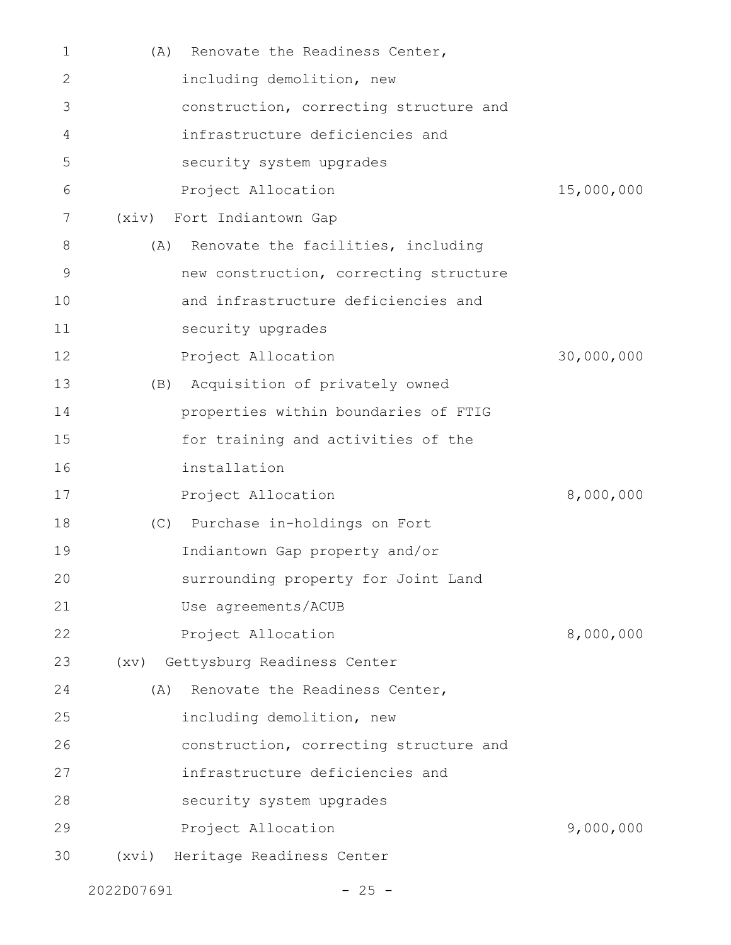| 1  | Renovate the Readiness Center,<br>(A)     |            |
|----|-------------------------------------------|------------|
| 2  | including demolition, new                 |            |
| 3  | construction, correcting structure and    |            |
| 4  | infrastructure deficiencies and           |            |
| 5  | security system upgrades                  |            |
| 6  | Project Allocation                        | 15,000,000 |
| 7  | (xiv) Fort Indiantown Gap                 |            |
| 8  | Renovate the facilities, including<br>(A) |            |
| 9  | new construction, correcting structure    |            |
| 10 | and infrastructure deficiencies and       |            |
| 11 | security upgrades                         |            |
| 12 | Project Allocation                        | 30,000,000 |
| 13 | (B) Acquisition of privately owned        |            |
| 14 | properties within boundaries of FTIG      |            |
| 15 | for training and activities of the        |            |
| 16 | installation                              |            |
| 17 | Project Allocation                        | 8,000,000  |
| 18 | (C) Purchase in-holdings on Fort          |            |
| 19 | Indiantown Gap property and/or            |            |
| 20 | surrounding property for Joint Land       |            |
| 21 | Use agreements/ACUB                       |            |
| 22 | Project Allocation                        | 8,000,000  |
| 23 | (xv) Gettysburg Readiness Center          |            |
| 24 | Renovate the Readiness Center,<br>(A)     |            |
| 25 | including demolition, new                 |            |
| 26 | construction, correcting structure and    |            |
| 27 | infrastructure deficiencies and           |            |
| 28 | security system upgrades                  |            |
| 29 | Project Allocation                        | 9,000,000  |
| 30 | (xvi) Heritage Readiness Center           |            |
|    |                                           |            |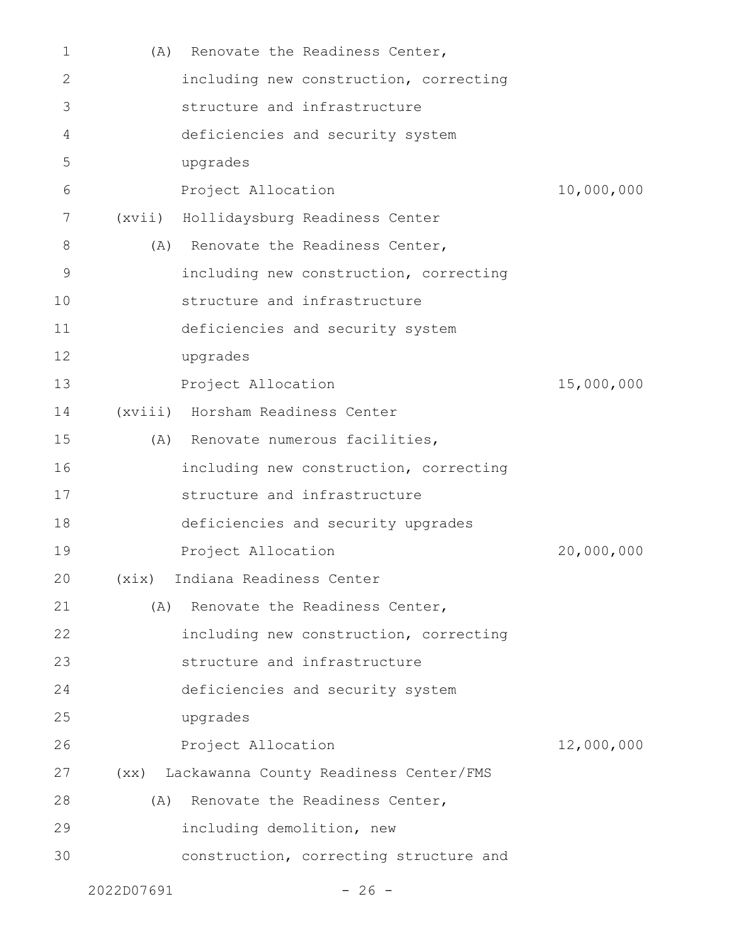| $\mathbf 1$ | (A)        | Renovate the Readiness Center,              |            |
|-------------|------------|---------------------------------------------|------------|
| 2           |            | including new construction, correcting      |            |
| 3           |            | structure and infrastructure                |            |
| 4           |            | deficiencies and security system            |            |
| 5           |            | upgrades                                    |            |
| 6           |            | Project Allocation                          | 10,000,000 |
| 7           |            | (xvii) Hollidaysburg Readiness Center       |            |
| 8           |            | (A) Renovate the Readiness Center,          |            |
| 9           |            | including new construction, correcting      |            |
| 10          |            | structure and infrastructure                |            |
| 11          |            | deficiencies and security system            |            |
| 12          |            | upgrades                                    |            |
| 13          |            | Project Allocation                          | 15,000,000 |
| 14          |            | (xviii) Horsham Readiness Center            |            |
| 15          |            | (A) Renovate numerous facilities,           |            |
| 16          |            | including new construction, correcting      |            |
| 17          |            | structure and infrastructure                |            |
| 18          |            | deficiencies and security upgrades          |            |
| 19          |            | Project Allocation                          | 20,000,000 |
| 20          |            | (xix) Indiana Readiness Center              |            |
| 21          |            | (A) Renovate the Readiness Center,          |            |
| 22          |            | including new construction, correcting      |            |
| 23          |            | structure and infrastructure                |            |
| 24          |            | deficiencies and security system            |            |
| 25          |            | upgrades                                    |            |
| 26          |            | Project Allocation                          | 12,000,000 |
| 27          |            | (xx) Lackawanna County Readiness Center/FMS |            |
| 28          | (A)        | Renovate the Readiness Center,              |            |
| 29          |            | including demolition, new                   |            |
| 30          |            | construction, correcting structure and      |            |
|             | 2022D07691 | $-26 -$                                     |            |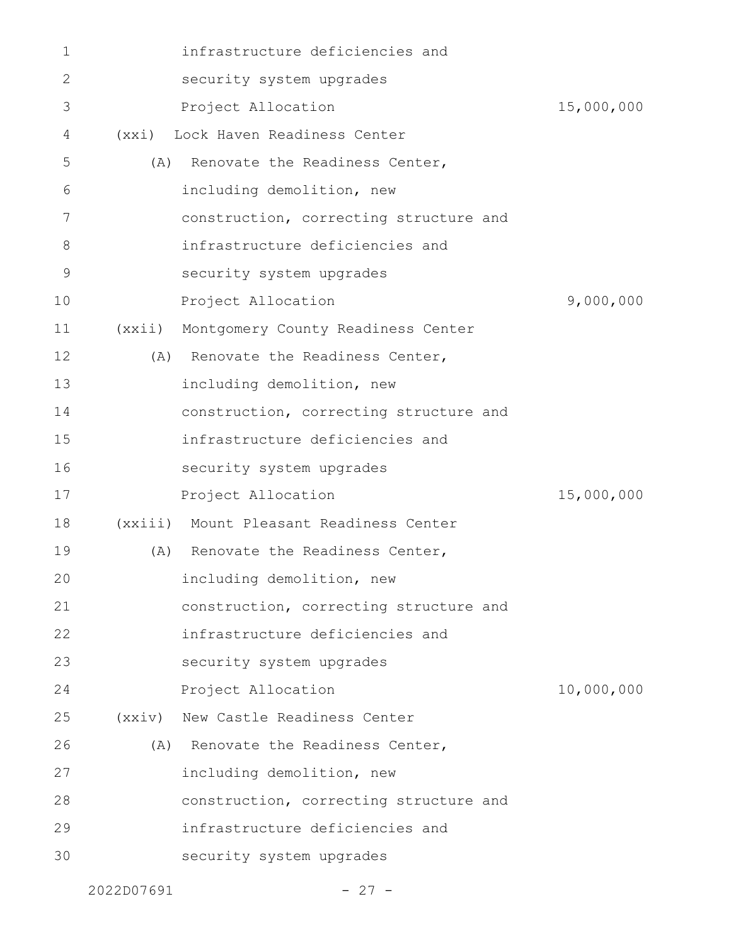| 1  |                 | infrastructure deficiencies and         |            |
|----|-----------------|-----------------------------------------|------------|
| 2  |                 | security system upgrades                |            |
| 3  |                 | Project Allocation                      | 15,000,000 |
| 4  |                 | (xxi) Lock Haven Readiness Center       |            |
| 5  | (A)             | Renovate the Readiness Center,          |            |
| 6  |                 | including demolition, new               |            |
| 7  |                 | construction, correcting structure and  |            |
| 8  |                 | infrastructure deficiencies and         |            |
| 9  |                 | security system upgrades                |            |
| 10 |                 | Project Allocation                      | 9,000,000  |
| 11 | (xxi)           | Montgomery County Readiness Center      |            |
| 12 |                 | (A) Renovate the Readiness Center,      |            |
| 13 |                 | including demolition, new               |            |
| 14 |                 | construction, correcting structure and  |            |
| 15 |                 | infrastructure deficiencies and         |            |
| 16 |                 | security system upgrades                |            |
| 17 |                 | Project Allocation                      | 15,000,000 |
| 18 |                 | (xxiii) Mount Pleasant Readiness Center |            |
| 19 |                 | (A) Renovate the Readiness Center,      |            |
| 20 |                 | including demolition, new               |            |
| 21 |                 | construction, correcting structure and  |            |
| 22 |                 | infrastructure deficiencies and         |            |
| 23 |                 | security system upgrades                |            |
| 24 |                 | Project Allocation                      | 10,000,000 |
| 25 | $(x \times iv)$ | New Castle Readiness Center             |            |
| 26 |                 | (A) Renovate the Readiness Center,      |            |
| 27 |                 | including demolition, new               |            |
| 28 |                 | construction, correcting structure and  |            |
| 29 |                 | infrastructure deficiencies and         |            |
| 30 |                 | security system upgrades                |            |
|    |                 |                                         |            |

2022D07691 - 27 -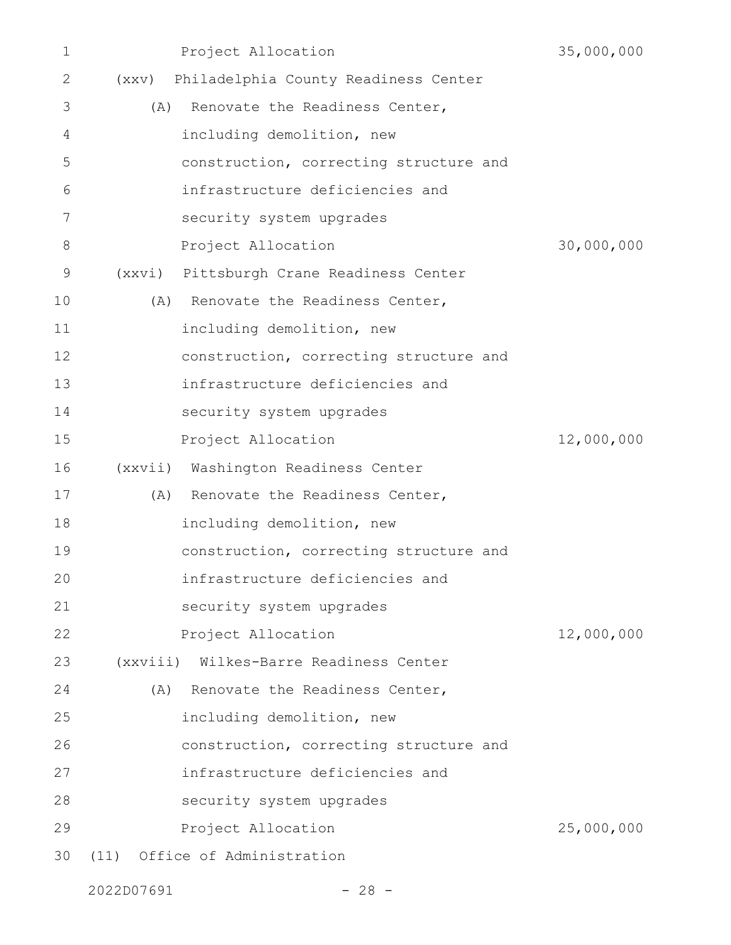| $\mathbf 1$ |     | Project Allocation                         | 35,000,000 |
|-------------|-----|--------------------------------------------|------------|
| 2           |     | (xxv) Philadelphia County Readiness Center |            |
| 3           |     | (A) Renovate the Readiness Center,         |            |
| 4           |     | including demolition, new                  |            |
| 5           |     | construction, correcting structure and     |            |
| 6           |     | infrastructure deficiencies and            |            |
| 7           |     | security system upgrades                   |            |
| 8           |     | Project Allocation                         | 30,000,000 |
| $\mathsf 9$ |     | (xxvi) Pittsburgh Crane Readiness Center   |            |
| 10          |     | (A) Renovate the Readiness Center,         |            |
| 11          |     | including demolition, new                  |            |
| 12          |     | construction, correcting structure and     |            |
| 13          |     | infrastructure deficiencies and            |            |
| 14          |     | security system upgrades                   |            |
| 15          |     | Project Allocation                         | 12,000,000 |
| 16          |     | (xxvii) Washington Readiness Center        |            |
| 17          |     | (A) Renovate the Readiness Center,         |            |
| 18          |     | including demolition, new                  |            |
| 19          |     | construction, correcting structure and     |            |
| 20          |     | infrastructure deficiencies and            |            |
| 21          |     | security system upgrades                   |            |
| 22          |     | Project Allocation                         | 12,000,000 |
| 23          |     | (xxviii) Wilkes-Barre Readiness Center     |            |
| 24          | (A) | Renovate the Readiness Center,             |            |
| 25          |     | including demolition, new                  |            |
| 26          |     | construction, correcting structure and     |            |
| 27          |     | infrastructure deficiencies and            |            |
| 28          |     | security system upgrades                   |            |
| 29          |     | Project Allocation                         | 25,000,000 |
| 30          |     | (11) Office of Administration              |            |

2022D07691 - 28 -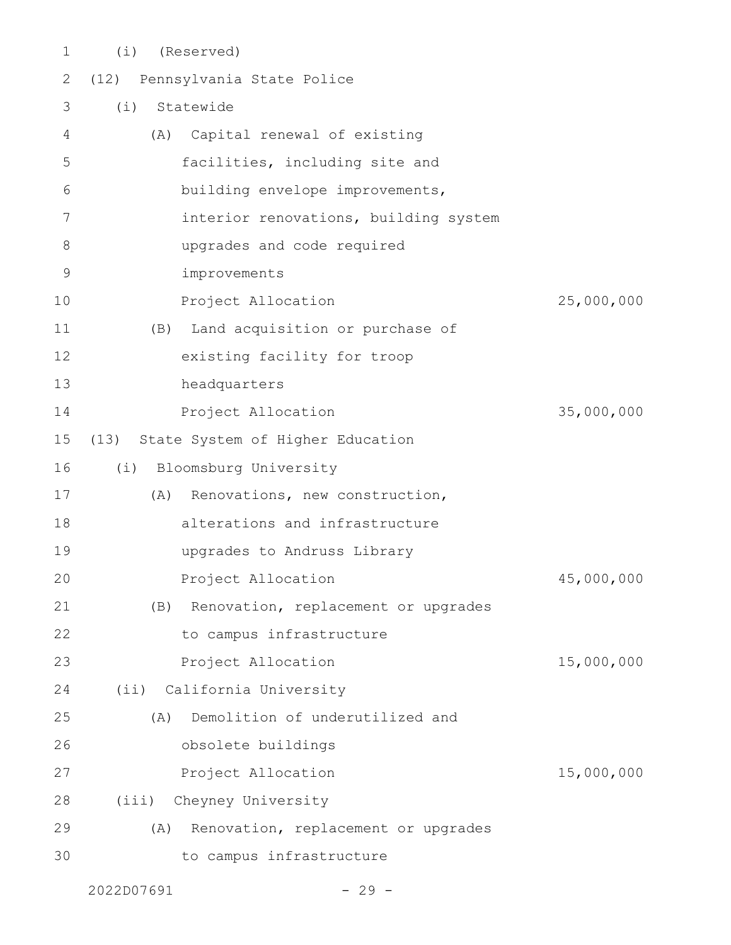- (i) (Reserved) (12) Pennsylvania State Police (i) Statewide (A) Capital renewal of existing facilities, including site and building envelope improvements, interior renovations, building system upgrades and code required improvements Project Allocation 25,000,000 (B) Land acquisition or purchase of existing facility for troop headquarters Project Allocation 35,000,000 (13) State System of Higher Education (i) Bloomsburg University (A) Renovations, new construction, alterations and infrastructure upgrades to Andruss Library Project Allocation and 45,000,000 (B) Renovation, replacement or upgrades to campus infrastructure Project Allocation 15,000,000 (ii) California University (A) Demolition of underutilized and obsolete buildings Project Allocation 15,000,000 (iii) Cheyney University (A) Renovation, replacement or upgrades 1 2 3 4 5 6 7 8 9 10 11 12 13 14 15 16 17 18 19 20 21 22 23 24 25 26 27 28
- to campus infrastructure 29 30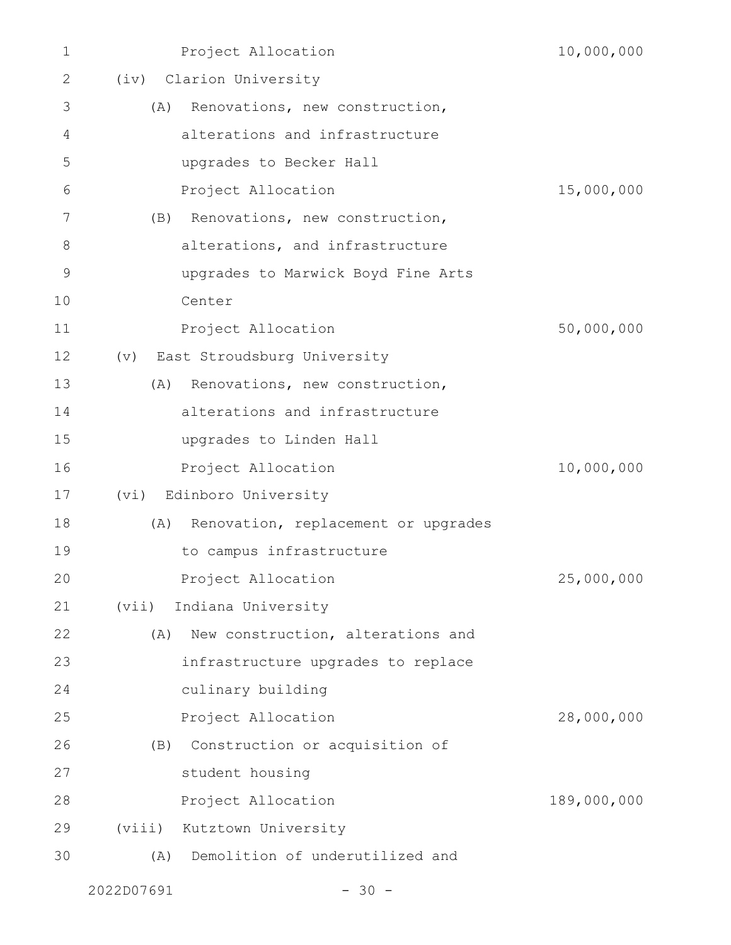| 1  | Project Allocation                         | 10,000,000  |
|----|--------------------------------------------|-------------|
| 2  | (iv) Clarion University                    |             |
| 3  | Renovations, new construction,<br>(A)      |             |
| 4  | alterations and infrastructure             |             |
| 5  | upgrades to Becker Hall                    |             |
| 6  | Project Allocation                         | 15,000,000  |
| 7  | Renovations, new construction,<br>(B)      |             |
| 8  | alterations, and infrastructure            |             |
| 9  | upgrades to Marwick Boyd Fine Arts         |             |
| 10 | Center                                     |             |
| 11 | Project Allocation                         | 50,000,000  |
| 12 | (v) East Stroudsburg University            |             |
| 13 | Renovations, new construction,<br>(A)      |             |
| 14 | alterations and infrastructure             |             |
| 15 | upgrades to Linden Hall                    |             |
| 16 | Project Allocation                         | 10,000,000  |
| 17 | (vi) Edinboro University                   |             |
| 18 | Renovation, replacement or upgrades<br>(A) |             |
| 19 | to campus infrastructure                   |             |
| 20 | Project Allocation                         | 25,000,000  |
| 21 | Indiana University<br>(vii)                |             |
| 22 | New construction, alterations and<br>(A)   |             |
| 23 | infrastructure upgrades to replace         |             |
| 24 | culinary building                          |             |
| 25 | Project Allocation                         | 28,000,000  |
| 26 | Construction or acquisition of<br>(B)      |             |
| 27 | student housing                            |             |
| 28 | Project Allocation                         | 189,000,000 |
| 29 | Kutztown University<br>(viii)              |             |
| 30 | Demolition of underutilized and<br>(A)     |             |
|    |                                            |             |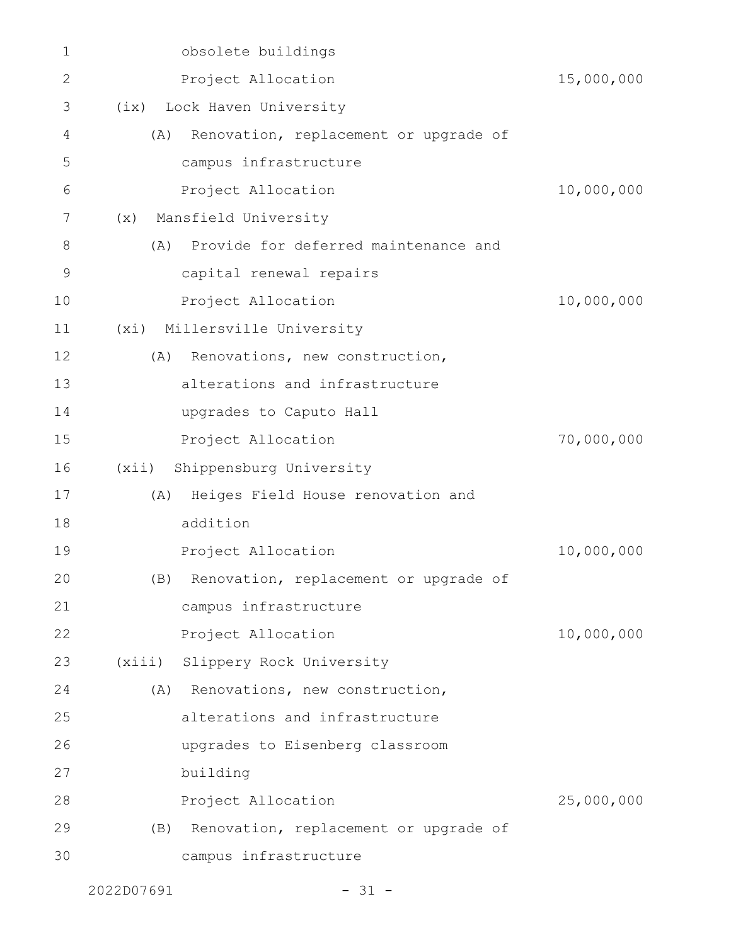| 1            |        | obsolete buildings                        |            |
|--------------|--------|-------------------------------------------|------------|
| $\mathbf{2}$ |        | Project Allocation                        | 15,000,000 |
| 3            |        | (ix) Lock Haven University                |            |
| 4            | (A)    | Renovation, replacement or upgrade of     |            |
| 5            |        | campus infrastructure                     |            |
| 6            |        | Project Allocation                        | 10,000,000 |
| 7            | (x)    | Mansfield University                      |            |
| 8            | (A)    | Provide for deferred maintenance and      |            |
| 9            |        | capital renewal repairs                   |            |
| 10           |        | Project Allocation                        | 10,000,000 |
| 11           | (xi)   | Millersville University                   |            |
| 12           | (A)    | Renovations, new construction,            |            |
| 13           |        | alterations and infrastructure            |            |
| 14           |        | upgrades to Caputo Hall                   |            |
| 15           |        | Project Allocation                        | 70,000,000 |
| 16           | (xii)  | Shippensburg University                   |            |
| 17           | (A)    | Heiges Field House renovation and         |            |
| 18           |        | addition                                  |            |
| 19           |        | Project Allocation                        | 10,000,000 |
| 20           |        | (B) Renovation, replacement or upgrade of |            |
| 21           |        | campus infrastructure                     |            |
| 22           |        | Project Allocation                        | 10,000,000 |
| 23           | (xiii) | Slippery Rock University                  |            |
| 24           |        | (A) Renovations, new construction,        |            |
| 25           |        | alterations and infrastructure            |            |
| 26           |        | upgrades to Eisenberg classroom           |            |
| 27           |        | building                                  |            |
| 28           |        | Project Allocation                        | 25,000,000 |
| 29           | (B)    | Renovation, replacement or upgrade of     |            |
| 30           |        | campus infrastructure                     |            |
|              |        |                                           |            |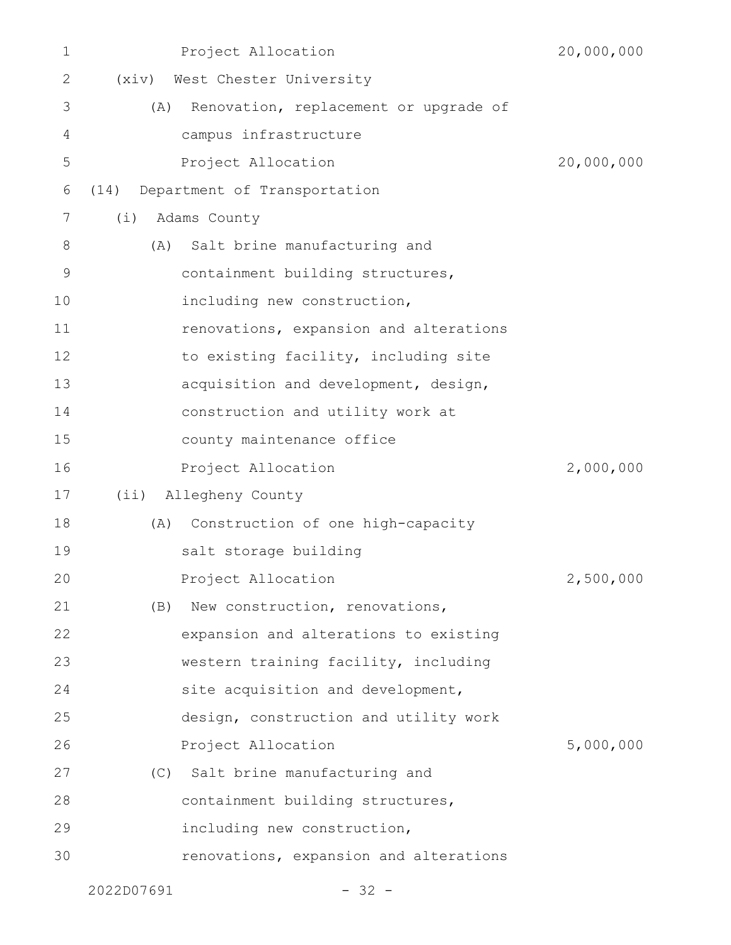| $\mathbf 1$  |         | Project Allocation                     | 20,000,000 |
|--------------|---------|----------------------------------------|------------|
| $\mathbf{2}$ |         | (xiv) West Chester University          |            |
| 3            | (A)     | Renovation, replacement or upgrade of  |            |
| 4            |         | campus infrastructure                  |            |
| 5            |         | Project Allocation                     | 20,000,000 |
| 6            | (14)    | Department of Transportation           |            |
| 7            | (i)     | Adams County                           |            |
| 8            | (A)     | Salt brine manufacturing and           |            |
| 9            |         | containment building structures,       |            |
| 10           |         | including new construction,            |            |
| 11           |         | renovations, expansion and alterations |            |
| 12           |         | to existing facility, including site   |            |
| 13           |         | acquisition and development, design,   |            |
| 14           |         | construction and utility work at       |            |
| 15           |         | county maintenance office              |            |
| 16           |         | Project Allocation                     | 2,000,000  |
| 17           | $(i$ i) | Allegheny County                       |            |
| 18           | (A)     | Construction of one high-capacity      |            |
| 19           |         | salt storage building                  |            |
| 20           |         | Project Allocation                     | 2,500,000  |
| 21           | (B)     | New construction, renovations,         |            |
| 22           |         | expansion and alterations to existing  |            |
| 23           |         | western training facility, including   |            |
| 24           |         | site acquisition and development,      |            |
| 25           |         | design, construction and utility work  |            |
| 26           |         | Project Allocation                     | 5,000,000  |
| 27           |         | (C) Salt brine manufacturing and       |            |
| 28           |         | containment building structures,       |            |
| 29           |         | including new construction,            |            |
| 30           |         | renovations, expansion and alterations |            |
|              |         |                                        |            |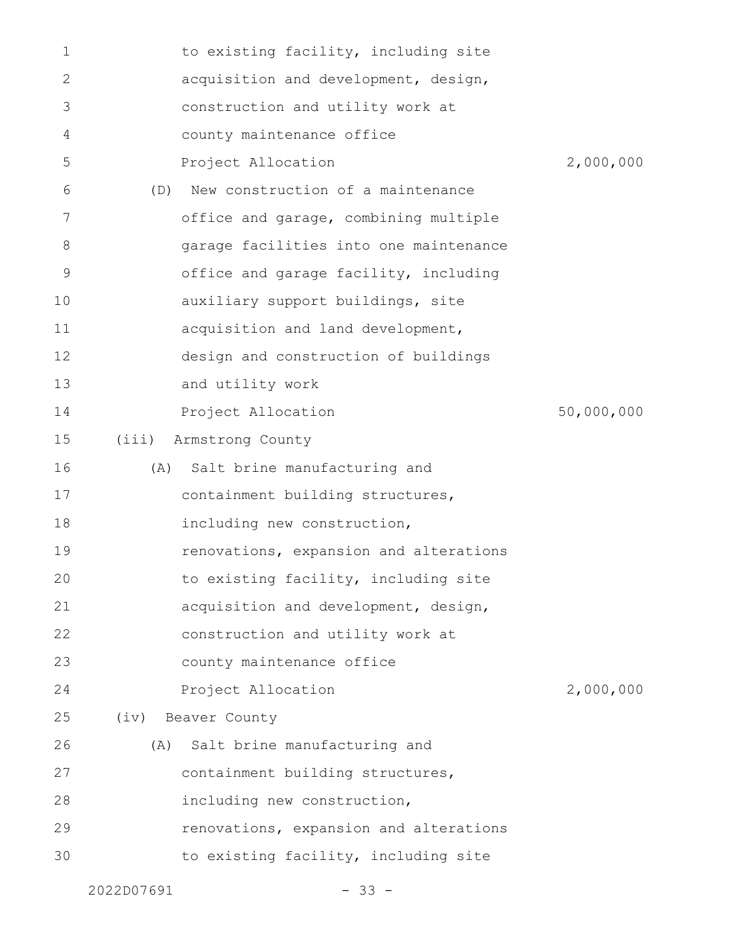| $\mathbf 1$ |            | to existing facility, including site   |            |
|-------------|------------|----------------------------------------|------------|
| 2           |            | acquisition and development, design,   |            |
| 3           |            | construction and utility work at       |            |
| 4           |            | county maintenance office              |            |
| 5           |            | Project Allocation                     | 2,000,000  |
| 6           | (D)        | New construction of a maintenance      |            |
| 7           |            | office and garage, combining multiple  |            |
| 8           |            | garage facilities into one maintenance |            |
| 9           |            | office and garage facility, including  |            |
| 10          |            | auxiliary support buildings, site      |            |
| 11          |            | acquisition and land development,      |            |
| 12          |            | design and construction of buildings   |            |
| 13          |            | and utility work                       |            |
| 14          |            | Project Allocation                     | 50,000,000 |
| 15          | (iii)      | Armstrong County                       |            |
| 16          | (A)        | Salt brine manufacturing and           |            |
| 17          |            | containment building structures,       |            |
| 18          |            | including new construction,            |            |
| 19          |            | renovations, expansion and alterations |            |
| 20          |            | to existing facility, including site   |            |
| 21          |            | acquisition and development, design,   |            |
| 22          |            | construction and utility work at       |            |
| 23          |            | county maintenance office              |            |
| 24          |            | Project Allocation                     | 2,000,000  |
| 25          |            | (iv) Beaver County                     |            |
| 26          | (A)        | Salt brine manufacturing and           |            |
| 27          |            | containment building structures,       |            |
| 28          |            | including new construction,            |            |
| 29          |            | renovations, expansion and alterations |            |
| 30          |            | to existing facility, including site   |            |
|             | 2022D07691 | $-33 -$                                |            |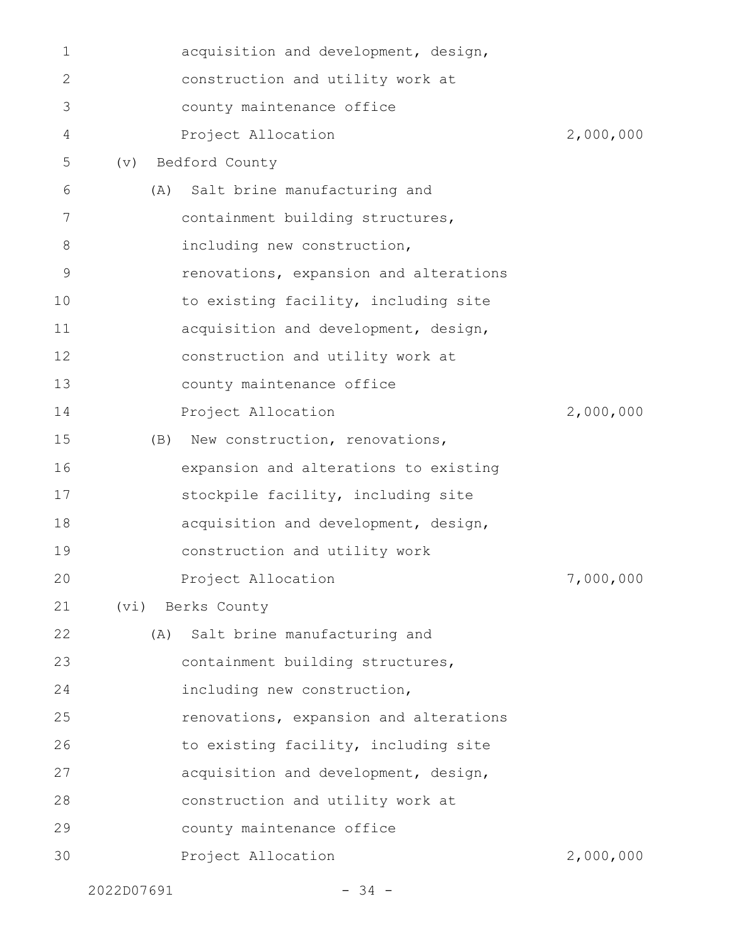| 1  |            | acquisition and development, design,   |           |
|----|------------|----------------------------------------|-----------|
| 2  |            | construction and utility work at       |           |
| 3  |            | county maintenance office              |           |
| 4  |            | Project Allocation                     | 2,000,000 |
| 5  | (v)        | Bedford County                         |           |
| 6  |            | (A) Salt brine manufacturing and       |           |
| 7  |            | containment building structures,       |           |
| 8  |            | including new construction,            |           |
| 9  |            | renovations, expansion and alterations |           |
| 10 |            | to existing facility, including site   |           |
| 11 |            | acquisition and development, design,   |           |
| 12 |            | construction and utility work at       |           |
| 13 |            | county maintenance office              |           |
| 14 |            | Project Allocation                     | 2,000,000 |
| 15 | (B)        | New construction, renovations,         |           |
| 16 |            | expansion and alterations to existing  |           |
| 17 |            | stockpile facility, including site     |           |
| 18 |            | acquisition and development, design,   |           |
| 19 |            | construction and utility work          |           |
| 20 |            | Project Allocation                     | 7,000,000 |
| 21 | (vi)       | Berks County                           |           |
| 22 | (A)        | Salt brine manufacturing and           |           |
| 23 |            | containment building structures,       |           |
| 24 |            | including new construction,            |           |
| 25 |            | renovations, expansion and alterations |           |
| 26 |            | to existing facility, including site   |           |
| 27 |            | acquisition and development, design,   |           |
| 28 |            | construction and utility work at       |           |
| 29 |            | county maintenance office              |           |
| 30 |            | Project Allocation                     | 2,000,000 |
|    | 2022D07691 | $-34 -$                                |           |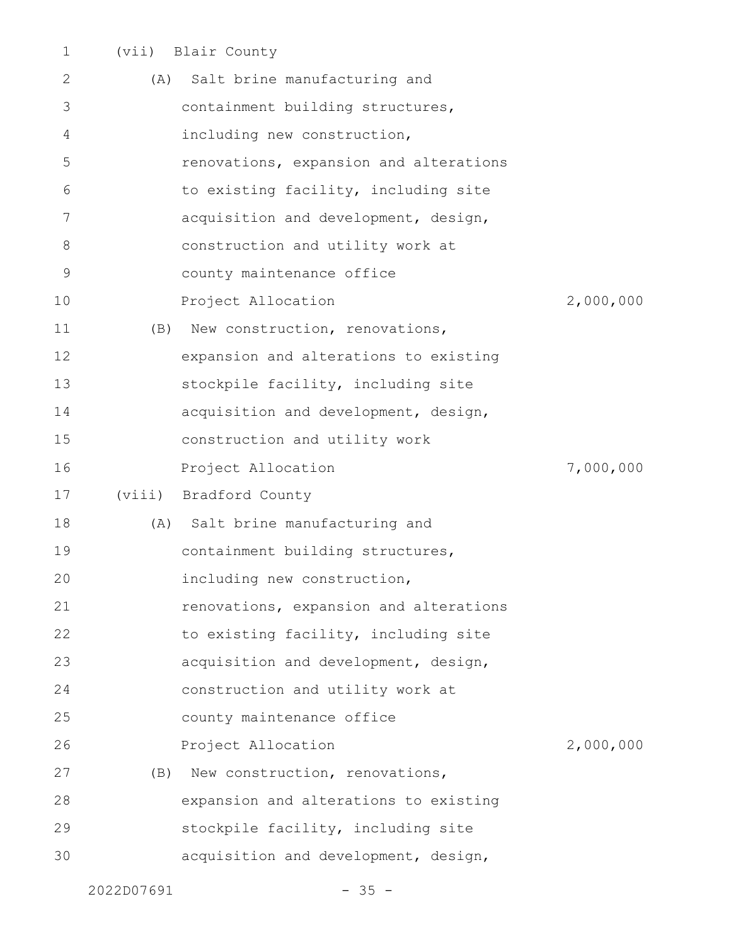| $\mathbf 1$ |        | (vii) Blair County                     |           |
|-------------|--------|----------------------------------------|-----------|
| 2           | (A)    | Salt brine manufacturing and           |           |
| 3           |        | containment building structures,       |           |
| 4           |        | including new construction,            |           |
| 5           |        | renovations, expansion and alterations |           |
| 6           |        | to existing facility, including site   |           |
| 7           |        | acquisition and development, design,   |           |
| 8           |        | construction and utility work at       |           |
| 9           |        | county maintenance office              |           |
| 10          |        | Project Allocation                     | 2,000,000 |
| 11          | (B)    | New construction, renovations,         |           |
| 12          |        | expansion and alterations to existing  |           |
| 13          |        | stockpile facility, including site     |           |
| 14          |        | acquisition and development, design,   |           |
| 15          |        | construction and utility work          |           |
| 16          |        | Project Allocation                     | 7,000,000 |
| 17          | (viii) | Bradford County                        |           |
| 18          |        | (A) Salt brine manufacturing and       |           |
| 19          |        | containment building structures,       |           |
| 20          |        | including new construction,            |           |
| 21          |        | renovations, expansion and alterations |           |
| 22          |        | to existing facility, including site   |           |
| 23          |        | acquisition and development, design,   |           |
| 24          |        | construction and utility work at       |           |
| 25          |        | county maintenance office              |           |
| 26          |        | Project Allocation                     | 2,000,000 |
| 27          | (B)    | New construction, renovations,         |           |
| 28          |        | expansion and alterations to existing  |           |
| 29          |        | stockpile facility, including site     |           |
| 30          |        | acquisition and development, design,   |           |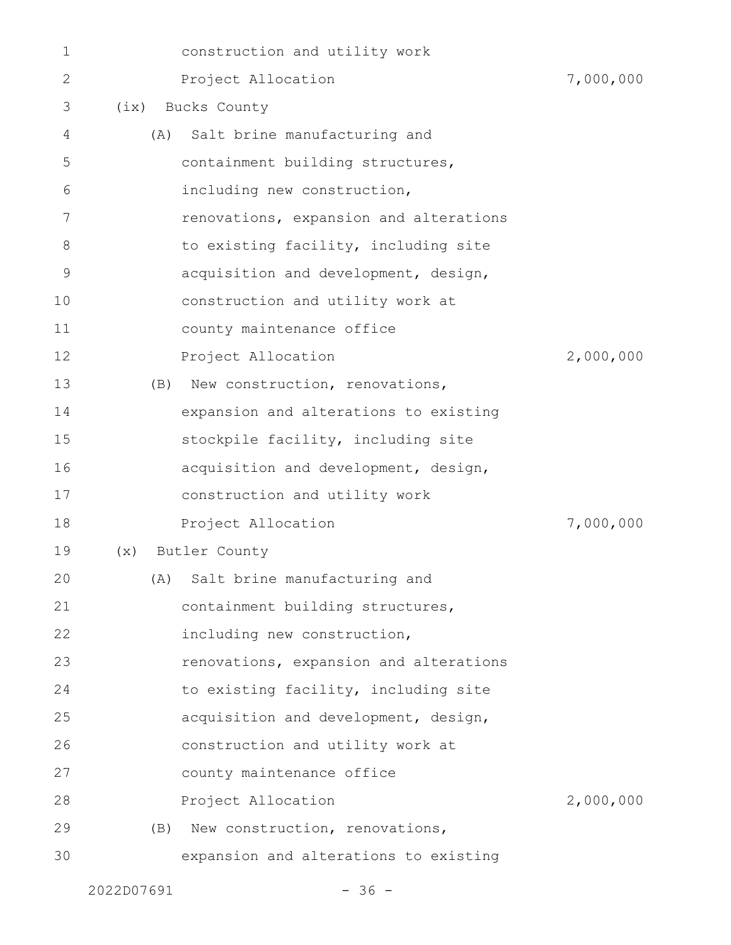| 1  |      | construction and utility work          |           |
|----|------|----------------------------------------|-----------|
| 2  |      | Project Allocation                     | 7,000,000 |
| 3  | (ix) | Bucks County                           |           |
| 4  | (A)  | Salt brine manufacturing and           |           |
| 5  |      | containment building structures,       |           |
| 6  |      | including new construction,            |           |
| 7  |      | renovations, expansion and alterations |           |
| 8  |      | to existing facility, including site   |           |
| 9  |      | acquisition and development, design,   |           |
| 10 |      | construction and utility work at       |           |
| 11 |      | county maintenance office              |           |
| 12 |      | Project Allocation                     | 2,000,000 |
| 13 | (B)  | New construction, renovations,         |           |
| 14 |      | expansion and alterations to existing  |           |
| 15 |      | stockpile facility, including site     |           |
| 16 |      | acquisition and development, design,   |           |
| 17 |      | construction and utility work          |           |
| 18 |      | Project Allocation                     | 7,000,000 |
| 19 | (x)  | Butler County                          |           |
| 20 |      | (A) Salt brine manufacturing and       |           |
| 21 |      | containment building structures,       |           |
| 22 |      | including new construction,            |           |
| 23 |      | renovations, expansion and alterations |           |
| 24 |      | to existing facility, including site   |           |
| 25 |      | acquisition and development, design,   |           |
| 26 |      | construction and utility work at       |           |
| 27 |      | county maintenance office              |           |
| 28 |      | Project Allocation                     | 2,000,000 |
| 29 | (B)  | New construction, renovations,         |           |
| 30 |      | expansion and alterations to existing  |           |
|    |      |                                        |           |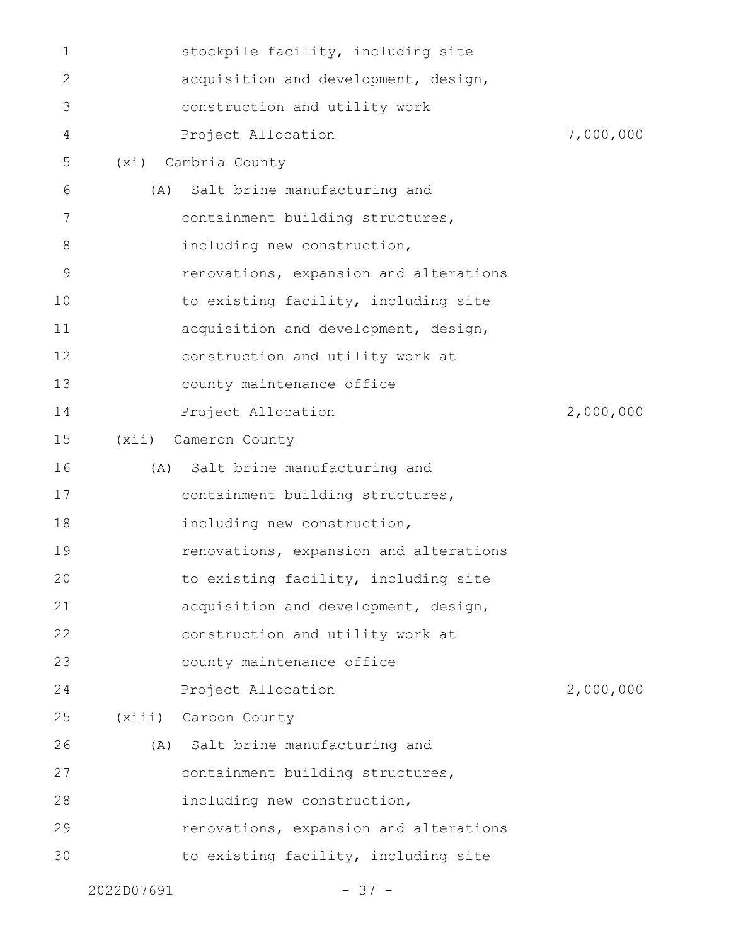|    | 2022D07691 | $-37 -$                                |           |
|----|------------|----------------------------------------|-----------|
| 30 |            | to existing facility, including site   |           |
| 29 |            | renovations, expansion and alterations |           |
| 28 |            | including new construction,            |           |
| 27 |            | containment building structures,       |           |
| 26 |            | (A) Salt brine manufacturing and       |           |
| 25 |            | (xiii) Carbon County                   |           |
| 24 |            | Project Allocation                     | 2,000,000 |
| 23 |            | county maintenance office              |           |
| 22 |            | construction and utility work at       |           |
| 21 |            | acquisition and development, design,   |           |
| 20 |            | to existing facility, including site   |           |
| 19 |            | renovations, expansion and alterations |           |
| 18 |            | including new construction,            |           |
| 17 |            | containment building structures,       |           |
| 16 | (A)        | Salt brine manufacturing and           |           |
| 15 | (xii)      | Cameron County                         |           |
| 14 |            | Project Allocation                     | 2,000,000 |
| 13 |            | county maintenance office              |           |
| 12 |            | construction and utility work at       |           |
| 11 |            | acquisition and development, design,   |           |
| 10 |            | to existing facility, including site   |           |
| 9  |            | renovations, expansion and alterations |           |
| 8  |            | including new construction,            |           |
| 7  |            | containment building structures,       |           |
| 6  | (A)        | Salt brine manufacturing and           |           |
| 5  | (xi)       | Cambria County                         |           |
| 4  |            | Project Allocation                     | 7,000,000 |
| 3  |            | construction and utility work          |           |
| 2  |            | acquisition and development, design,   |           |
| 1  |            | stockpile facility, including site     |           |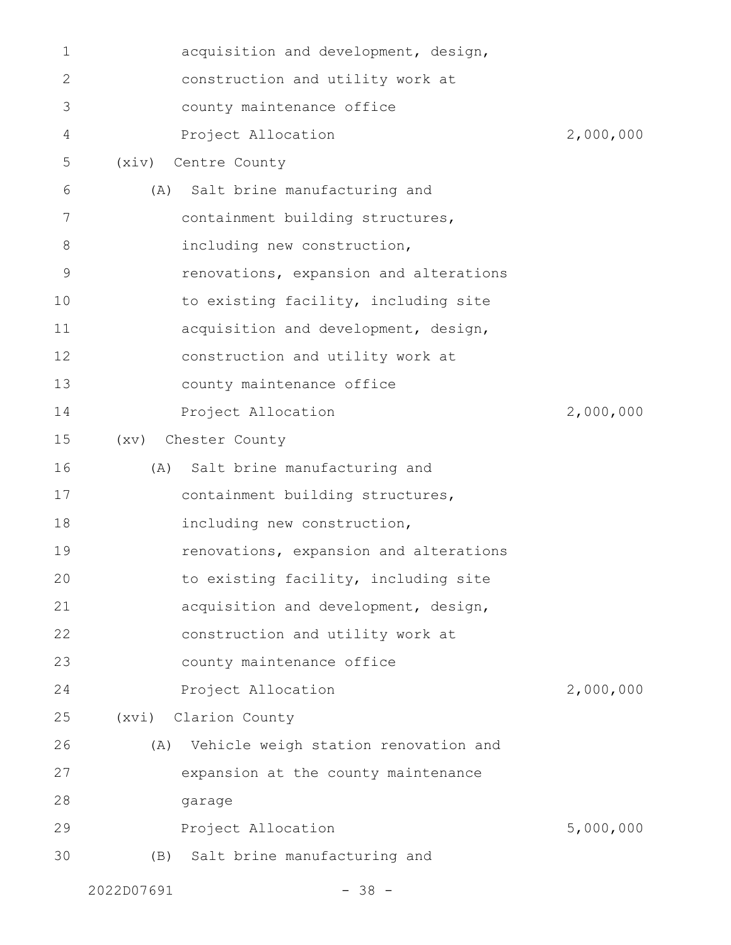| 1  |            | acquisition and development, design,   |           |
|----|------------|----------------------------------------|-----------|
| 2  |            | construction and utility work at       |           |
| 3  |            | county maintenance office              |           |
| 4  |            | Project Allocation                     | 2,000,000 |
| 5  | (xiv)      | Centre County                          |           |
| 6  |            | (A) Salt brine manufacturing and       |           |
| 7  |            | containment building structures,       |           |
| 8  |            | including new construction,            |           |
| 9  |            | renovations, expansion and alterations |           |
| 10 |            | to existing facility, including site   |           |
| 11 |            | acquisition and development, design,   |           |
| 12 |            | construction and utility work at       |           |
| 13 |            | county maintenance office              |           |
| 14 |            | Project Allocation                     | 2,000,000 |
| 15 | (xv)       | Chester County                         |           |
| 16 | (A)        | Salt brine manufacturing and           |           |
| 17 |            | containment building structures,       |           |
| 18 |            | including new construction,            |           |
| 19 |            | renovations, expansion and alterations |           |
| 20 |            | to existing facility, including site   |           |
| 21 |            | acquisition and development, design,   |           |
| 22 |            | construction and utility work at       |           |
| 23 |            | county maintenance office              |           |
| 24 |            | Project Allocation                     | 2,000,000 |
| 25 |            | (xvi) Clarion County                   |           |
| 26 | (A)        | Vehicle weigh station renovation and   |           |
| 27 |            | expansion at the county maintenance    |           |
| 28 |            | garage                                 |           |
| 29 |            | Project Allocation                     | 5,000,000 |
| 30 |            | (B) Salt brine manufacturing and       |           |
|    | 2022D07691 | $-38 -$                                |           |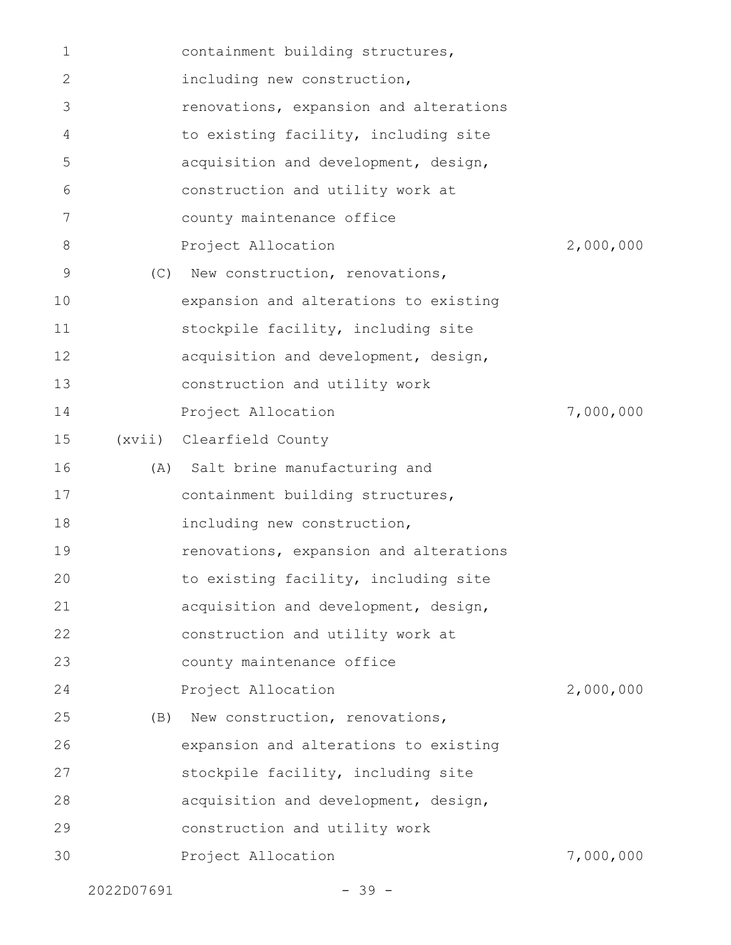| $\mathbf 1$    |     | containment building structures,       |           |
|----------------|-----|----------------------------------------|-----------|
| 2              |     | including new construction,            |           |
| 3              |     | renovations, expansion and alterations |           |
| $\overline{4}$ |     | to existing facility, including site   |           |
| 5              |     | acquisition and development, design,   |           |
| 6              |     | construction and utility work at       |           |
| 7              |     | county maintenance office              |           |
| 8              |     | Project Allocation                     | 2,000,000 |
| 9              | (C) | New construction, renovations,         |           |
| 10             |     | expansion and alterations to existing  |           |
| 11             |     | stockpile facility, including site     |           |
| 12             |     | acquisition and development, design,   |           |
| 13             |     | construction and utility work          |           |
| 14             |     | Project Allocation                     | 7,000,000 |
| 15             |     | (xvii) Clearfield County               |           |
| 16             |     | (A) Salt brine manufacturing and       |           |
| 17             |     | containment building structures,       |           |
| 18             |     | including new construction,            |           |
| 19             |     | renovations, expansion and alterations |           |
| 20             |     | to existing facility, including site   |           |
| 21             |     | acquisition and development, design,   |           |
| 22             |     | construction and utility work at       |           |
| 23             |     | county maintenance office              |           |
| 24             |     | Project Allocation                     | 2,000,000 |
| 25             | (B) | New construction, renovations,         |           |
| 26             |     | expansion and alterations to existing  |           |
| 27             |     | stockpile facility, including site     |           |
| 28             |     | acquisition and development, design,   |           |
| 29             |     | construction and utility work          |           |
| 30             |     | Project Allocation                     | 7,000,000 |
|                |     |                                        |           |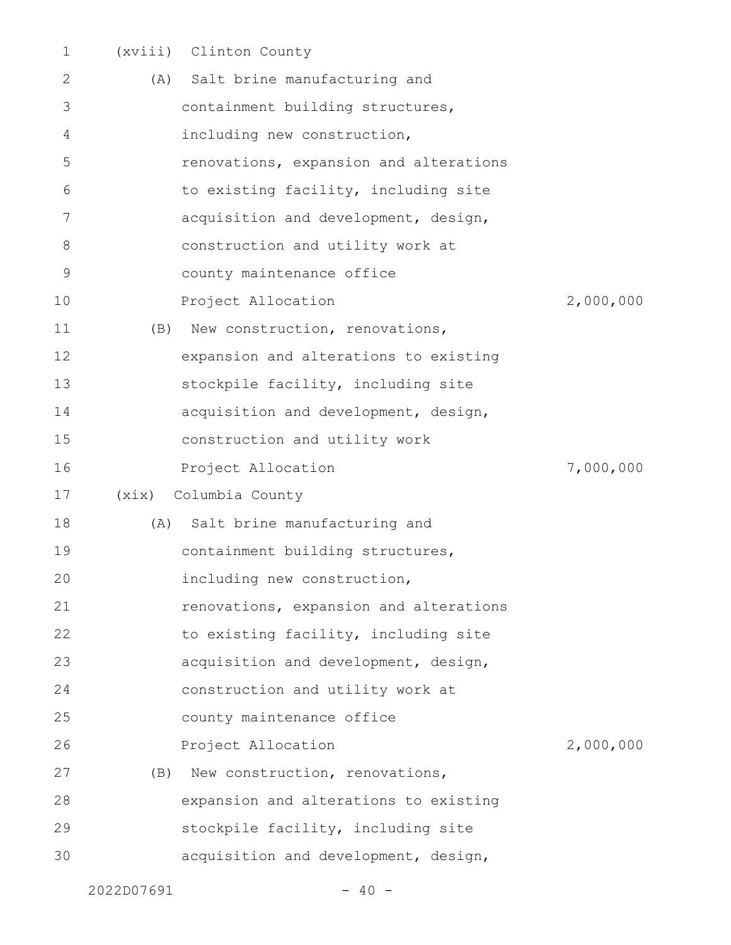| $\mathbf 1$ | (xviii) | Clinton County                         |           |
|-------------|---------|----------------------------------------|-----------|
| 2           | (A)     | Salt brine manufacturing and           |           |
| 3           |         | containment building structures,       |           |
| 4           |         | including new construction,            |           |
| 5           |         | renovations, expansion and alterations |           |
| 6           |         | to existing facility, including site   |           |
| 7           |         | acquisition and development, design,   |           |
| 8           |         | construction and utility work at       |           |
| 9           |         | county maintenance office              |           |
| 10          |         | Project Allocation                     | 2,000,000 |
| 11          | (B)     | New construction, renovations,         |           |
| 12          |         | expansion and alterations to existing  |           |
| 13          |         | stockpile facility, including site     |           |
| 14          |         | acquisition and development, design,   |           |
| 15          |         | construction and utility work          |           |
| 16          |         | Project Allocation                     | 7,000,000 |
| 17          | (xix)   | Columbia County                        |           |
| 18          | (A)     | Salt brine manufacturing and           |           |
| 19          |         | containment building structures,       |           |
| 20          |         | including new construction,            |           |
| 21          |         | renovations, expansion and alterations |           |
| 22          |         | to existing facility, including site   |           |
| 23          |         | acquisition and development, design,   |           |
| 24          |         | construction and utility work at       |           |
| 25          |         | county maintenance office              |           |
| 26          |         | Project Allocation                     | 2,000,000 |
| 27          | (B)     | New construction, renovations,         |           |
| 28          |         | expansion and alterations to existing  |           |
| 29          |         | stockpile facility, including site     |           |
| 30          |         | acquisition and development, design,   |           |
|             |         |                                        |           |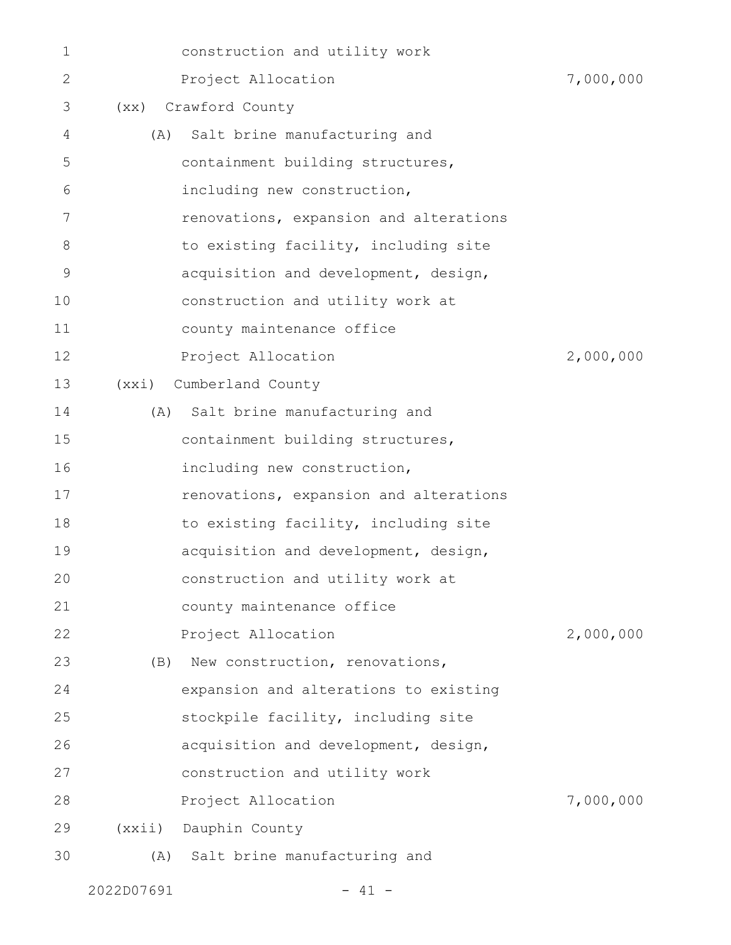| 1            |        | construction and utility work          |           |
|--------------|--------|----------------------------------------|-----------|
| $\mathbf{2}$ |        | Project Allocation                     | 7,000,000 |
| 3            |        | (xx) Crawford County                   |           |
| 4            | (A)    | Salt brine manufacturing and           |           |
| 5            |        | containment building structures,       |           |
| 6            |        | including new construction,            |           |
| 7            |        | renovations, expansion and alterations |           |
| 8            |        | to existing facility, including site   |           |
| 9            |        | acquisition and development, design,   |           |
| 10           |        | construction and utility work at       |           |
| 11           |        | county maintenance office              |           |
| 12           |        | Project Allocation                     | 2,000,000 |
| 13           | (xxi)  | Cumberland County                      |           |
| 14           | (A)    | Salt brine manufacturing and           |           |
| 15           |        | containment building structures,       |           |
| 16           |        | including new construction,            |           |
| 17           |        | renovations, expansion and alterations |           |
| 18           |        | to existing facility, including site   |           |
| 19           |        | acquisition and development, design,   |           |
| 20           |        | construction and utility work at       |           |
| 21           |        | county maintenance office              |           |
| 22           |        | Project Allocation                     | 2,000,000 |
| 23           | (B)    | New construction, renovations,         |           |
| 24           |        | expansion and alterations to existing  |           |
| 25           |        | stockpile facility, including site     |           |
| 26           |        | acquisition and development, design,   |           |
| 27           |        | construction and utility work          |           |
| 28           |        | Project Allocation                     | 7,000,000 |
| 29           | (xxii) | Dauphin County                         |           |
| 30           | (A)    | Salt brine manufacturing and           |           |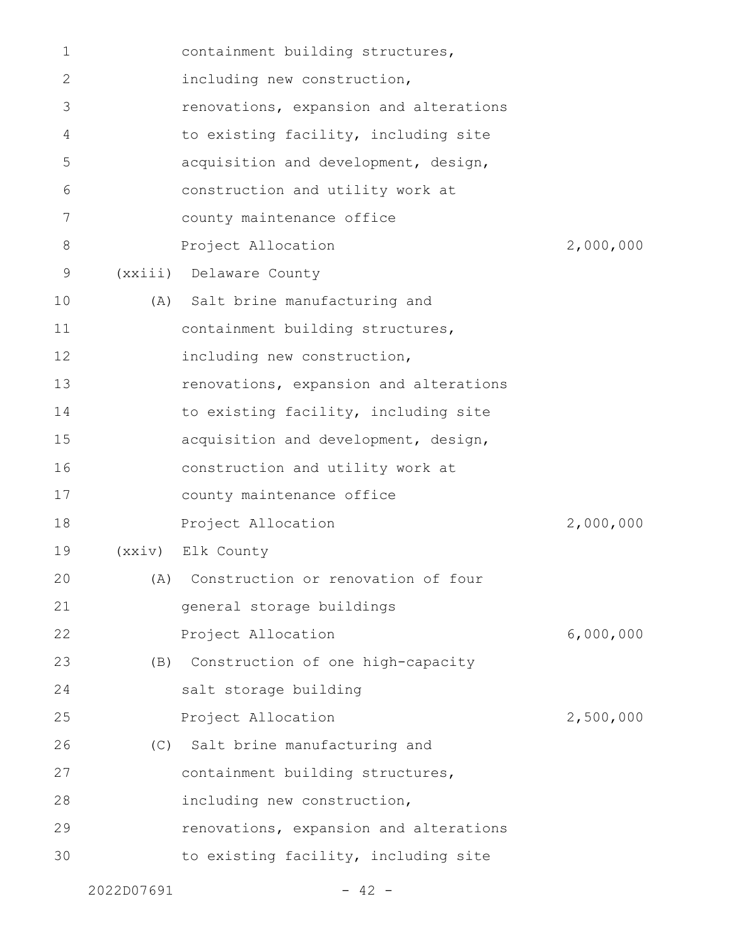| 1  | containment building structures,       |           |
|----|----------------------------------------|-----------|
| 2  | including new construction,            |           |
| 3  | renovations, expansion and alterations |           |
| 4  | to existing facility, including site   |           |
| 5  | acquisition and development, design,   |           |
| 6  | construction and utility work at       |           |
| 7  | county maintenance office              |           |
| 8  | Project Allocation                     | 2,000,000 |
| 9  | (xxiii) Delaware County                |           |
| 10 | (A) Salt brine manufacturing and       |           |
| 11 | containment building structures,       |           |
| 12 | including new construction,            |           |
| 13 | renovations, expansion and alterations |           |
| 14 | to existing facility, including site   |           |
| 15 | acquisition and development, design,   |           |
| 16 | construction and utility work at       |           |
| 17 | county maintenance office              |           |
| 18 | Project Allocation                     | 2,000,000 |
| 19 | (XXiV) Elk County                      |           |
| 20 | (A) Construction or renovation of four |           |
| 21 | general storage buildings              |           |
| 22 | Project Allocation                     | 6,000,000 |
| 23 | (B) Construction of one high-capacity  |           |
| 24 | salt storage building                  |           |
| 25 | Project Allocation                     | 2,500,000 |
| 26 | (C) Salt brine manufacturing and       |           |
| 27 | containment building structures,       |           |
| 28 | including new construction,            |           |
| 29 | renovations, expansion and alterations |           |
| 30 | to existing facility, including site   |           |
|    |                                        |           |

2022D07691 - 42 -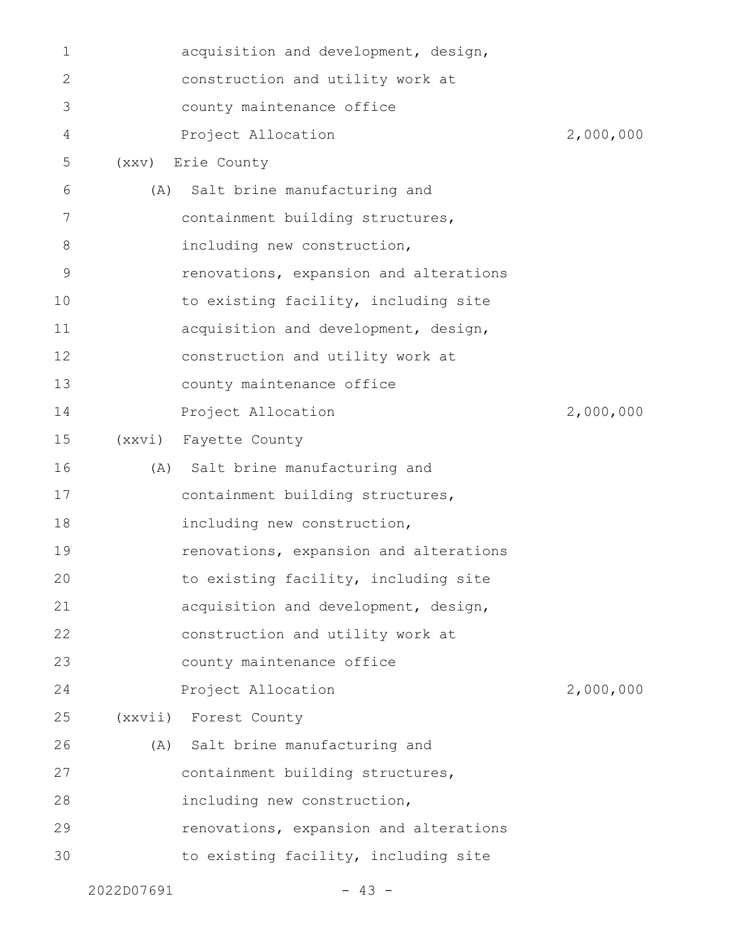|    | 2022D07691 | $-43 -$                                |           |
|----|------------|----------------------------------------|-----------|
| 30 |            | to existing facility, including site   |           |
| 29 |            | renovations, expansion and alterations |           |
| 28 |            | including new construction,            |           |
| 27 |            | containment building structures,       |           |
| 26 |            | (A) Salt brine manufacturing and       |           |
| 25 |            | (xxvii) Forest County                  |           |
| 24 |            | Project Allocation                     | 2,000,000 |
| 23 |            | county maintenance office              |           |
| 22 |            | construction and utility work at       |           |
| 21 |            | acquisition and development, design,   |           |
| 20 |            | to existing facility, including site   |           |
| 19 |            | renovations, expansion and alterations |           |
| 18 |            | including new construction,            |           |
| 17 |            | containment building structures,       |           |
| 16 |            | (A) Salt brine manufacturing and       |           |
| 15 | (xxv1)     | Fayette County                         |           |
| 14 |            | Project Allocation                     | 2,000,000 |
| 13 |            | county maintenance office              |           |
| 12 |            | construction and utility work at       |           |
| 11 |            | acquisition and development, design,   |           |
| 10 |            | to existing facility, including site   |           |
| 9  |            | renovations, expansion and alterations |           |
| 8  |            | including new construction,            |           |
| 7  |            | containment building structures,       |           |
| 6  | (A)        | Salt brine manufacturing and           |           |
| 5  |            | (XXV) Erie County                      |           |
| 4  |            | Project Allocation                     | 2,000,000 |
| 3  |            | county maintenance office              |           |
| 2  |            | construction and utility work at       |           |
| 1  |            | acquisition and development, design,   |           |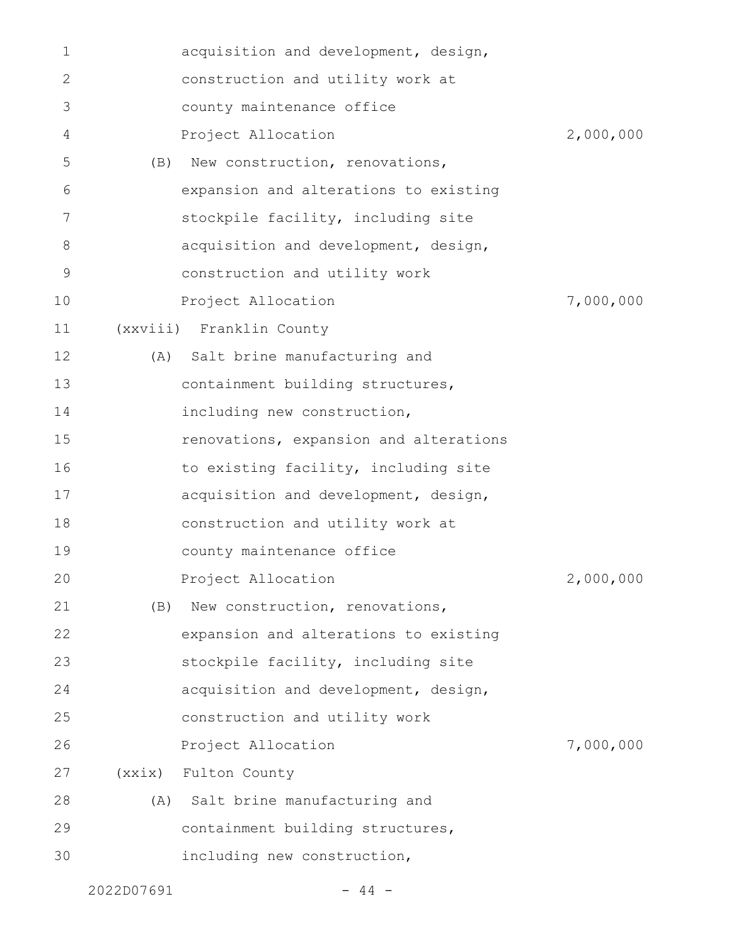| 1  |        | acquisition and development, design,   |           |
|----|--------|----------------------------------------|-----------|
| 2  |        | construction and utility work at       |           |
| 3  |        | county maintenance office              |           |
| 4  |        | Project Allocation                     | 2,000,000 |
| 5  | (B)    | New construction, renovations,         |           |
| 6  |        | expansion and alterations to existing  |           |
| 7  |        | stockpile facility, including site     |           |
| 8  |        | acquisition and development, design,   |           |
| 9  |        | construction and utility work          |           |
| 10 |        | Project Allocation                     | 7,000,000 |
| 11 |        | (xxviii) Franklin County               |           |
| 12 |        | (A) Salt brine manufacturing and       |           |
| 13 |        | containment building structures,       |           |
| 14 |        | including new construction,            |           |
| 15 |        | renovations, expansion and alterations |           |
| 16 |        | to existing facility, including site   |           |
| 17 |        | acquisition and development, design,   |           |
| 18 |        | construction and utility work at       |           |
| 19 |        | county maintenance office              |           |
| 20 |        | Project Allocation                     | 2,000,000 |
| 21 | (B)    | New construction, renovations,         |           |
| 22 |        | expansion and alterations to existing  |           |
| 23 |        | stockpile facility, including site     |           |
| 24 |        | acquisition and development, design,   |           |
| 25 |        | construction and utility work          |           |
| 26 |        | Project Allocation                     | 7,000,000 |
| 27 | (xxix) | Fulton County                          |           |
| 28 | (A)    | Salt brine manufacturing and           |           |
| 29 |        | containment building structures,       |           |
| 30 |        | including new construction,            |           |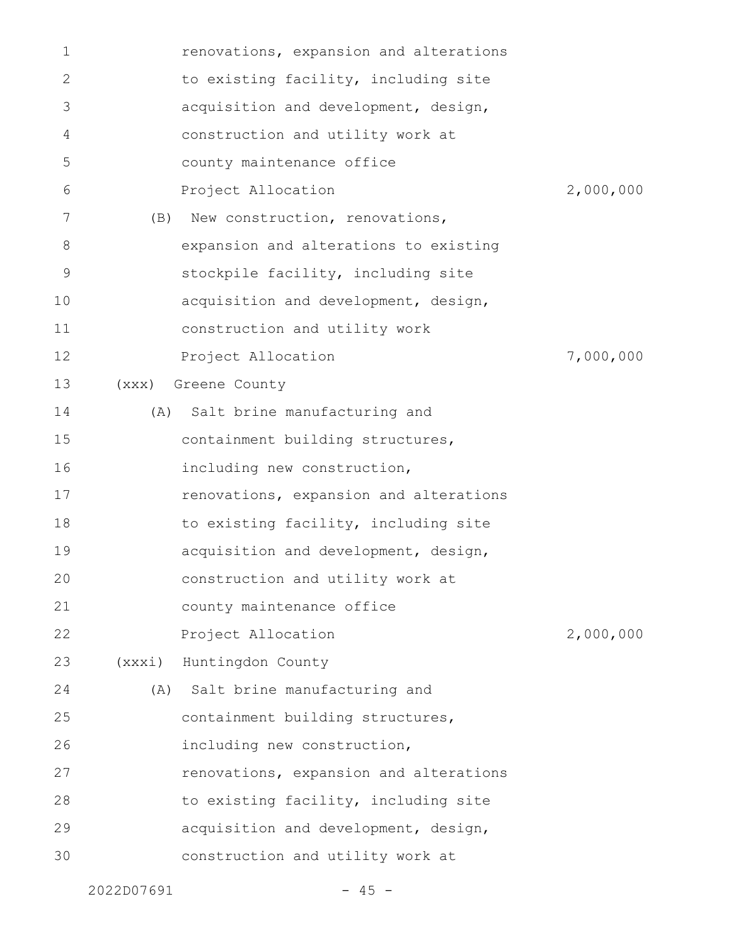| 1  |        | renovations, expansion and alterations |           |
|----|--------|----------------------------------------|-----------|
| 2  |        | to existing facility, including site   |           |
| 3  |        | acquisition and development, design,   |           |
| 4  |        | construction and utility work at       |           |
| 5  |        | county maintenance office              |           |
| 6  |        | Project Allocation                     | 2,000,000 |
| 7  | (B)    | New construction, renovations,         |           |
| 8  |        | expansion and alterations to existing  |           |
| 9  |        | stockpile facility, including site     |           |
| 10 |        | acquisition and development, design,   |           |
| 11 |        | construction and utility work          |           |
| 12 |        | Project Allocation                     | 7,000,000 |
| 13 | (xxx)  | Greene County                          |           |
| 14 | (A)    | Salt brine manufacturing and           |           |
| 15 |        | containment building structures,       |           |
| 16 |        | including new construction,            |           |
| 17 |        | renovations, expansion and alterations |           |
| 18 |        | to existing facility, including site   |           |
| 19 |        | acquisition and development, design,   |           |
| 20 |        | construction and utility work at       |           |
| 21 |        | county maintenance office              |           |
| 22 |        | Project Allocation                     | 2,000,000 |
| 23 | (xxxi) | Huntingdon County                      |           |
| 24 |        | (A) Salt brine manufacturing and       |           |
| 25 |        | containment building structures,       |           |
| 26 |        | including new construction,            |           |
| 27 |        | renovations, expansion and alterations |           |
| 28 |        | to existing facility, including site   |           |
| 29 |        | acquisition and development, design,   |           |
| 30 |        | construction and utility work at       |           |
|    |        |                                        |           |

2022D07691 - 45 -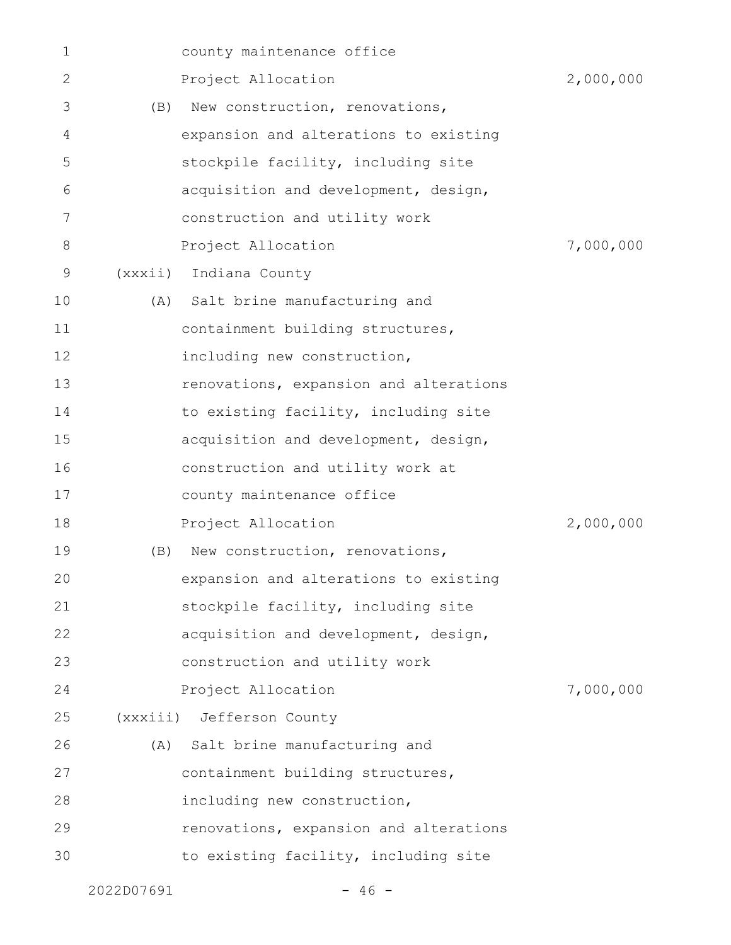| 1  |            | county maintenance office              |           |
|----|------------|----------------------------------------|-----------|
| 2  |            | Project Allocation                     | 2,000,000 |
| 3  | (B)        | New construction, renovations,         |           |
| 4  |            | expansion and alterations to existing  |           |
| 5  |            | stockpile facility, including site     |           |
| 6  |            | acquisition and development, design,   |           |
| 7  |            | construction and utility work          |           |
| 8  |            | Project Allocation                     | 7,000,000 |
| 9  |            | (xxxii) Indiana County                 |           |
| 10 |            | (A) Salt brine manufacturing and       |           |
| 11 |            | containment building structures,       |           |
| 12 |            | including new construction,            |           |
| 13 |            | renovations, expansion and alterations |           |
| 14 |            | to existing facility, including site   |           |
| 15 |            | acquisition and development, design,   |           |
| 16 |            | construction and utility work at       |           |
| 17 |            | county maintenance office              |           |
| 18 |            | Project Allocation                     | 2,000,000 |
| 19 | (B)        | New construction, renovations,         |           |
| 20 |            | expansion and alterations to existing  |           |
| 21 |            | stockpile facility, including site     |           |
| 22 |            | acquisition and development, design,   |           |
| 23 |            | construction and utility work          |           |
| 24 |            | Project Allocation                     | 7,000,000 |
| 25 |            | (xxxiii) Jefferson County              |           |
| 26 |            | (A) Salt brine manufacturing and       |           |
| 27 |            | containment building structures,       |           |
| 28 |            | including new construction,            |           |
| 29 |            | renovations, expansion and alterations |           |
| 30 |            | to existing facility, including site   |           |
|    | 2022D07691 | $-46 -$                                |           |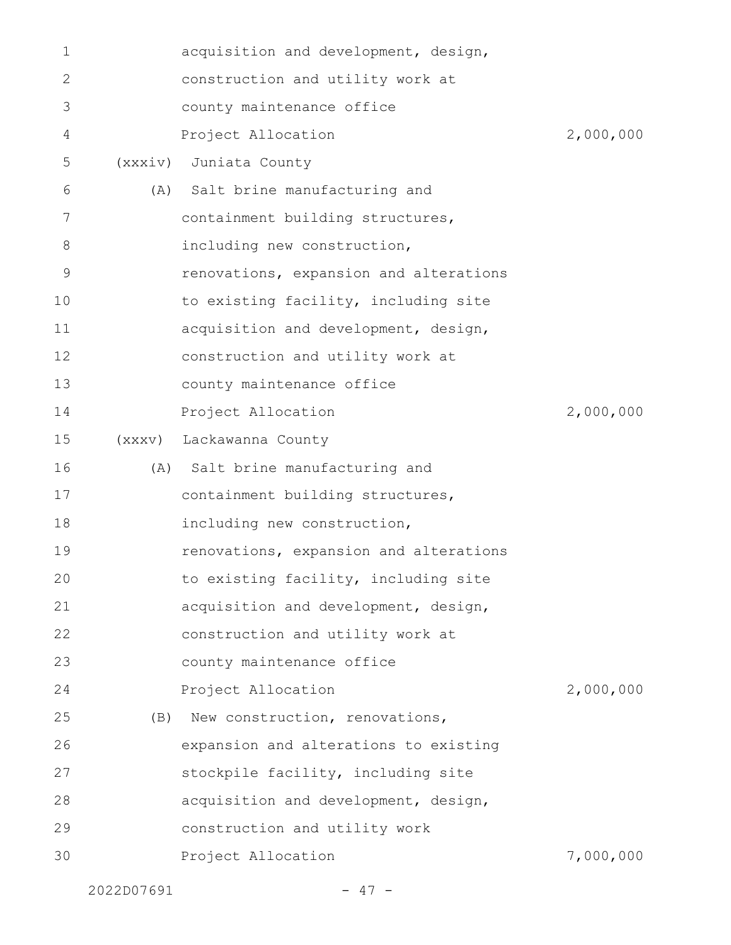| 1  |         | acquisition and development, design,   |           |
|----|---------|----------------------------------------|-----------|
| 2  |         | construction and utility work at       |           |
| 3  |         | county maintenance office              |           |
| 4  |         | Project Allocation                     | 2,000,000 |
| 5  | (xxxiv) | Juniata County                         |           |
| 6  | (A)     | Salt brine manufacturing and           |           |
| 7  |         | containment building structures,       |           |
| 8  |         | including new construction,            |           |
| 9  |         | renovations, expansion and alterations |           |
| 10 |         | to existing facility, including site   |           |
| 11 |         | acquisition and development, design,   |           |
| 12 |         | construction and utility work at       |           |
| 13 |         | county maintenance office              |           |
| 14 |         | Project Allocation                     | 2,000,000 |
| 15 | (xxxv)  | Lackawanna County                      |           |
| 16 |         | (A) Salt brine manufacturing and       |           |
| 17 |         | containment building structures,       |           |
| 18 |         | including new construction,            |           |
| 19 |         | renovations, expansion and alterations |           |
| 20 |         | to existing facility, including site   |           |
| 21 |         | acquisition and development, design,   |           |
| 22 |         | construction and utility work at       |           |
| 23 |         | county maintenance office              |           |
| 24 |         | Project Allocation                     | 2,000,000 |
| 25 | (B)     | New construction, renovations,         |           |
| 26 |         | expansion and alterations to existing  |           |
| 27 |         | stockpile facility, including site     |           |
| 28 |         | acquisition and development, design,   |           |
| 29 |         | construction and utility work          |           |
| 30 |         | Project Allocation                     | 7,000,000 |
|    |         |                                        |           |

2022D07691 - 47 -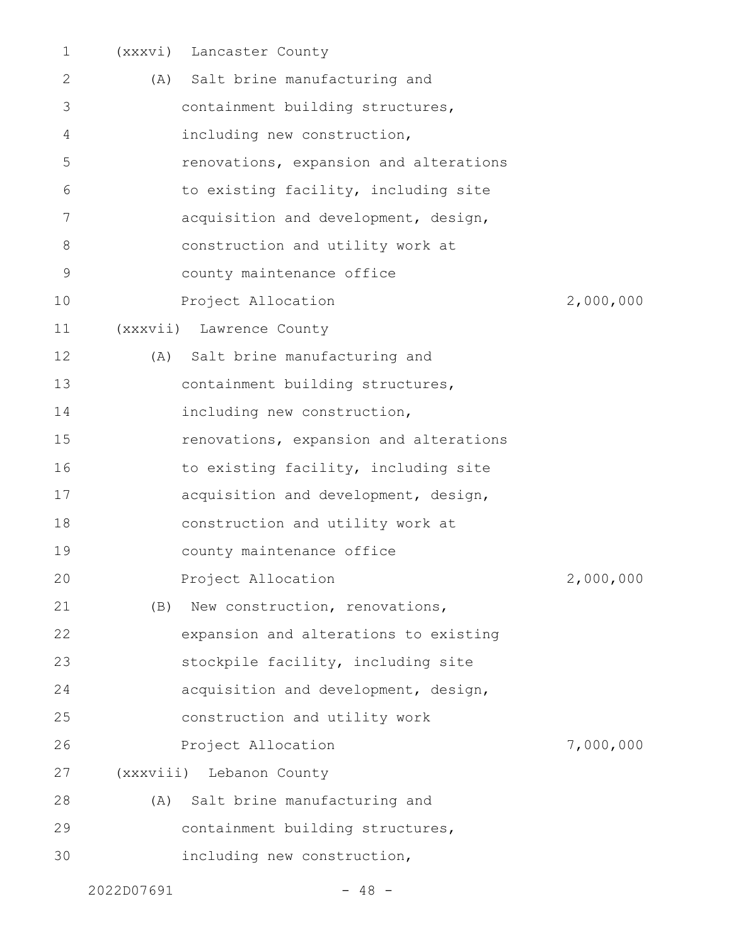| $\mathbf 1$   |     | (xxxvi) Lancaster County               |           |
|---------------|-----|----------------------------------------|-----------|
| 2             | (A) | Salt brine manufacturing and           |           |
| 3             |     | containment building structures,       |           |
| 4             |     | including new construction,            |           |
| 5             |     | renovations, expansion and alterations |           |
| 6             |     | to existing facility, including site   |           |
| 7             |     | acquisition and development, design,   |           |
| 8             |     | construction and utility work at       |           |
| $\mathcal{G}$ |     | county maintenance office              |           |
| 10            |     | Project Allocation                     | 2,000,000 |
| 11            |     | (xxxvii) Lawrence County               |           |
| 12            |     | (A) Salt brine manufacturing and       |           |
| 13            |     | containment building structures,       |           |
| 14            |     | including new construction,            |           |
| 15            |     | renovations, expansion and alterations |           |
| 16            |     | to existing facility, including site   |           |
| 17            |     | acquisition and development, design,   |           |
| 18            |     | construction and utility work at       |           |
| 19            |     | county maintenance office              |           |
| 20            |     | Project Allocation                     | 2,000,000 |
| 21            | (B) | New construction, renovations,         |           |
| 22            |     | expansion and alterations to existing  |           |
| 23            |     | stockpile facility, including site     |           |
| 24            |     | acquisition and development, design,   |           |
| 25            |     | construction and utility work          |           |
| 26            |     | Project Allocation                     | 7,000,000 |
| 27            |     | (xxxviii) Lebanon County               |           |
| 28            | (A) | Salt brine manufacturing and           |           |
| 29            |     | containment building structures,       |           |
| 30            |     | including new construction,            |           |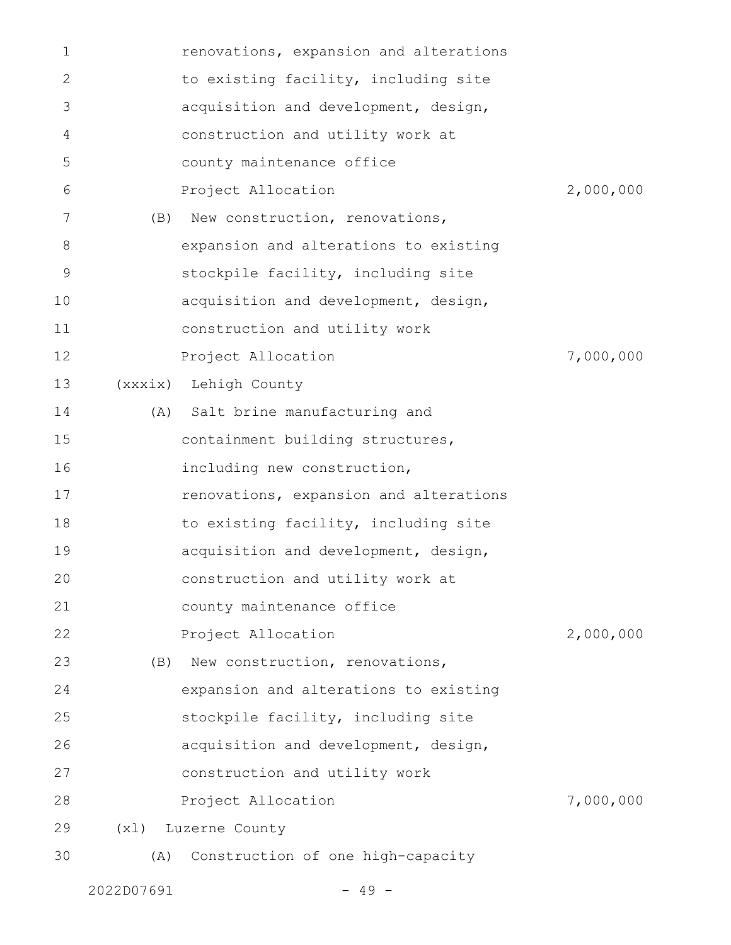| 1            |      | renovations, expansion and alterations |           |
|--------------|------|----------------------------------------|-----------|
| $\mathbf{2}$ |      | to existing facility, including site   |           |
| 3            |      | acquisition and development, design,   |           |
| 4            |      | construction and utility work at       |           |
| 5            |      | county maintenance office              |           |
| 6            |      | Project Allocation                     | 2,000,000 |
| 7            | (B)  | New construction, renovations,         |           |
| 8            |      | expansion and alterations to existing  |           |
| 9            |      | stockpile facility, including site     |           |
| 10           |      | acquisition and development, design,   |           |
| 11           |      | construction and utility work          |           |
| 12           |      | Project Allocation                     | 7,000,000 |
| 13           |      | (xxxix) Lehigh County                  |           |
| 14           | (A)  | Salt brine manufacturing and           |           |
| 15           |      | containment building structures,       |           |
| 16           |      | including new construction,            |           |
| 17           |      | renovations, expansion and alterations |           |
| 18           |      | to existing facility, including site   |           |
| 19           |      | acquisition and development, design,   |           |
| 20           |      | construction and utility work at       |           |
| 21           |      | county maintenance office              |           |
| 22           |      | Project Allocation                     | 2,000,000 |
| 23           | (B)  | New construction, renovations,         |           |
| 24           |      | expansion and alterations to existing  |           |
| 25           |      | stockpile facility, including site     |           |
| 26           |      | acquisition and development, design,   |           |
| 27           |      | construction and utility work          |           |
| 28           |      | Project Allocation                     | 7,000,000 |
| 29           | (x1) | Luzerne County                         |           |
| 30           | (A)  | Construction of one high-capacity      |           |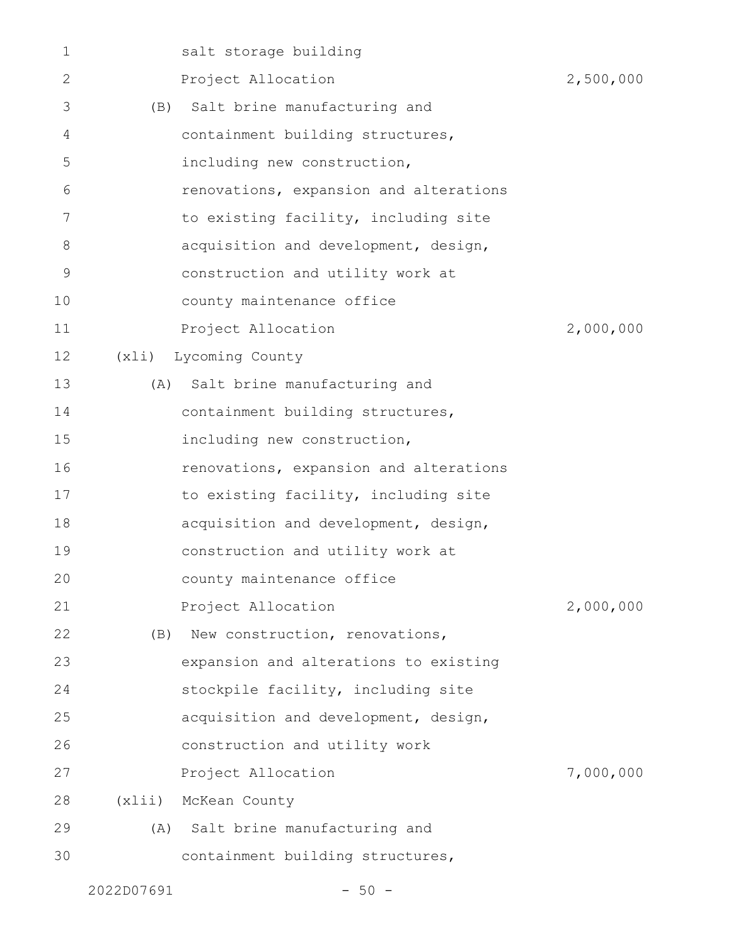| 1  |       | salt storage building                  |           |
|----|-------|----------------------------------------|-----------|
| 2  |       | Project Allocation                     | 2,500,000 |
| 3  | (B)   | Salt brine manufacturing and           |           |
| 4  |       | containment building structures,       |           |
| 5  |       | including new construction,            |           |
| 6  |       | renovations, expansion and alterations |           |
| 7  |       | to existing facility, including site   |           |
| 8  |       | acquisition and development, design,   |           |
| 9  |       | construction and utility work at       |           |
| 10 |       | county maintenance office              |           |
| 11 |       | Project Allocation                     | 2,000,000 |
| 12 | (xli) | Lycoming County                        |           |
| 13 |       | (A) Salt brine manufacturing and       |           |
| 14 |       | containment building structures,       |           |
| 15 |       | including new construction,            |           |
| 16 |       | renovations, expansion and alterations |           |
| 17 |       | to existing facility, including site   |           |
| 18 |       | acquisition and development, design,   |           |
| 19 |       | construction and utility work at       |           |
| 20 |       | county maintenance office              |           |
| 21 |       | Project Allocation                     | 2,000,000 |
| 22 | (B)   | New construction, renovations,         |           |
| 23 |       | expansion and alterations to existing  |           |
| 24 |       | stockpile facility, including site     |           |
| 25 |       | acquisition and development, design,   |           |
| 26 |       | construction and utility work          |           |
| 27 |       | Project Allocation                     | 7,000,000 |
| 28 | (xli) | McKean County                          |           |
| 29 | (A)   | Salt brine manufacturing and           |           |
| 30 |       | containment building structures,       |           |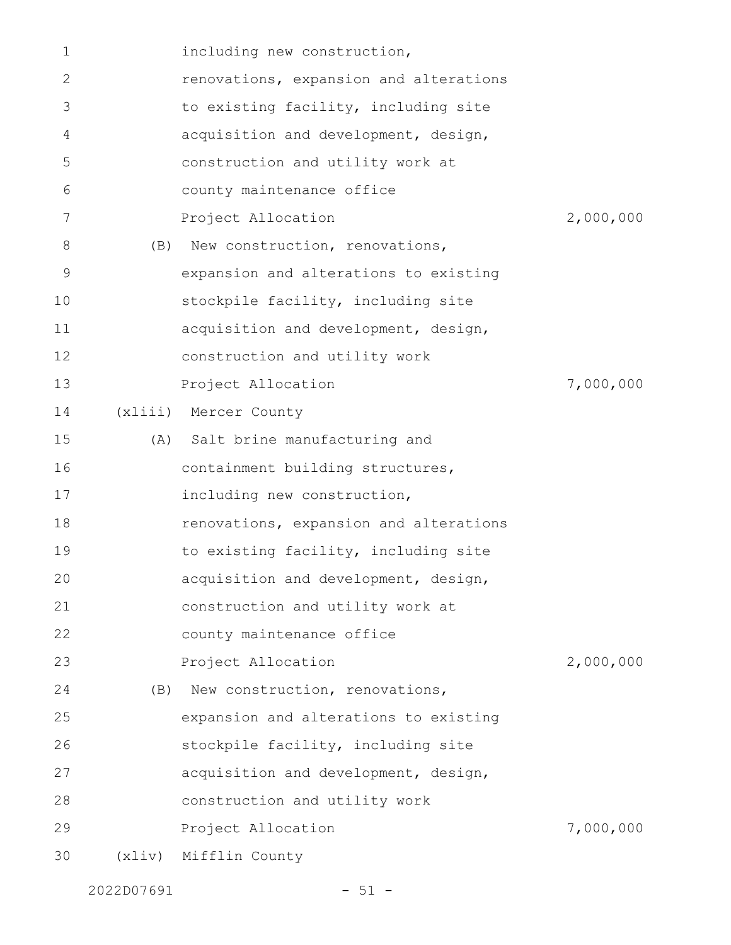| $\mathbf 1$ |     | including new construction,            |           |
|-------------|-----|----------------------------------------|-----------|
| 2           |     | renovations, expansion and alterations |           |
| 3           |     | to existing facility, including site   |           |
| 4           |     | acquisition and development, design,   |           |
| 5           |     | construction and utility work at       |           |
| 6           |     | county maintenance office              |           |
| 7           |     | Project Allocation                     | 2,000,000 |
| 8           |     | (B) New construction, renovations,     |           |
| 9           |     | expansion and alterations to existing  |           |
| 10          |     | stockpile facility, including site     |           |
| 11          |     | acquisition and development, design,   |           |
| 12          |     | construction and utility work          |           |
| 13          |     | Project Allocation                     | 7,000,000 |
| 14          |     | (xliii) Mercer County                  |           |
| 15          |     | (A) Salt brine manufacturing and       |           |
| 16          |     | containment building structures,       |           |
| 17          |     | including new construction,            |           |
| 18          |     | renovations, expansion and alterations |           |
| 19          |     | to existing facility, including site   |           |
| 20          |     | acquisition and development, design,   |           |
| 21          |     | construction and utility work at       |           |
| 22          |     | county maintenance office              |           |
| 23          |     | Project Allocation                     | 2,000,000 |
| 24          | (B) | New construction, renovations,         |           |
| 25          |     | expansion and alterations to existing  |           |
| 26          |     | stockpile facility, including site     |           |
| 27          |     | acquisition and development, design,   |           |
| 28          |     | construction and utility work          |           |
| 29          |     | Project Allocation                     | 7,000,000 |
| 30          |     | (xliv) Mifflin County                  |           |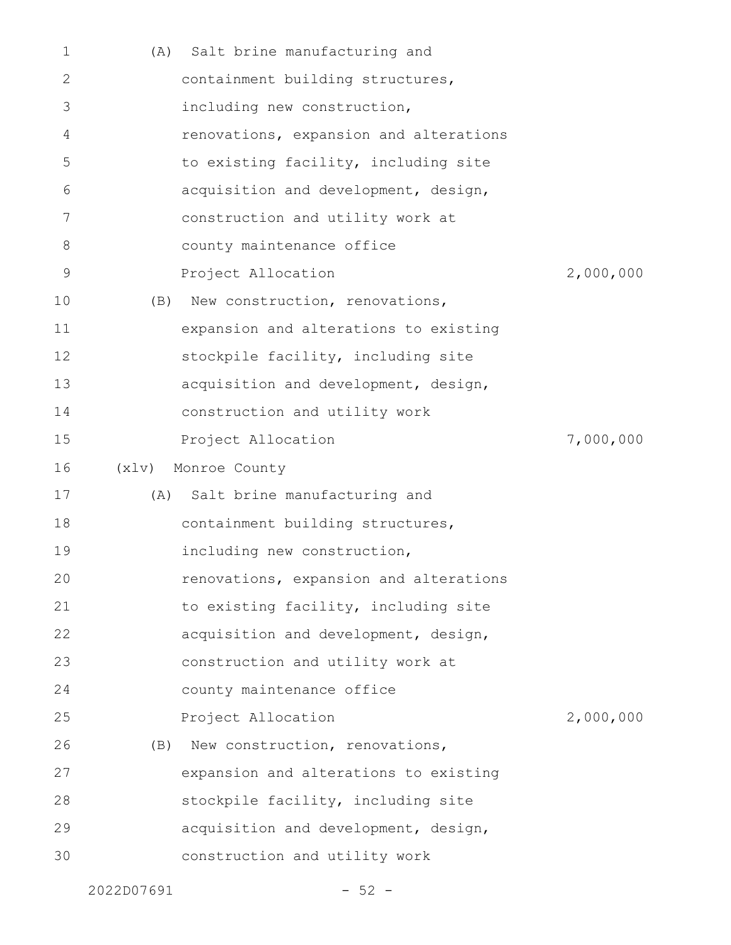| $\mathbf 1$ | (A)   | Salt brine manufacturing and           |           |
|-------------|-------|----------------------------------------|-----------|
| 2           |       | containment building structures,       |           |
| 3           |       | including new construction,            |           |
| 4           |       | renovations, expansion and alterations |           |
| 5           |       | to existing facility, including site   |           |
| 6           |       | acquisition and development, design,   |           |
| 7           |       | construction and utility work at       |           |
| 8           |       | county maintenance office              |           |
| $\mathsf 9$ |       | Project Allocation                     | 2,000,000 |
| 10          | (B)   | New construction, renovations,         |           |
| 11          |       | expansion and alterations to existing  |           |
| 12          |       | stockpile facility, including site     |           |
| 13          |       | acquisition and development, design,   |           |
| 14          |       | construction and utility work          |           |
| 15          |       | Project Allocation                     | 7,000,000 |
|             |       |                                        |           |
| 16          | (x1v) | Monroe County                          |           |
| 17          |       | (A) Salt brine manufacturing and       |           |
| 18          |       | containment building structures,       |           |
| 19          |       | including new construction,            |           |
| 20          |       | renovations, expansion and alterations |           |
| 21          |       | to existing facility, including site   |           |
| 22          |       | acquisition and development, design,   |           |
| 23          |       | construction and utility work at       |           |
| 24          |       | county maintenance office              |           |
| 25          |       | Project Allocation                     | 2,000,000 |
| 26          | (B)   | New construction, renovations,         |           |
| 27          |       | expansion and alterations to existing  |           |
| 28          |       | stockpile facility, including site     |           |
| 29          |       | acquisition and development, design,   |           |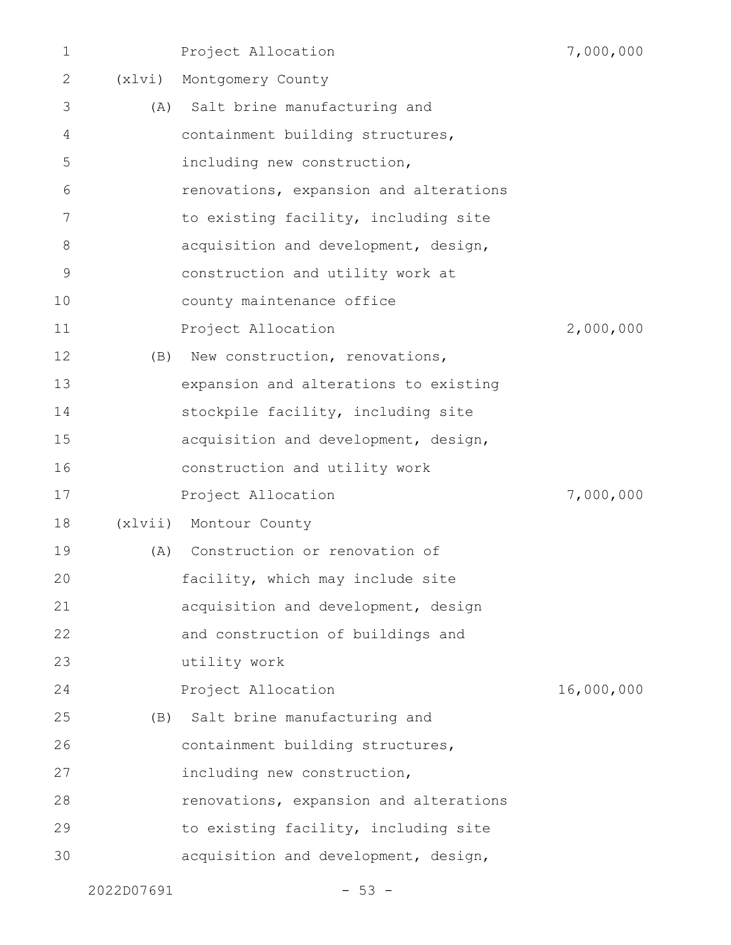| $\mathbf 1$ |        | Project Allocation                     | 7,000,000  |
|-------------|--------|----------------------------------------|------------|
| 2           | (x1vi) | Montgomery County                      |            |
| 3           |        | (A) Salt brine manufacturing and       |            |
| 4           |        | containment building structures,       |            |
| 5           |        | including new construction,            |            |
| 6           |        | renovations, expansion and alterations |            |
| 7           |        | to existing facility, including site   |            |
| 8           |        | acquisition and development, design,   |            |
| 9           |        | construction and utility work at       |            |
| 10          |        | county maintenance office              |            |
| 11          |        | Project Allocation                     | 2,000,000  |
| 12          | (B)    | New construction, renovations,         |            |
| 13          |        | expansion and alterations to existing  |            |
| 14          |        | stockpile facility, including site     |            |
| 15          |        | acquisition and development, design,   |            |
| 16          |        | construction and utility work          |            |
| 17          |        | Project Allocation                     | 7,000,000  |
| 18          |        | (xlvii) Montour County                 |            |
| 19          | (A)    | Construction or renovation of          |            |
| 20          |        | facility, which may include site       |            |
| 21          |        | acquisition and development, design    |            |
| 22          |        | and construction of buildings and      |            |
| 23          |        | utility work                           |            |
| 24          |        | Project Allocation                     | 16,000,000 |
| 25          |        | (B) Salt brine manufacturing and       |            |
| 26          |        | containment building structures,       |            |
| 27          |        | including new construction,            |            |
| 28          |        | renovations, expansion and alterations |            |
| 29          |        | to existing facility, including site   |            |
| 30          |        | acquisition and development, design,   |            |
|             |        |                                        |            |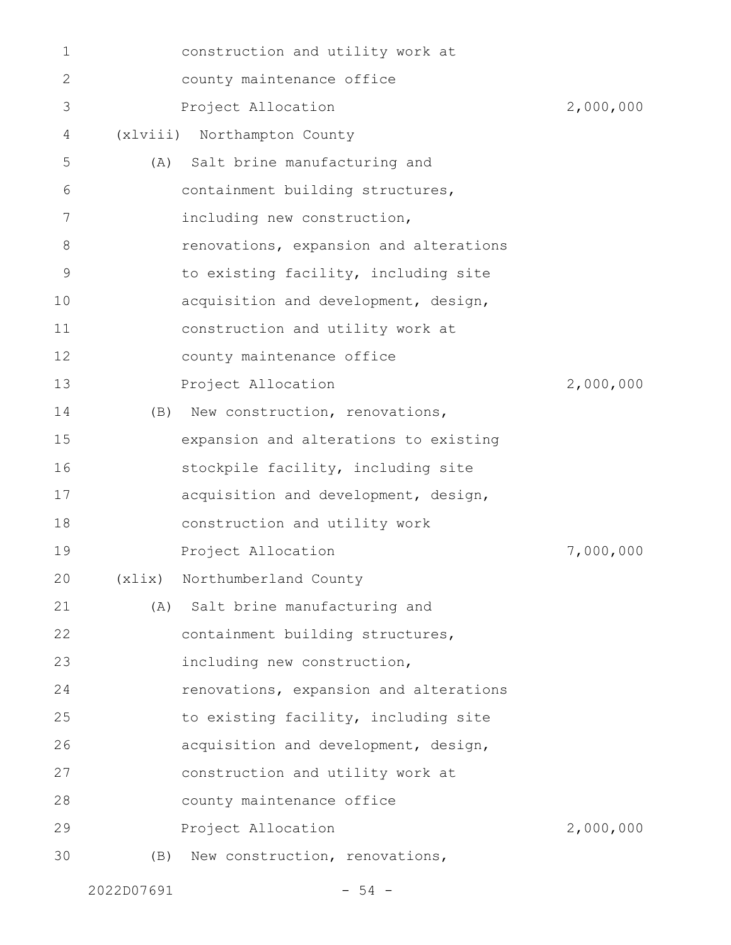| $\mathbf 1$ |         | construction and utility work at       |           |
|-------------|---------|----------------------------------------|-----------|
| 2           |         | county maintenance office              |           |
| 3           |         | Project Allocation                     | 2,000,000 |
| 4           |         | (xlviii) Northampton County            |           |
| 5           | (A)     | Salt brine manufacturing and           |           |
| 6           |         | containment building structures,       |           |
| 7           |         | including new construction,            |           |
| 8           |         | renovations, expansion and alterations |           |
| $\mathsf 9$ |         | to existing facility, including site   |           |
| 10          |         | acquisition and development, design,   |           |
| 11          |         | construction and utility work at       |           |
| 12          |         | county maintenance office              |           |
| 13          |         | Project Allocation                     | 2,000,000 |
| 14          | (B)     | New construction, renovations,         |           |
| 15          |         | expansion and alterations to existing  |           |
| 16          |         | stockpile facility, including site     |           |
| 17          |         | acquisition and development, design,   |           |
| 18          |         | construction and utility work          |           |
| 19          |         | Project Allocation                     | 7,000,000 |
| 20          | (xlist) | Northumberland County                  |           |
| 21          | (A)     | Salt brine manufacturing and           |           |
| 22          |         | containment building structures,       |           |
| 23          |         | including new construction,            |           |
| 24          |         | renovations, expansion and alterations |           |
| 25          |         | to existing facility, including site   |           |
| 26          |         | acquisition and development, design,   |           |
| 27          |         | construction and utility work at       |           |
| 28          |         | county maintenance office              |           |
| 29          |         | Project Allocation                     | 2,000,000 |
| 30          | (B)     | New construction, renovations,         |           |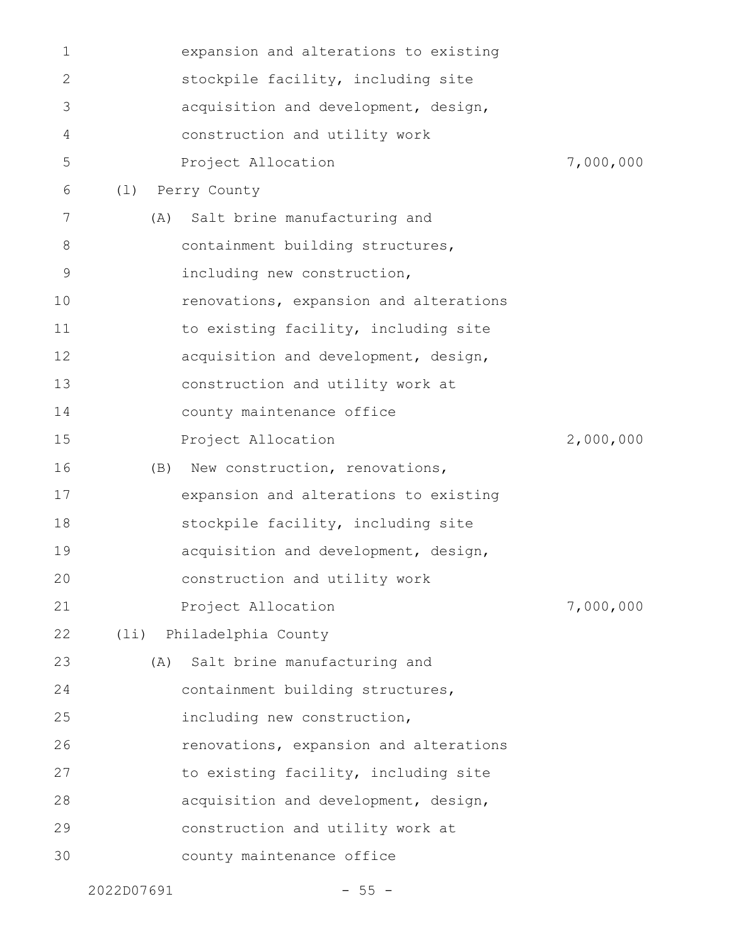| 1  |      | expansion and alterations to existing  |           |
|----|------|----------------------------------------|-----------|
| 2  |      | stockpile facility, including site     |           |
| 3  |      | acquisition and development, design,   |           |
| 4  |      | construction and utility work          |           |
| 5  |      | Project Allocation                     | 7,000,000 |
| 6  | (1)  | Perry County                           |           |
| 7  | (A)  | Salt brine manufacturing and           |           |
| 8  |      | containment building structures,       |           |
| 9  |      | including new construction,            |           |
| 10 |      | renovations, expansion and alterations |           |
| 11 |      | to existing facility, including site   |           |
| 12 |      | acquisition and development, design,   |           |
| 13 |      | construction and utility work at       |           |
| 14 |      | county maintenance office              |           |
| 15 |      | Project Allocation                     | 2,000,000 |
| 16 | (B)  | New construction, renovations,         |           |
| 17 |      | expansion and alterations to existing  |           |
| 18 |      | stockpile facility, including site     |           |
| 19 |      | acquisition and development, design,   |           |
| 20 |      | construction and utility work          |           |
| 21 |      | Project Allocation                     | 7,000,000 |
| 22 | (1i) | Philadelphia County                    |           |
| 23 | (A)  | Salt brine manufacturing and           |           |
| 24 |      | containment building structures,       |           |
| 25 |      | including new construction,            |           |
| 26 |      | renovations, expansion and alterations |           |
| 27 |      | to existing facility, including site   |           |
| 28 |      | acquisition and development, design,   |           |
| 29 |      | construction and utility work at       |           |
| 30 |      | county maintenance office              |           |
|    |      |                                        |           |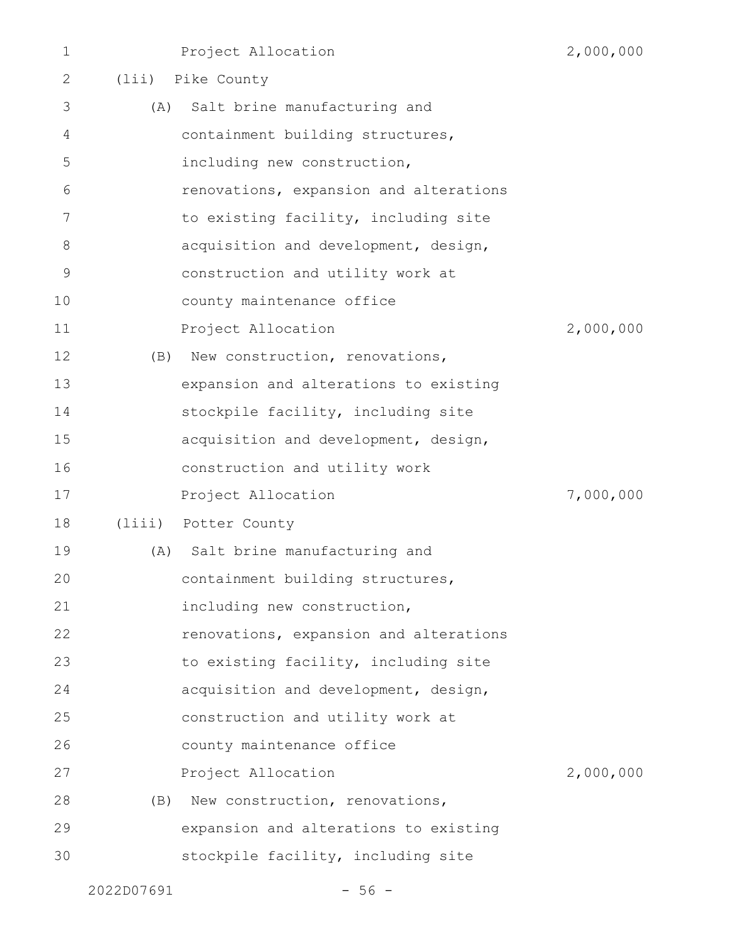| 2<br>3 |     | (lii) Pike County                      |           |
|--------|-----|----------------------------------------|-----------|
|        |     |                                        |           |
|        | (A) | Salt brine manufacturing and           |           |
| 4      |     | containment building structures,       |           |
| 5      |     | including new construction,            |           |
| 6      |     | renovations, expansion and alterations |           |
| 7      |     | to existing facility, including site   |           |
| 8      |     | acquisition and development, design,   |           |
| 9      |     | construction and utility work at       |           |
| 10     |     | county maintenance office              |           |
| 11     |     | Project Allocation                     | 2,000,000 |
| 12     | (B) | New construction, renovations,         |           |
| 13     |     | expansion and alterations to existing  |           |
| 14     |     | stockpile facility, including site     |           |
| 15     |     | acquisition and development, design,   |           |
| 16     |     | construction and utility work          |           |
| 17     |     | Project Allocation                     | 7,000,000 |
| 18     |     | (liii) Potter County                   |           |
| 19     | (A) | Salt brine manufacturing and           |           |
| 20     |     | containment building structures,       |           |
| 21     |     | including new construction,            |           |
| 22     |     | renovations, expansion and alterations |           |
| 23     |     | to existing facility, including site   |           |
| 24     |     | acquisition and development, design,   |           |
| 25     |     | construction and utility work at       |           |
| 26     |     | county maintenance office              |           |
| 27     |     | Project Allocation                     | 2,000,000 |
| 28     | (B) | New construction, renovations,         |           |
| 29     |     | expansion and alterations to existing  |           |
| 30     |     | stockpile facility, including site     |           |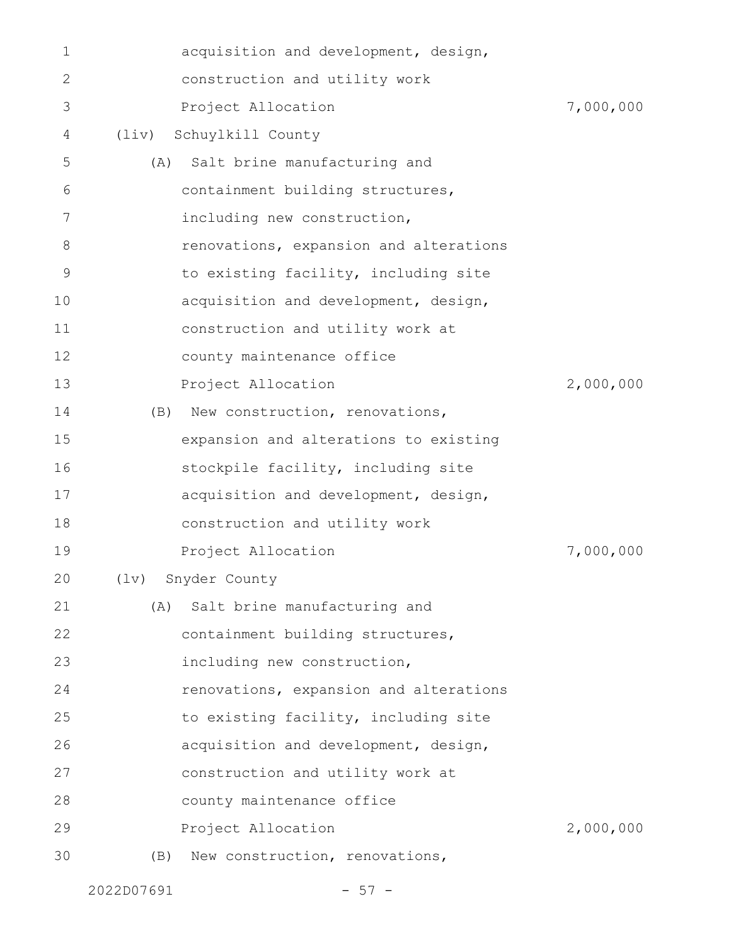| $\mathbf 1$ | acquisition and development, design,   |           |
|-------------|----------------------------------------|-----------|
| 2           | construction and utility work          |           |
| 3           | Project Allocation                     | 7,000,000 |
| 4           | (liv) Schuylkill County                |           |
| 5           | Salt brine manufacturing and<br>(A)    |           |
| 6           | containment building structures,       |           |
| 7           | including new construction,            |           |
| 8           | renovations, expansion and alterations |           |
| $\mathsf 9$ | to existing facility, including site   |           |
| 10          | acquisition and development, design,   |           |
| 11          | construction and utility work at       |           |
| 12          | county maintenance office              |           |
| 13          | Project Allocation                     | 2,000,000 |
| 14          | New construction, renovations,<br>(B)  |           |
| 15          | expansion and alterations to existing  |           |
| 16          | stockpile facility, including site     |           |
| 17          | acquisition and development, design,   |           |
| 18          | construction and utility work          |           |
| 19          | Project Allocation                     | 7,000,000 |
| 20          | Snyder County<br>$(\exists v)$         |           |
| 21          | Salt brine manufacturing and<br>(A)    |           |
| 22          | containment building structures,       |           |
| 23          | including new construction,            |           |
| 24          | renovations, expansion and alterations |           |
| 25          | to existing facility, including site   |           |
| 26          | acquisition and development, design,   |           |
| 27          | construction and utility work at       |           |
| 28          | county maintenance office              |           |
| 29          | Project Allocation                     | 2,000,000 |
| 30          | New construction, renovations,<br>(B)  |           |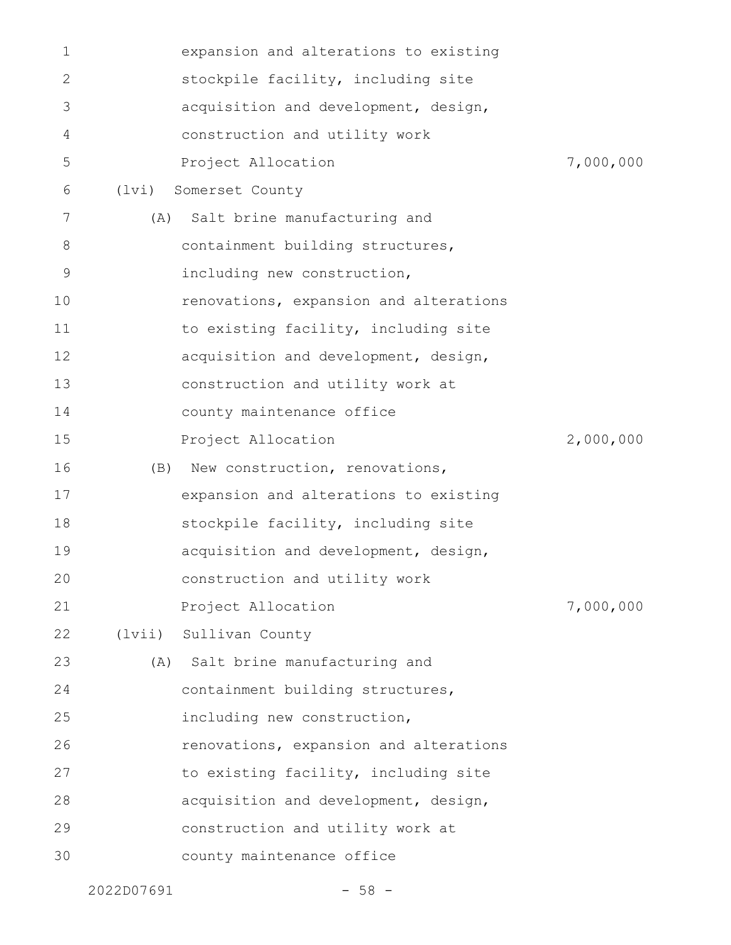| 1  |       | expansion and alterations to existing  |           |
|----|-------|----------------------------------------|-----------|
| 2  |       | stockpile facility, including site     |           |
| 3  |       | acquisition and development, design,   |           |
| 4  |       | construction and utility work          |           |
| 5  |       | Project Allocation                     | 7,000,000 |
| 6  | (lvi) | Somerset County                        |           |
| 7  | (A)   | Salt brine manufacturing and           |           |
| 8  |       | containment building structures,       |           |
| 9  |       | including new construction,            |           |
| 10 |       | renovations, expansion and alterations |           |
| 11 |       | to existing facility, including site   |           |
| 12 |       | acquisition and development, design,   |           |
| 13 |       | construction and utility work at       |           |
| 14 |       | county maintenance office              |           |
| 15 |       | Project Allocation                     | 2,000,000 |
| 16 | (B)   | New construction, renovations,         |           |
| 17 |       | expansion and alterations to existing  |           |
| 18 |       | stockpile facility, including site     |           |
| 19 |       | acquisition and development, design,   |           |
| 20 |       | construction and utility work          |           |
| 21 |       | Project Allocation                     | 7,000,000 |
| 22 |       | (lvii) Sullivan County                 |           |
| 23 |       | (A) Salt brine manufacturing and       |           |
| 24 |       | containment building structures,       |           |
| 25 |       | including new construction,            |           |
| 26 |       | renovations, expansion and alterations |           |
| 27 |       | to existing facility, including site   |           |
| 28 |       | acquisition and development, design,   |           |
| 29 |       | construction and utility work at       |           |
| 30 |       | county maintenance office              |           |
|    |       |                                        |           |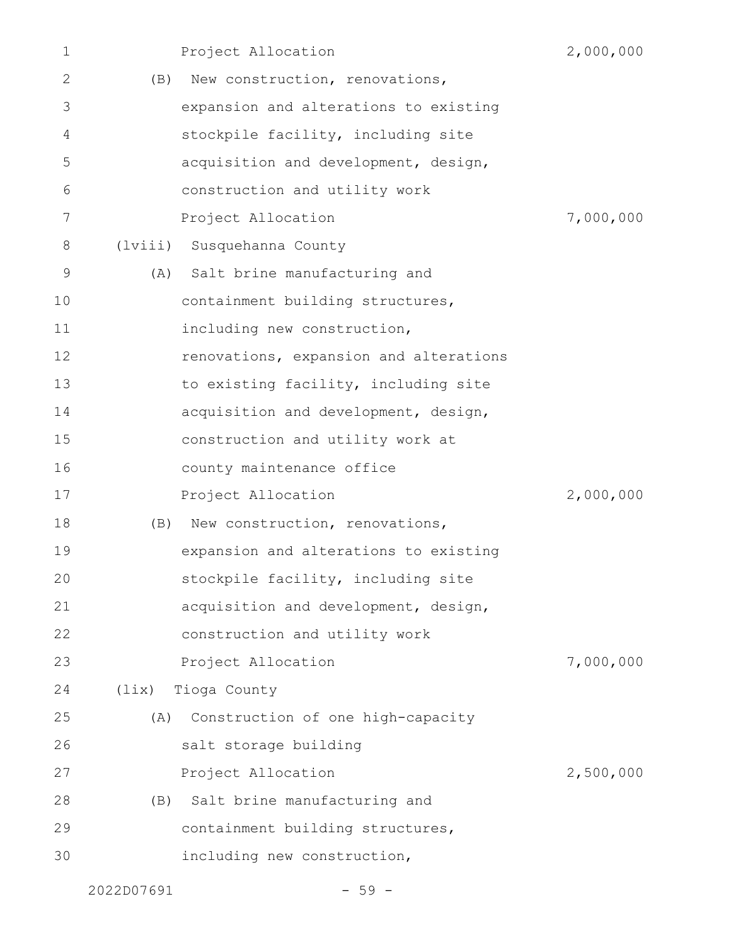| $\mathbf 1$ |                | Project Allocation                     | 2,000,000 |
|-------------|----------------|----------------------------------------|-----------|
| 2           | (B)            | New construction, renovations,         |           |
| 3           |                | expansion and alterations to existing  |           |
| 4           |                | stockpile facility, including site     |           |
| 5           |                | acquisition and development, design,   |           |
| 6           |                | construction and utility work          |           |
| 7           |                | Project Allocation                     | 7,000,000 |
| 8           |                | (lviii) Susquehanna County             |           |
| 9           |                | (A) Salt brine manufacturing and       |           |
| 10          |                | containment building structures,       |           |
| 11          |                | including new construction,            |           |
| 12          |                | renovations, expansion and alterations |           |
| 13          |                | to existing facility, including site   |           |
| 14          |                | acquisition and development, design,   |           |
| 15          |                | construction and utility work at       |           |
| 16          |                | county maintenance office              |           |
| 17          |                | Project Allocation                     | 2,000,000 |
| 18          | (B)            | New construction, renovations,         |           |
| 19          |                | expansion and alterations to existing  |           |
| 20          |                | stockpile facility, including site     |           |
| 21          |                | acquisition and development, design,   |           |
| 22          |                | construction and utility work          |           |
| 23          |                | Project Allocation                     | 7,000,000 |
| 24          | $(\text{lix})$ | Tioga County                           |           |
| 25          | (A)            | Construction of one high-capacity      |           |
| 26          |                | salt storage building                  |           |
| 27          |                | Project Allocation                     | 2,500,000 |
| 28          | (B)            | Salt brine manufacturing and           |           |
| 29          |                | containment building structures,       |           |
| 30          |                | including new construction,            |           |
|             |                |                                        |           |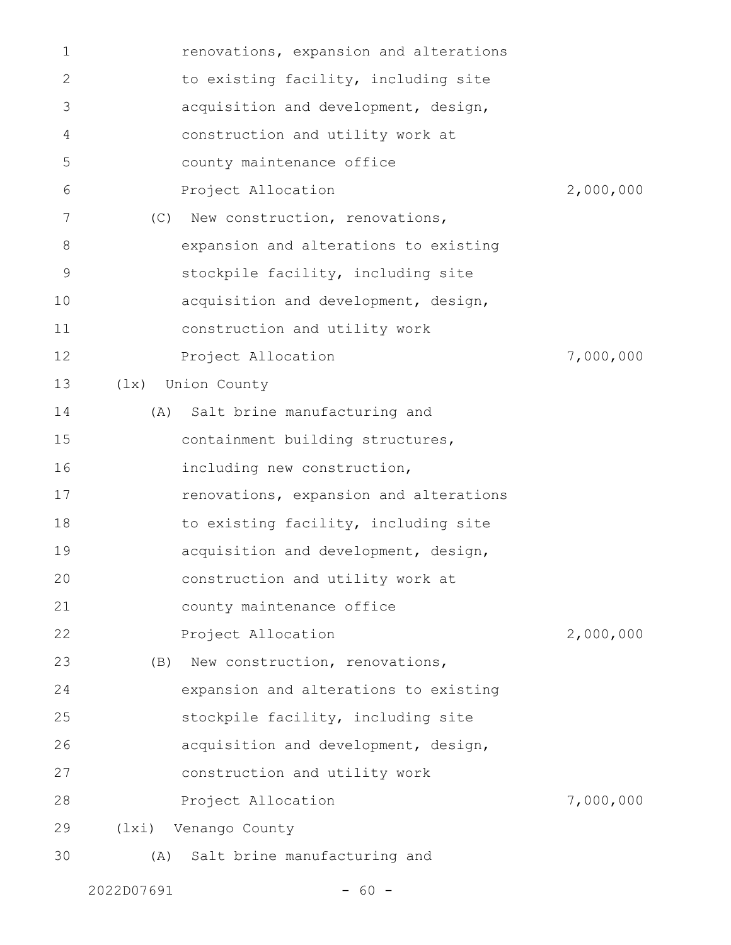| $\mathbf 1$ | renovations, expansion and alterations |           |
|-------------|----------------------------------------|-----------|
| 2           | to existing facility, including site   |           |
| 3           | acquisition and development, design,   |           |
| 4           | construction and utility work at       |           |
| 5           | county maintenance office              |           |
| 6           | Project Allocation                     | 2,000,000 |
| 7           | New construction, renovations,<br>(C)  |           |
| 8           | expansion and alterations to existing  |           |
| 9           | stockpile facility, including site     |           |
| 10          | acquisition and development, design,   |           |
| 11          | construction and utility work          |           |
| 12          | Project Allocation                     | 7,000,000 |
| 13          | Union County<br>$(\exists x)$          |           |
| 14          | Salt brine manufacturing and<br>(A)    |           |
| 15          | containment building structures,       |           |
| 16          | including new construction,            |           |
| 17          | renovations, expansion and alterations |           |
| 18          | to existing facility, including site   |           |
| 19          | acquisition and development, design,   |           |
| 20          | construction and utility work at       |           |
| 21          | county maintenance office              |           |
| 22          | Project Allocation                     | 2,000,000 |
| 23          | (B) New construction, renovations,     |           |
| 24          | expansion and alterations to existing  |           |
| 25          | stockpile facility, including site     |           |
| 26          | acquisition and development, design,   |           |
| 27          | construction and utility work          |           |
| 28          | Project Allocation                     | 7,000,000 |
| 29          | (lxi) Venango County                   |           |
| 30          | Salt brine manufacturing and<br>(A)    |           |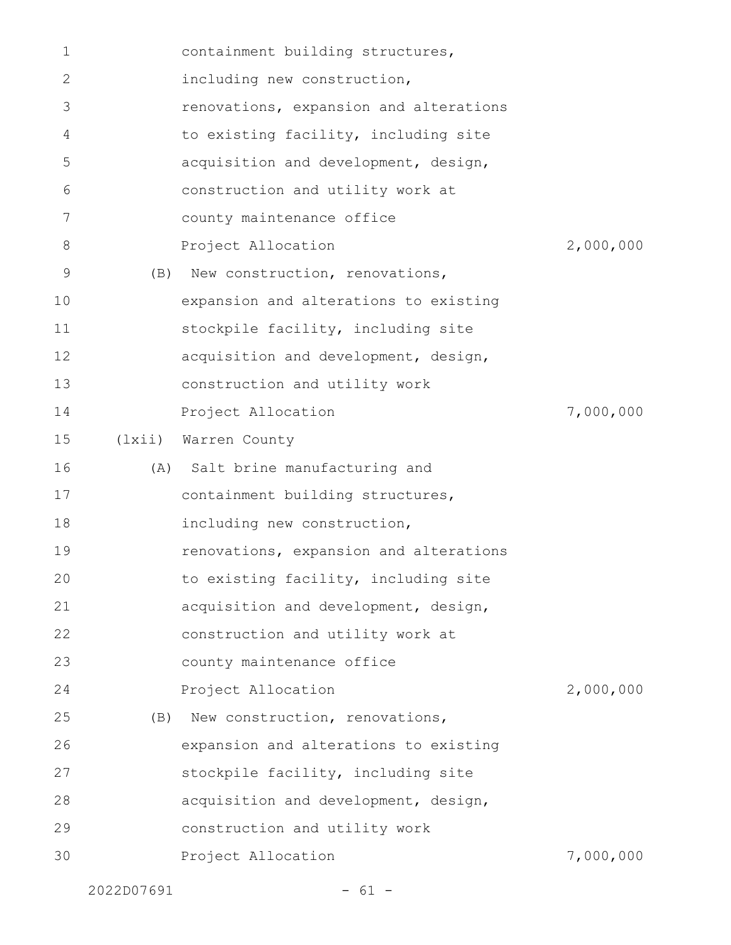| $\mathbf 1$ |        | containment building structures,       |           |
|-------------|--------|----------------------------------------|-----------|
| 2           |        | including new construction,            |           |
| 3           |        | renovations, expansion and alterations |           |
| 4           |        | to existing facility, including site   |           |
| 5           |        | acquisition and development, design,   |           |
| 6           |        | construction and utility work at       |           |
| 7           |        | county maintenance office              |           |
| 8           |        | Project Allocation                     | 2,000,000 |
| 9           | (B)    | New construction, renovations,         |           |
| 10          |        | expansion and alterations to existing  |           |
| 11          |        | stockpile facility, including site     |           |
| 12          |        | acquisition and development, design,   |           |
| 13          |        | construction and utility work          |           |
| 14          |        | Project Allocation                     | 7,000,000 |
| 15          | (lxii) | Warren County                          |           |
| 16          |        | (A) Salt brine manufacturing and       |           |
| 17          |        | containment building structures,       |           |
| 18          |        | including new construction,            |           |
| 19          |        | renovations, expansion and alterations |           |
| 20          |        | to existing facility, including site   |           |
| 21          |        | acquisition and development, design,   |           |
| 22          |        | construction and utility work at       |           |
| 23          |        | county maintenance office              |           |
| 24          |        | Project Allocation                     | 2,000,000 |
| 25          | (B)    | New construction, renovations,         |           |
| 26          |        | expansion and alterations to existing  |           |
| 27          |        | stockpile facility, including site     |           |
| 28          |        | acquisition and development, design,   |           |
| 29          |        | construction and utility work          |           |
| 30          |        | Project Allocation                     | 7,000,000 |
|             |        |                                        |           |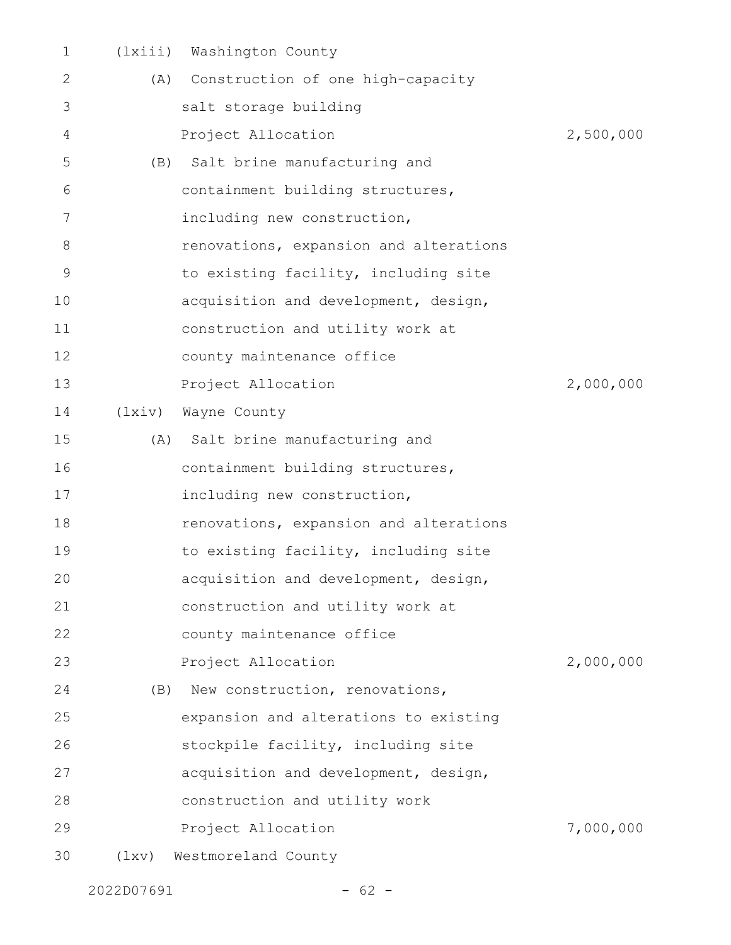| $\mathbf 1$ |        | (lxiii) Washington County              |           |
|-------------|--------|----------------------------------------|-----------|
| 2           |        | (A) Construction of one high-capacity  |           |
| 3           |        | salt storage building                  |           |
| 4           |        | Project Allocation                     | 2,500,000 |
| 5           |        | (B) Salt brine manufacturing and       |           |
| 6           |        | containment building structures,       |           |
| 7           |        | including new construction,            |           |
| 8           |        | renovations, expansion and alterations |           |
| $\mathsf 9$ |        | to existing facility, including site   |           |
| 10          |        | acquisition and development, design,   |           |
| 11          |        | construction and utility work at       |           |
| 12          |        | county maintenance office              |           |
| 13          |        | Project Allocation                     | 2,000,000 |
| 14          | (lxiv) | Wayne County                           |           |
| 15          |        | (A) Salt brine manufacturing and       |           |
| 16          |        | containment building structures,       |           |
| 17          |        | including new construction,            |           |
| 18          |        | renovations, expansion and alterations |           |
| 19          |        | to existing facility, including site   |           |
| 20          |        | acquisition and development, design,   |           |
| 21          |        | construction and utility work at       |           |
| 22          |        | county maintenance office              |           |
| 23          |        | Project Allocation                     | 2,000,000 |
| 24          |        | (B) New construction, renovations,     |           |
| 25          |        | expansion and alterations to existing  |           |
| 26          |        | stockpile facility, including site     |           |
| 27          |        | acquisition and development, design,   |           |
| 28          |        | construction and utility work          |           |
| 29          |        | Project Allocation                     | 7,000,000 |
| 30          | (1xy)  | Westmoreland County                    |           |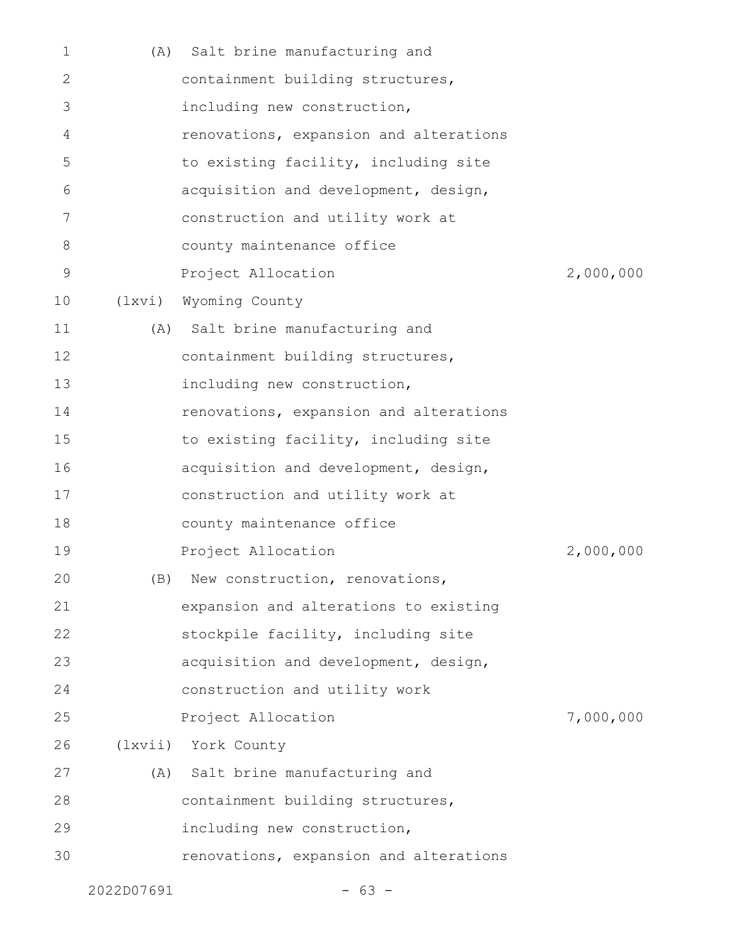| $\mathbf 1$ | (A)    | Salt brine manufacturing and           |           |
|-------------|--------|----------------------------------------|-----------|
| 2           |        | containment building structures,       |           |
| 3           |        | including new construction,            |           |
| 4           |        | renovations, expansion and alterations |           |
| 5           |        | to existing facility, including site   |           |
| 6           |        | acquisition and development, design,   |           |
| 7           |        | construction and utility work at       |           |
| 8           |        | county maintenance office              |           |
| 9           |        | Project Allocation                     | 2,000,000 |
| 10          | (lxvi) | Wyoming County                         |           |
| 11          |        | (A) Salt brine manufacturing and       |           |
| 12          |        | containment building structures,       |           |
| 13          |        | including new construction,            |           |
| 14          |        | renovations, expansion and alterations |           |
| 15          |        | to existing facility, including site   |           |
| 16          |        | acquisition and development, design,   |           |
| 17          |        | construction and utility work at       |           |
| 18          |        | county maintenance office              |           |
| 19          |        | Project Allocation                     | 2,000,000 |
| 20          | (B)    | New construction, renovations,         |           |
| 21          |        | expansion and alterations to existing  |           |
| 22          |        | stockpile facility, including site     |           |
| 23          |        | acquisition and development, design,   |           |
| 24          |        | construction and utility work          |           |
| 25          |        | Project Allocation                     | 7,000,000 |
| 26          |        | (lxvii) York County                    |           |
| 27          | (A)    | Salt brine manufacturing and           |           |
| 28          |        | containment building structures,       |           |
| 29          |        | including new construction,            |           |
| 30          |        | renovations, expansion and alterations |           |
|             |        |                                        |           |

2022D07691 - 63 -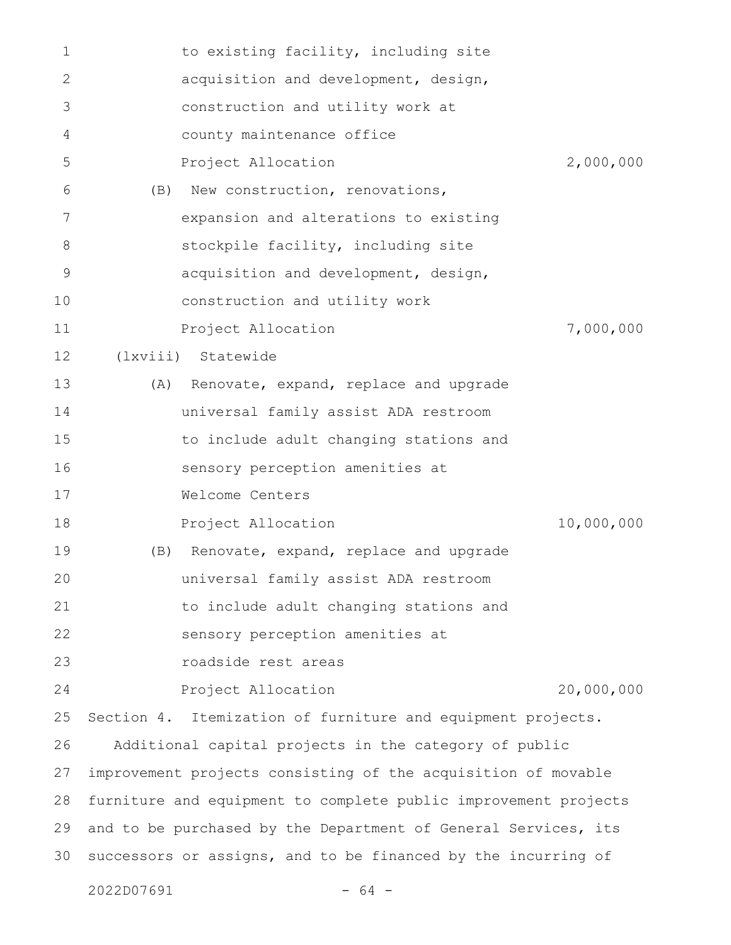| 1  |     | to existing facility, including site                            |            |
|----|-----|-----------------------------------------------------------------|------------|
| 2  |     | acquisition and development, design,                            |            |
| 3  |     | construction and utility work at                                |            |
| 4  |     | county maintenance office                                       |            |
| 5  |     | Project Allocation                                              | 2,000,000  |
| 6  | (B) | New construction, renovations,                                  |            |
| 7  |     | expansion and alterations to existing                           |            |
| 8  |     | stockpile facility, including site                              |            |
| 9  |     | acquisition and development, design,                            |            |
| 10 |     | construction and utility work                                   |            |
| 11 |     | Project Allocation                                              | 7,000,000  |
| 12 |     | (lxviii) Statewide                                              |            |
| 13 | (A) | Renovate, expand, replace and upgrade                           |            |
| 14 |     | universal family assist ADA restroom                            |            |
| 15 |     | to include adult changing stations and                          |            |
| 16 |     | sensory perception amenities at                                 |            |
| 17 |     | Welcome Centers                                                 |            |
| 18 |     | Project Allocation                                              | 10,000,000 |
| 19 | (B) | Renovate, expand, replace and upgrade                           |            |
| 20 |     | universal family assist ADA restroom                            |            |
| 21 |     | to include adult changing stations and                          |            |
| 22 |     | sensory perception amenities at                                 |            |
| 23 |     | roadside rest areas                                             |            |
| 24 |     | Project Allocation                                              | 20,000,000 |
| 25 |     | Section 4. Itemization of furniture and equipment projects.     |            |
| 26 |     | Additional capital projects in the category of public           |            |
| 27 |     | improvement projects consisting of the acquisition of movable   |            |
| 28 |     | furniture and equipment to complete public improvement projects |            |
| 29 |     | and to be purchased by the Department of General Services, its  |            |
| 30 |     | successors or assigns, and to be financed by the incurring of   |            |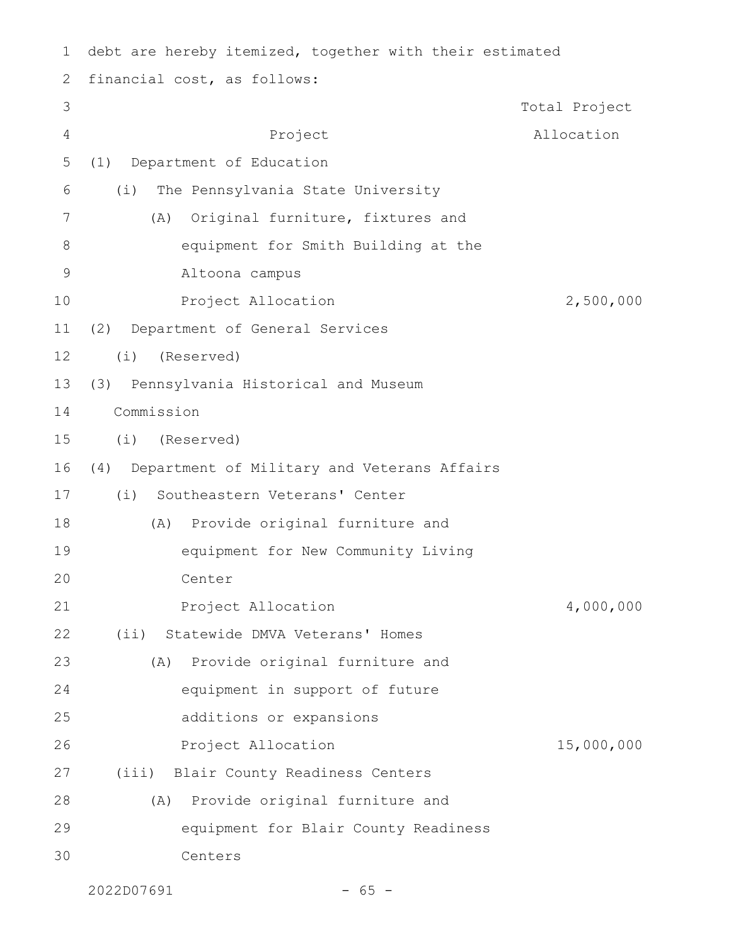| 1              | debt are hereby itemized, together with their estimated |               |
|----------------|---------------------------------------------------------|---------------|
| 2              | financial cost, as follows:                             |               |
| 3              |                                                         | Total Project |
| $\overline{4}$ | Project                                                 | Allocation    |
| 5              | Department of Education<br>(1)                          |               |
| 6              | The Pennsylvania State University<br>(i)                |               |
| 7              | Original furniture, fixtures and<br>(A)                 |               |
| 8              | equipment for Smith Building at the                     |               |
| 9              | Altoona campus                                          |               |
| 10             | Project Allocation                                      | 2,500,000     |
| 11             | (2) Department of General Services                      |               |
| 12             | (i)<br>(Reserved)                                       |               |
| 13             | (3) Pennsylvania Historical and Museum                  |               |
| 14             | Commission                                              |               |
| 15             | (i)<br>(Reserved)                                       |               |
| 16             | Department of Military and Veterans Affairs<br>(4)      |               |
| 17             | Southeastern Veterans' Center<br>(i)                    |               |
| 18             | (A) Provide original furniture and                      |               |
| 19             | equipment for New Community Living                      |               |
| 20             | Center                                                  |               |
| 21             | Project Allocation                                      | 4,000,000     |
| 22             | Statewide DMVA Veterans' Homes<br>$(i$ i)               |               |
| 23             | Provide original furniture and<br>(A)                   |               |
| 24             | equipment in support of future                          |               |
| 25             | additions or expansions                                 |               |
| 26             | Project Allocation                                      | 15,000,000    |
| 27             | (iii) Blair County Readiness Centers                    |               |
| 28             | Provide original furniture and<br>(A)                   |               |
| 29             | equipment for Blair County Readiness                    |               |
| 30             | Centers                                                 |               |

```
2022D07691 - 65 -
```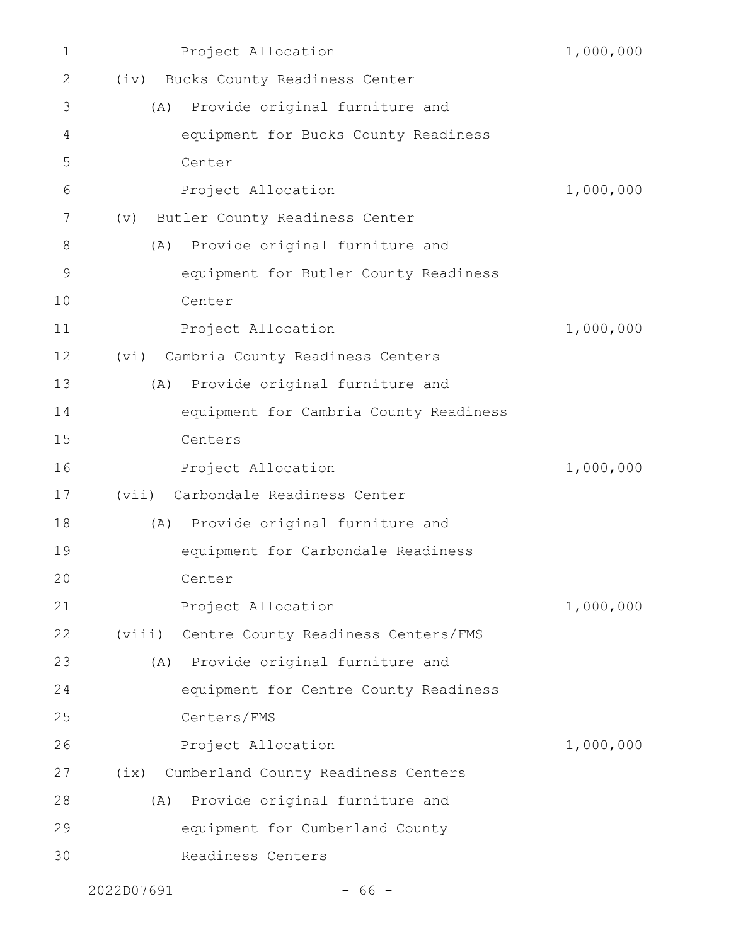| 1           |        | Project Allocation                     | 1,000,000 |
|-------------|--------|----------------------------------------|-----------|
| 2           |        | (iv) Bucks County Readiness Center     |           |
| 3           | (A)    | Provide original furniture and         |           |
| 4           |        | equipment for Bucks County Readiness   |           |
| 5           |        | Center                                 |           |
| 6           |        | Project Allocation                     | 1,000,000 |
| 7           | (v)    | Butler County Readiness Center         |           |
| 8           | (A)    | Provide original furniture and         |           |
| $\mathsf 9$ |        | equipment for Butler County Readiness  |           |
| 10          |        | Center                                 |           |
| 11          |        | Project Allocation                     | 1,000,000 |
| 12          | (vi)   | Cambria County Readiness Centers       |           |
| 13          | (A)    | Provide original furniture and         |           |
| 14          |        | equipment for Cambria County Readiness |           |
| 15          |        | Centers                                |           |
| 16          |        | Project Allocation                     | 1,000,000 |
| 17          |        | (vii) Carbondale Readiness Center      |           |
| 18          |        | (A) Provide original furniture and     |           |
| 19          |        | equipment for Carbondale Readiness     |           |
| 20          |        | Center                                 |           |
| 21          |        | Project Allocation                     | 1,000,000 |
| 22          | (viii) | Centre County Readiness Centers/FMS    |           |
| 23          | (A)    | Provide original furniture and         |           |
| 24          |        | equipment for Centre County Readiness  |           |
| 25          |        | Centers/FMS                            |           |
| 26          |        | Project Allocation                     | 1,000,000 |
| 27          | (ix)   | Cumberland County Readiness Centers    |           |
| 28          | (A)    | Provide original furniture and         |           |
| 29          |        | equipment for Cumberland County        |           |
| 30          |        | Readiness Centers                      |           |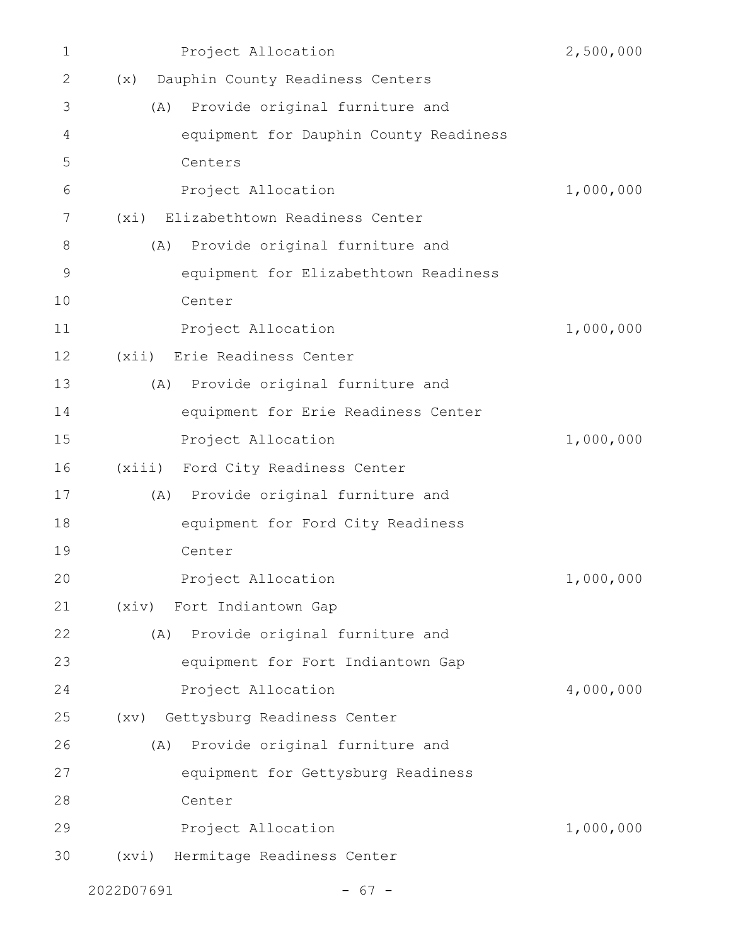| $\mathbf 1$ | Project Allocation                      | 2,500,000 |
|-------------|-----------------------------------------|-----------|
| 2           | Dauphin County Readiness Centers<br>(x) |           |
| 3           | Provide original furniture and<br>(A)   |           |
| 4           | equipment for Dauphin County Readiness  |           |
| 5           | Centers                                 |           |
| 6           | Project Allocation                      | 1,000,000 |
| 7           | (xi) Elizabethtown Readiness Center     |           |
| 8           | Provide original furniture and<br>(A)   |           |
| $\mathsf 9$ | equipment for Elizabethtown Readiness   |           |
| 10          | Center                                  |           |
| 11          | Project Allocation                      | 1,000,000 |
| 12          | (xii) Erie Readiness Center             |           |
| 13          | (A) Provide original furniture and      |           |
| 14          | equipment for Erie Readiness Center     |           |
| 15          | Project Allocation                      | 1,000,000 |
| 16          | (xiii) Ford City Readiness Center       |           |
| 17          | (A) Provide original furniture and      |           |
| 18          | equipment for Ford City Readiness       |           |
| 19          | Center                                  |           |
| 20          | Project Allocation                      | 1,000,000 |
| 21          | (xiv) Fort Indiantown Gap               |           |
| 22          | Provide original furniture and<br>(A)   |           |
| 23          | equipment for Fort Indiantown Gap       |           |
| 24          | Project Allocation                      | 4,000,000 |
| 25          | (xv) Gettysburg Readiness Center        |           |
| 26          | Provide original furniture and<br>(A)   |           |
| 27          | equipment for Gettysburg Readiness      |           |
| 28          | Center                                  |           |
| 29          | Project Allocation                      | 1,000,000 |
| 30          | (xvi) Hermitage Readiness Center        |           |
|             | 2022D07691<br>$67 -$                    |           |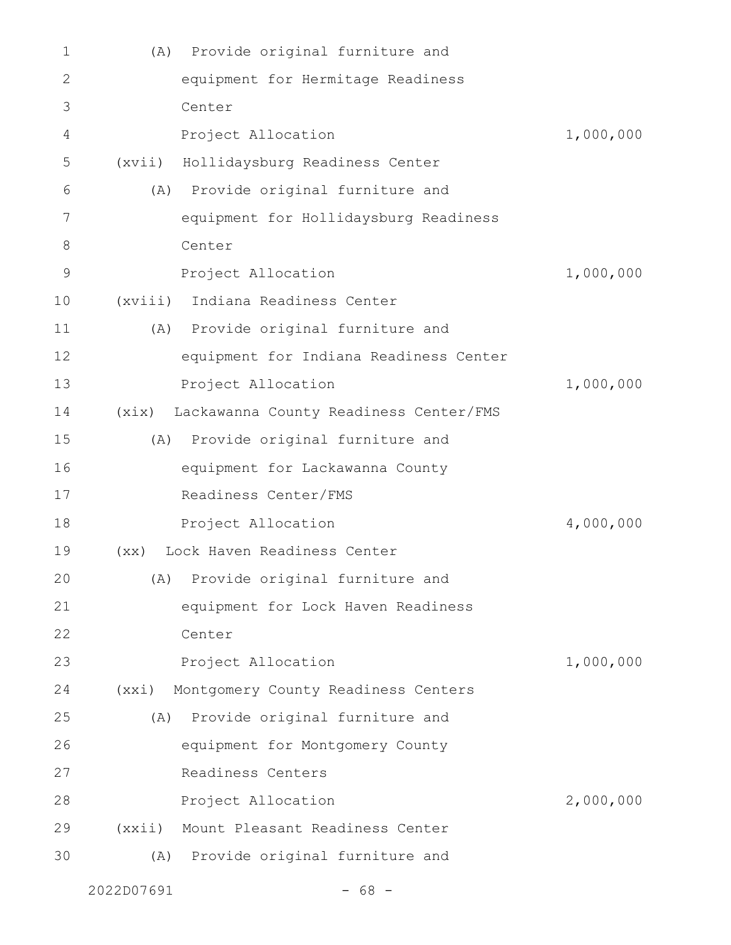| $\mathbf 1$ | Provide original furniture and<br>(A)           |           |
|-------------|-------------------------------------------------|-----------|
| 2           | equipment for Hermitage Readiness               |           |
| 3           | Center                                          |           |
| 4           | Project Allocation                              | 1,000,000 |
| 5           | Hollidaysburg Readiness Center<br>(xvii)        |           |
| 6           | Provide original furniture and<br>(A)           |           |
| 7           | equipment for Hollidaysburg Readiness           |           |
| $8\,$       | Center                                          |           |
| 9           | Project Allocation                              | 1,000,000 |
| 10          | (xviii) Indiana Readiness Center                |           |
| 11          | (A) Provide original furniture and              |           |
| 12          | equipment for Indiana Readiness Center          |           |
| 13          | Project Allocation                              | 1,000,000 |
| 14          | Lackawanna County Readiness Center/FMS<br>(xix) |           |
| 15          | Provide original furniture and<br>(A)           |           |
| 16          | equipment for Lackawanna County                 |           |
| 17          | Readiness Center/FMS                            |           |
| 18          | Project Allocation                              | 4,000,000 |
| 19          | Lock Haven Readiness Center<br>(xx)             |           |
| 20          | (A) Provide original furniture and              |           |
| 21          | equipment for Lock Haven Readiness              |           |
| 22          | Center                                          |           |
| 23          | Project Allocation                              | 1,000,000 |
| 24          | (xxi)<br>Montgomery County Readiness Centers    |           |
| 25          | Provide original furniture and<br>(A)           |           |
| 26          | equipment for Montgomery County                 |           |
| 27          | Readiness Centers                               |           |
| 28          | Project Allocation                              | 2,000,000 |
| 29          | (xxi)<br>Mount Pleasant Readiness Center        |           |
| 30          | Provide original furniture and<br>(A)           |           |
|             |                                                 |           |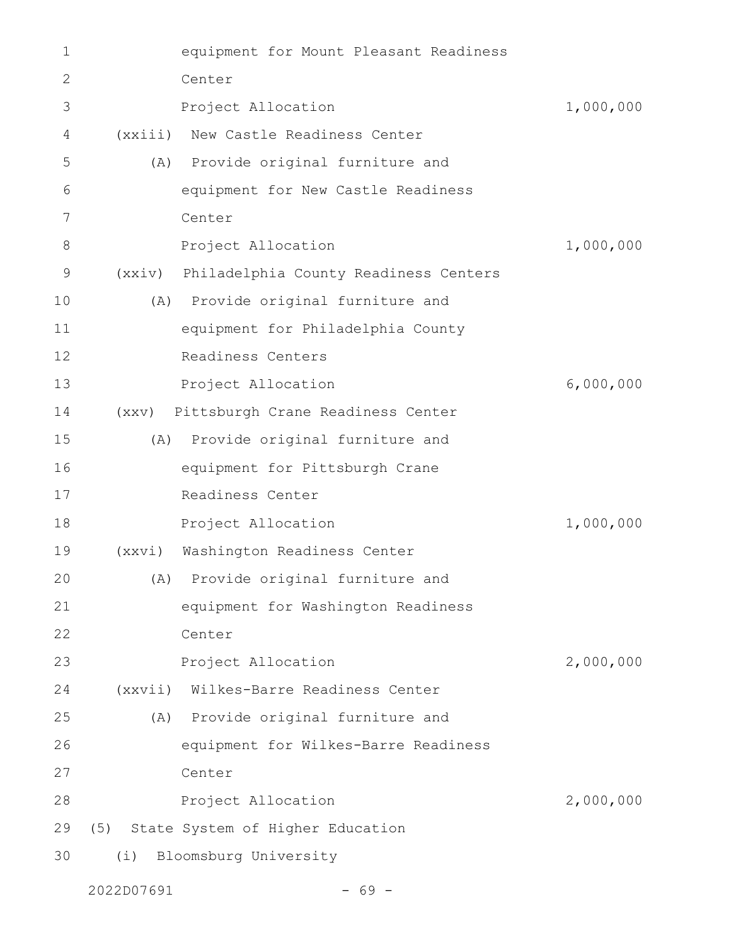| 1  |         | equipment for Mount Pleasant Readiness       |           |
|----|---------|----------------------------------------------|-----------|
| 2  |         | Center                                       |           |
| 3  |         | Project Allocation                           | 1,000,000 |
| 4  | (xxiii) | New Castle Readiness Center                  |           |
| 5  | (A)     | Provide original furniture and               |           |
| 6  |         | equipment for New Castle Readiness           |           |
| 7  |         | Center                                       |           |
| 8  |         | Project Allocation                           | 1,000,000 |
| 9  |         | (xxiv) Philadelphia County Readiness Centers |           |
| 10 |         | (A) Provide original furniture and           |           |
| 11 |         | equipment for Philadelphia County            |           |
| 12 |         | Readiness Centers                            |           |
| 13 |         | Project Allocation                           | 6,000,000 |
| 14 |         | (xxv) Pittsburgh Crane Readiness Center      |           |
| 15 |         | (A) Provide original furniture and           |           |
| 16 |         | equipment for Pittsburgh Crane               |           |
| 17 |         | Readiness Center                             |           |
| 18 |         | Project Allocation                           | 1,000,000 |
| 19 | (xxyi)  | Washington Readiness Center                  |           |
| 20 |         | (A) Provide original furniture and           |           |
| 21 |         | equipment for Washington Readiness           |           |
| 22 |         | Center                                       |           |
| 23 |         | Project Allocation                           | 2,000,000 |
| 24 |         | (xxvii) Wilkes-Barre Readiness Center        |           |
| 25 |         | (A) Provide original furniture and           |           |
| 26 |         | equipment for Wilkes-Barre Readiness         |           |
| 27 |         | Center                                       |           |
| 28 |         | Project Allocation                           | 2,000,000 |
| 29 | (5)     | State System of Higher Education             |           |
| 30 | (i)     | Bloomsburg University                        |           |
|    |         |                                              |           |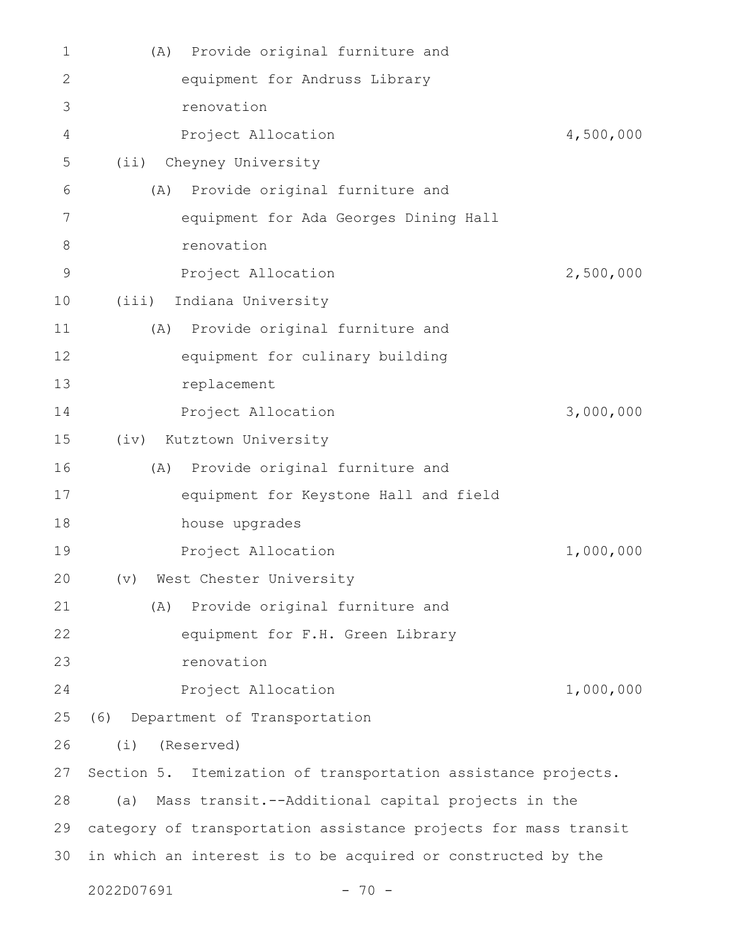| 1            | Provide original furniture and<br>(A)                           |           |
|--------------|-----------------------------------------------------------------|-----------|
| $\mathbf{2}$ | equipment for Andruss Library                                   |           |
| 3            | renovation                                                      |           |
| 4            | Project Allocation                                              | 4,500,000 |
| 5            | (ii) Cheyney University                                         |           |
| 6            | Provide original furniture and<br>(A)                           |           |
| 7            | equipment for Ada Georges Dining Hall                           |           |
| $8\,$        | renovation                                                      |           |
| 9            | Project Allocation                                              | 2,500,000 |
| 10           | Indiana University<br>(iii)                                     |           |
| 11           | (A) Provide original furniture and                              |           |
| 12           | equipment for culinary building                                 |           |
| 13           | replacement                                                     |           |
| 14           | Project Allocation                                              | 3,000,000 |
| 15           | (iv) Kutztown University                                        |           |
| 16           | Provide original furniture and<br>(A)                           |           |
| 17           | equipment for Keystone Hall and field                           |           |
| 18           | house upgrades                                                  |           |
| 19           | Project Allocation                                              | 1,000,000 |
| 20           | (v) West Chester University                                     |           |
| 21           | Provide original furniture and<br>(A)                           |           |
| 22           | equipment for F.H. Green Library                                |           |
| 23           | renovation                                                      |           |
| 24           | Project Allocation                                              | 1,000,000 |
| 25           | Department of Transportation<br>(6)                             |           |
| 26           | (Reserved)<br>(i)                                               |           |
| 27           | Section 5. Itemization of transportation assistance projects.   |           |
| 28           | Mass transit.--Additional capital projects in the<br>(a)        |           |
| 29           | category of transportation assistance projects for mass transit |           |
| 30           | in which an interest is to be acquired or constructed by the    |           |
|              | 2022D07691<br>$70 -$                                            |           |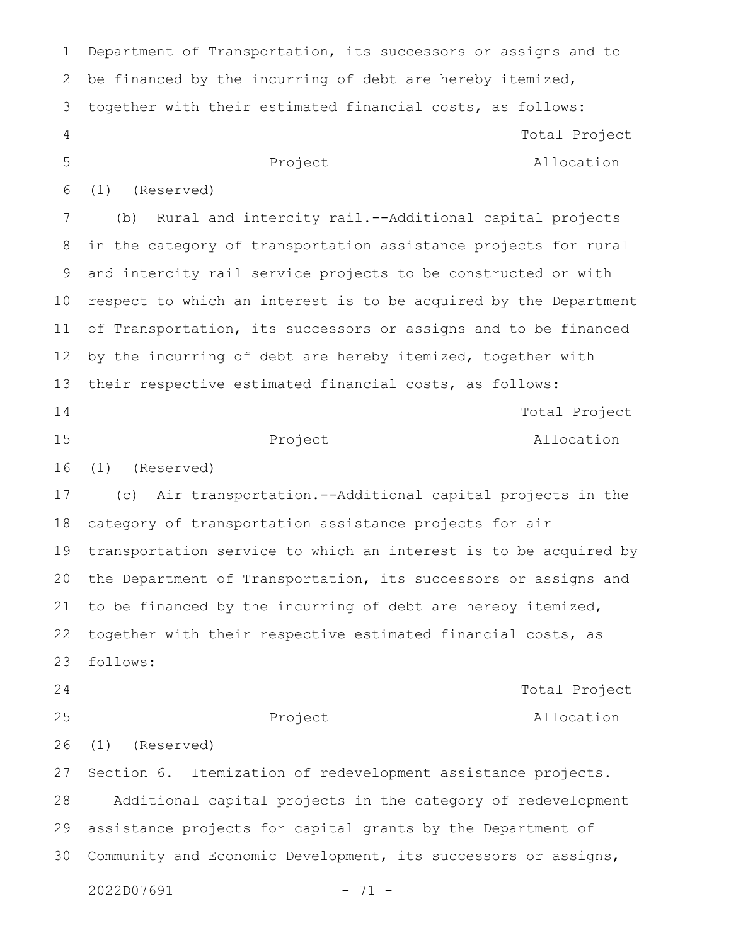Department of Transportation, its successors or assigns and to be financed by the incurring of debt are hereby itemized, together with their estimated financial costs, as follows: Project Total Project Allocation (1) (Reserved) (b) Rural and intercity rail.--Additional capital projects in the category of transportation assistance projects for rural and intercity rail service projects to be constructed or with respect to which an interest is to be acquired by the Department of Transportation, its successors or assigns and to be financed by the incurring of debt are hereby itemized, together with their respective estimated financial costs, as follows: Project Total Project Allocation (1) (Reserved) (c) Air transportation.--Additional capital projects in the category of transportation assistance projects for air transportation service to which an interest is to be acquired by the Department of Transportation, its successors or assigns and to be financed by the incurring of debt are hereby itemized, together with their respective estimated financial costs, as follows: Project Total Project Allocation (1) (Reserved) Section 6. Itemization of redevelopment assistance projects. Additional capital projects in the category of redevelopment assistance projects for capital grants by the Department of Community and Economic Development, its successors or assigns, 1 2 3 4 5 6 7 8 9 10 11 12 13 14 15 16 17 18 19 20 21 22 23 24 25 26 27 28 29 30

2022D07691 - 71 -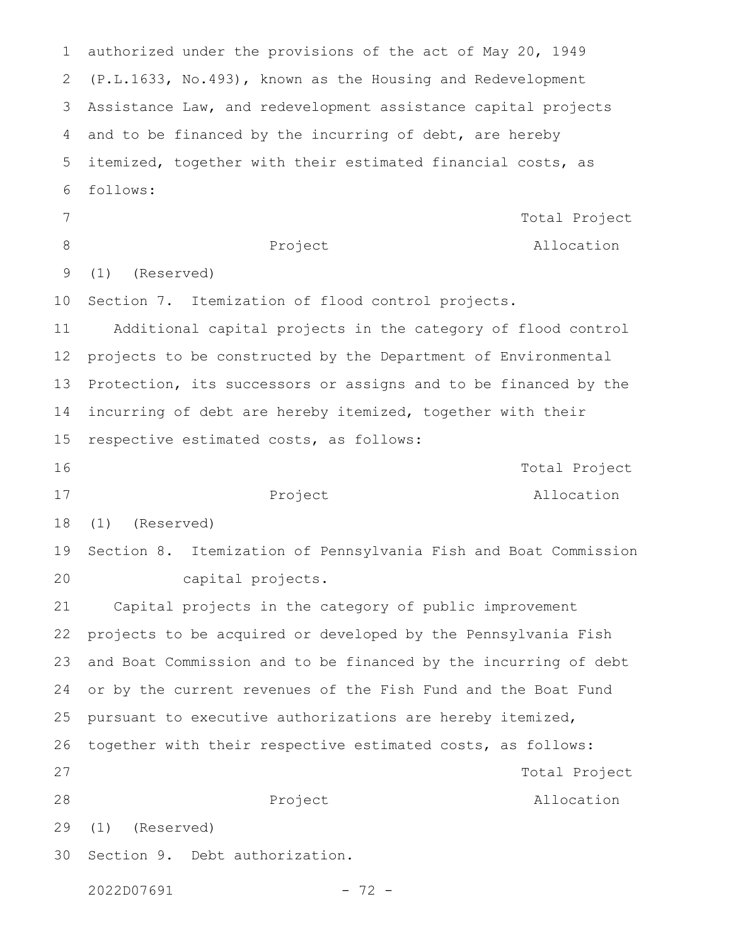authorized under the provisions of the act of May 20, 1949 (P.L.1633, No.493), known as the Housing and Redevelopment Assistance Law, and redevelopment assistance capital projects and to be financed by the incurring of debt, are hereby itemized, together with their estimated financial costs, as follows: Project Total Project Allocation (1) (Reserved) Section 7. Itemization of flood control projects. Additional capital projects in the category of flood control projects to be constructed by the Department of Environmental Protection, its successors or assigns and to be financed by the incurring of debt are hereby itemized, together with their respective estimated costs, as follows: Project Total Project Allocation (1) (Reserved) Section 8. Itemization of Pennsylvania Fish and Boat Commission capital projects. Capital projects in the category of public improvement projects to be acquired or developed by the Pennsylvania Fish and Boat Commission and to be financed by the incurring of debt or by the current revenues of the Fish Fund and the Boat Fund pursuant to executive authorizations are hereby itemized, together with their respective estimated costs, as follows: Project Total Project Allocation (1) (Reserved) Section 9. Debt authorization. 2022D07691 - 72 -1 2 3 4 5 6 7 8 9 10 11 12 13 14 15 16 17 18 19 20 21 22 23 24 25 26 27 28 29 30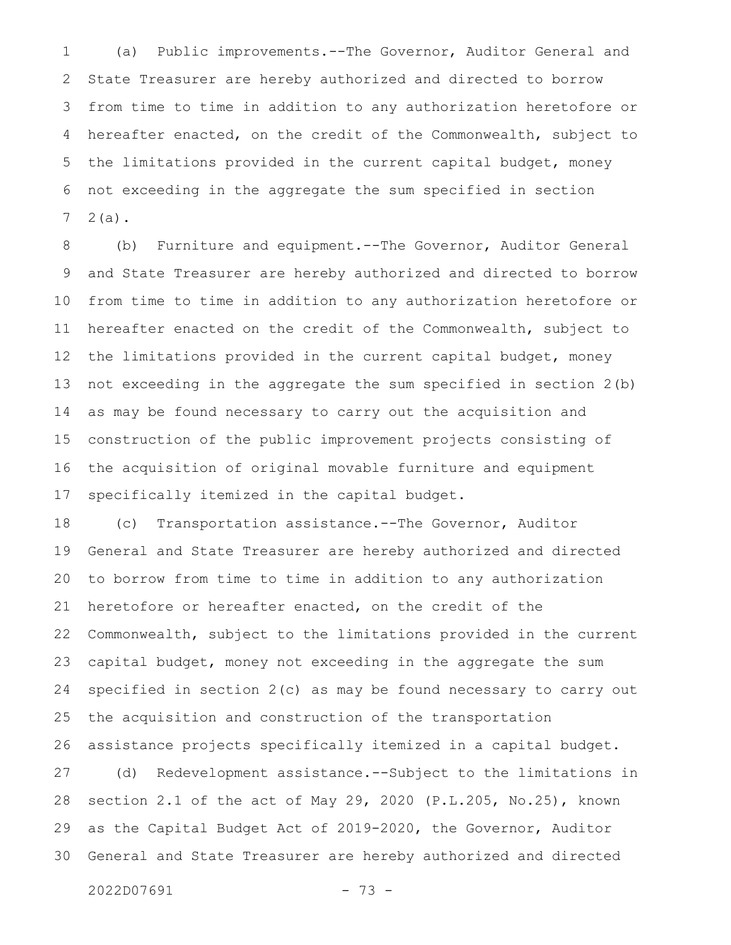(a) Public improvements.--The Governor, Auditor General and State Treasurer are hereby authorized and directed to borrow from time to time in addition to any authorization heretofore or hereafter enacted, on the credit of the Commonwealth, subject to the limitations provided in the current capital budget, money not exceeding in the aggregate the sum specified in section 2(a). 1 2 3 4 5 6 7

(b) Furniture and equipment.--The Governor, Auditor General and State Treasurer are hereby authorized and directed to borrow from time to time in addition to any authorization heretofore or hereafter enacted on the credit of the Commonwealth, subject to the limitations provided in the current capital budget, money not exceeding in the aggregate the sum specified in section 2(b) as may be found necessary to carry out the acquisition and construction of the public improvement projects consisting of the acquisition of original movable furniture and equipment specifically itemized in the capital budget. 8 9 10 11 12 13 14 15 16 17

(c) Transportation assistance.--The Governor, Auditor General and State Treasurer are hereby authorized and directed to borrow from time to time in addition to any authorization heretofore or hereafter enacted, on the credit of the Commonwealth, subject to the limitations provided in the current capital budget, money not exceeding in the aggregate the sum specified in section 2(c) as may be found necessary to carry out the acquisition and construction of the transportation assistance projects specifically itemized in a capital budget. 18 19 20 21 22 23 24 25 26

(d) Redevelopment assistance.--Subject to the limitations in section 2.1 of the act of May 29, 2020 (P.L.205, No.25), known as the Capital Budget Act of 2019-2020, the Governor, Auditor General and State Treasurer are hereby authorized and directed 27 28 29 30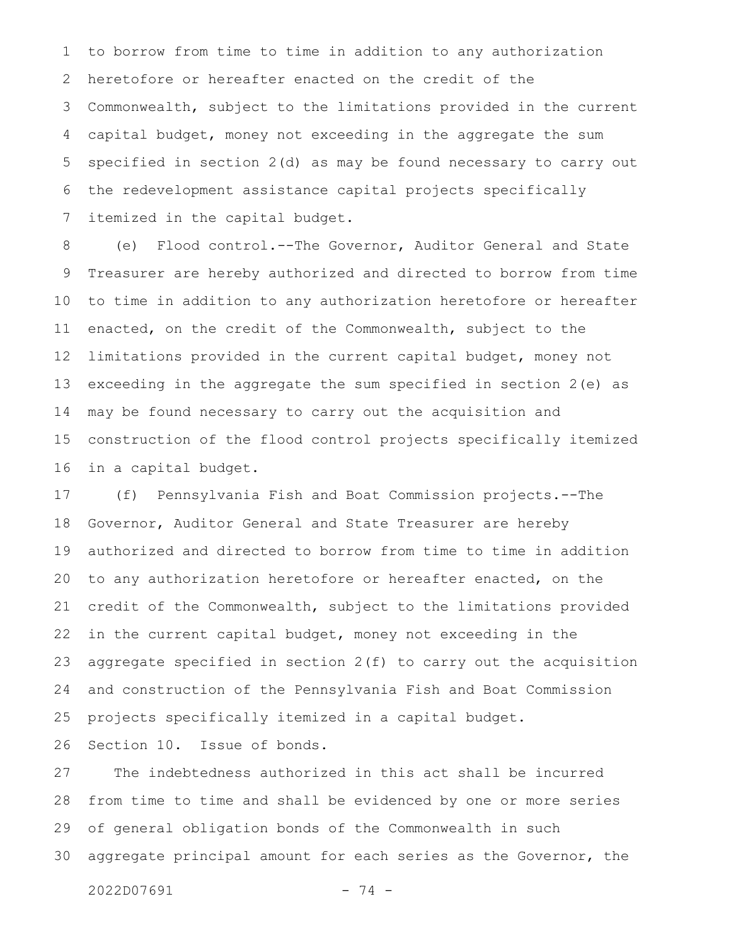to borrow from time to time in addition to any authorization heretofore or hereafter enacted on the credit of the Commonwealth, subject to the limitations provided in the current capital budget, money not exceeding in the aggregate the sum specified in section 2(d) as may be found necessary to carry out the redevelopment assistance capital projects specifically itemized in the capital budget. 1 2 3 4 5 6 7

(e) Flood control.--The Governor, Auditor General and State Treasurer are hereby authorized and directed to borrow from time to time in addition to any authorization heretofore or hereafter enacted, on the credit of the Commonwealth, subject to the limitations provided in the current capital budget, money not exceeding in the aggregate the sum specified in section 2(e) as may be found necessary to carry out the acquisition and construction of the flood control projects specifically itemized in a capital budget. 8 9 10 11 12 13 14 15 16

(f) Pennsylvania Fish and Boat Commission projects.--The Governor, Auditor General and State Treasurer are hereby authorized and directed to borrow from time to time in addition to any authorization heretofore or hereafter enacted, on the credit of the Commonwealth, subject to the limitations provided in the current capital budget, money not exceeding in the aggregate specified in section  $2(f)$  to carry out the acquisition and construction of the Pennsylvania Fish and Boat Commission projects specifically itemized in a capital budget. 17 18 19 20 21 22 23 24 25

Section 10. Issue of bonds. 26

The indebtedness authorized in this act shall be incurred from time to time and shall be evidenced by one or more series of general obligation bonds of the Commonwealth in such aggregate principal amount for each series as the Governor, the 27 28 29 30

```
2022D07691 - 74 -
```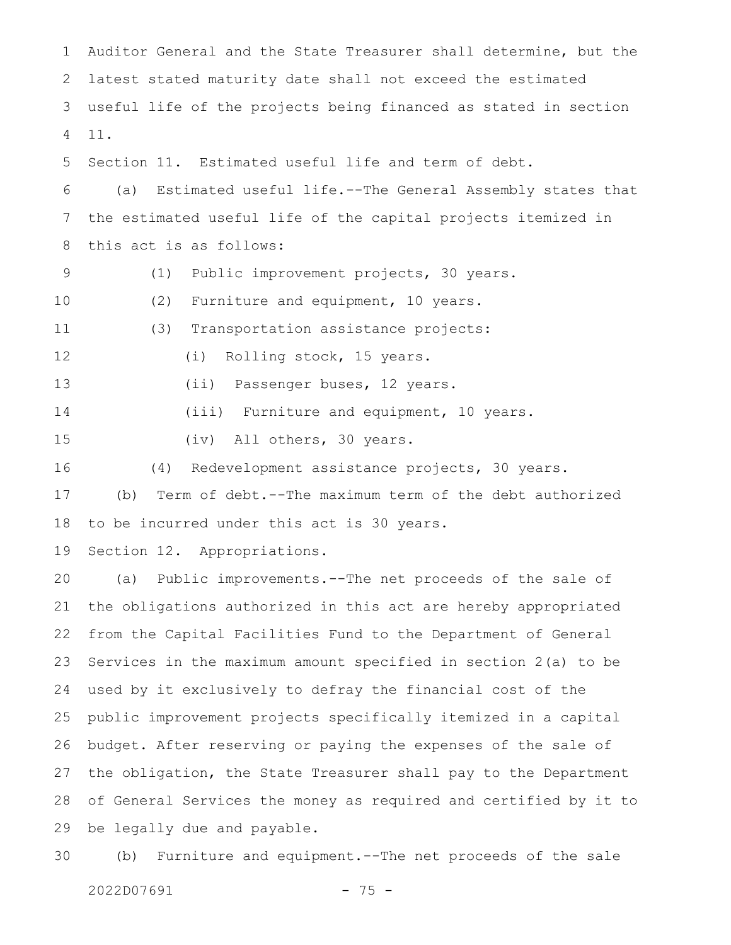Auditor General and the State Treasurer shall determine, but the latest stated maturity date shall not exceed the estimated useful life of the projects being financed as stated in section 11. Section 11. Estimated useful life and term of debt. (a) Estimated useful life.--The General Assembly states that the estimated useful life of the capital projects itemized in this act is as follows: (1) Public improvement projects, 30 years. (2) Furniture and equipment, 10 years. (3) Transportation assistance projects: (i) Rolling stock, 15 years. (ii) Passenger buses, 12 years. (iii) Furniture and equipment, 10 years. (iv) All others, 30 years. (4) Redevelopment assistance projects, 30 years. 1 2 3 4 5 6 7 8 9 10 11 12 13 14 15 16

(b) Term of debt.--The maximum term of the debt authorized 17

to be incurred under this act is 30 years. 18

Section 12. Appropriations. 19

(a) Public improvements.--The net proceeds of the sale of the obligations authorized in this act are hereby appropriated from the Capital Facilities Fund to the Department of General Services in the maximum amount specified in section 2(a) to be used by it exclusively to defray the financial cost of the public improvement projects specifically itemized in a capital budget. After reserving or paying the expenses of the sale of the obligation, the State Treasurer shall pay to the Department of General Services the money as required and certified by it to be legally due and payable. 20 21 22 23 24 25 26 27 28 29

(b) Furniture and equipment.--The net proceeds of the sale 30

```
2022D07691 - 75 -
```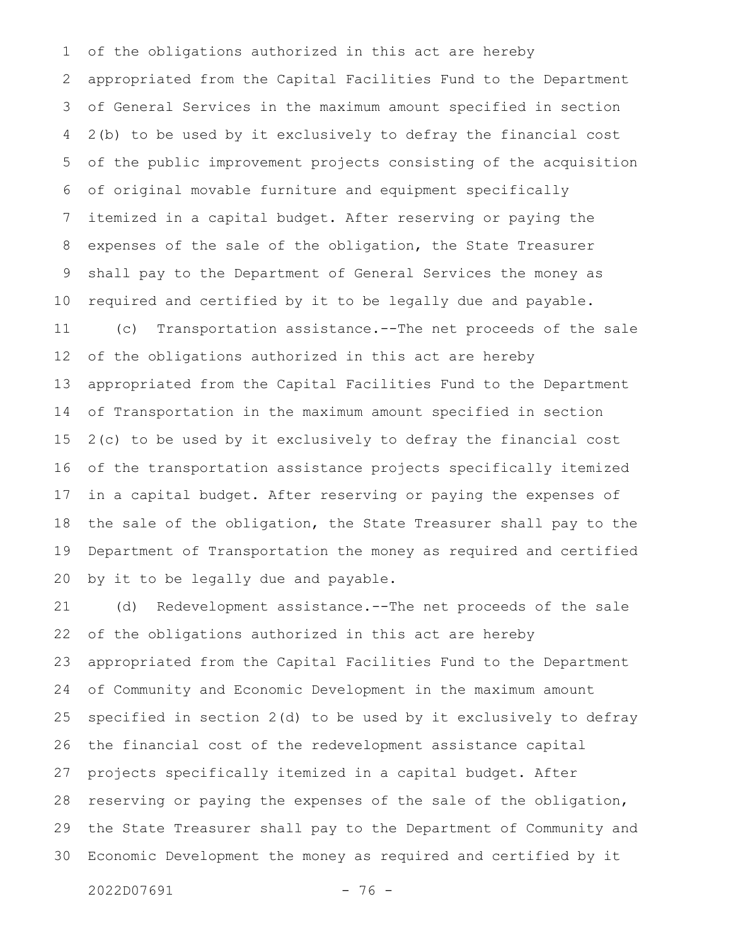of the obligations authorized in this act are hereby appropriated from the Capital Facilities Fund to the Department of General Services in the maximum amount specified in section 2(b) to be used by it exclusively to defray the financial cost of the public improvement projects consisting of the acquisition of original movable furniture and equipment specifically itemized in a capital budget. After reserving or paying the expenses of the sale of the obligation, the State Treasurer shall pay to the Department of General Services the money as required and certified by it to be legally due and payable. (c) Transportation assistance.--The net proceeds of the sale of the obligations authorized in this act are hereby appropriated from the Capital Facilities Fund to the Department of Transportation in the maximum amount specified in section 2(c) to be used by it exclusively to defray the financial cost of the transportation assistance projects specifically itemized in a capital budget. After reserving or paying the expenses of the sale of the obligation, the State Treasurer shall pay to the Department of Transportation the money as required and certified by it to be legally due and payable. 1 2 3 4 5 6 7 8 9 10 11 12 13 14 15 16 17 18 19 20

(d) Redevelopment assistance.--The net proceeds of the sale of the obligations authorized in this act are hereby appropriated from the Capital Facilities Fund to the Department of Community and Economic Development in the maximum amount specified in section 2(d) to be used by it exclusively to defray the financial cost of the redevelopment assistance capital projects specifically itemized in a capital budget. After reserving or paying the expenses of the sale of the obligation, the State Treasurer shall pay to the Department of Community and Economic Development the money as required and certified by it 21 22 23 24 25 26 27 28 29 30

2022D07691 - 76 -